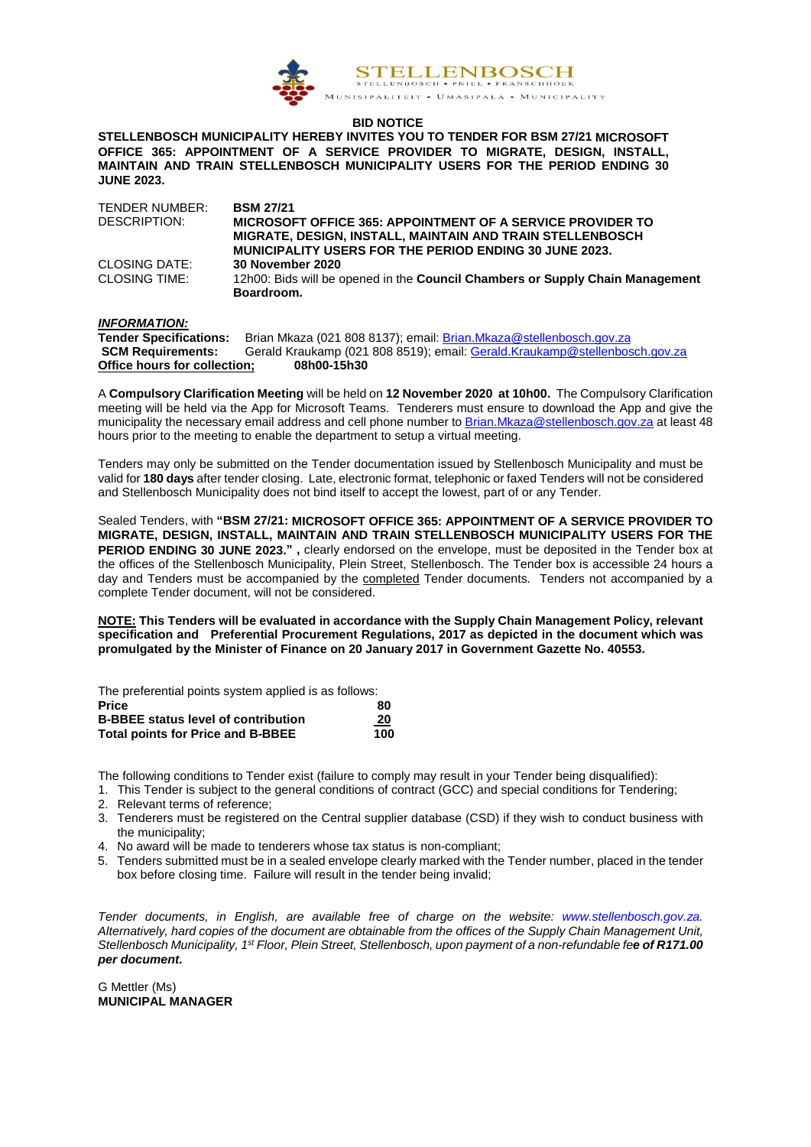

#### **BID NOTICE**

**STELLENBOSCH MUNICIPALITY HEREBY INVITES YOU TO TENDER FOR BSM 27/21 MICROSOFT OFFICE 365: APPOINTMENT OF A SERVICE PROVIDER TO MIGRATE, DESIGN, INSTALL, MAINTAIN AND TRAIN STELLENBOSCH MUNICIPALITY USERS FOR THE PERIOD ENDING 30 JUNE 2023.**

| TENDER NUMBER: | <b>BSM 27/21</b>                                                              |
|----------------|-------------------------------------------------------------------------------|
| DESCRIPTION:   | MICROSOFT OFFICE 365: APPOINTMENT OF A SERVICE PROVIDER TO                    |
|                | <b>MIGRATE, DESIGN, INSTALL, MAINTAIN AND TRAIN STELLENBOSCH</b>              |
|                | <b>MUNICIPALITY USERS FOR THE PERIOD ENDING 30 JUNE 2023.</b>                 |
| CLOSING DATE:  | <b>30 November 2020</b>                                                       |
| CLOSING TIME:  | 12h00: Bids will be opened in the Council Chambers or Supply Chain Management |
|                | Boardroom.                                                                    |

#### *INFORMATION:*

| <b>Tender Specifications:</b> | Brian Mkaza (021 808 8137); email: Brian Mkaza@stellenbosch.gov.za         |
|-------------------------------|----------------------------------------------------------------------------|
| <b>SCM Requirements:</b>      | Gerald Kraukamp (021 808 8519); email: Gerald.Kraukamp@stellenbosch.gov.za |
| Office hours for collection:  | 08h00-15h30                                                                |

A **Compulsory Clarification Meeting** will be held on **12 November 2020 at 10h00.** The Compulsory Clarification meeting will be held via the App for Microsoft Teams. Tenderers must ensure to download the App and give the municipality the necessary email address and cell phone number t[o Brian.Mkaza@stellenbosch.gov.za](mailto:Brian.Mkaza@stellenbosch.gov.za) at least 48 hours prior to the meeting to enable the department to setup a virtual meeting.

Tenders may only be submitted on the Tender documentation issued by Stellenbosch Municipality and must be valid for **180 days** after tender closing. Late, electronic format, telephonic or faxed Tenders will not be considered and Stellenbosch Municipality does not bind itself to accept the lowest, part of or any Tender.

Sealed Tenders, with **"BSM 27/21: MICROSOFT OFFICE 365: APPOINTMENT OF A SERVICE PROVIDER TO MIGRATE, DESIGN, INSTALL, MAINTAIN AND TRAIN STELLENBOSCH MUNICIPALITY USERS FOR THE PERIOD ENDING 30 JUNE 2023." ,** clearly endorsed on the envelope, must be deposited in the Tender box at the offices of the Stellenbosch Municipality, Plein Street, Stellenbosch. The Tender box is accessible 24 hours a day and Tenders must be accompanied by the completed Tender documents. Tenders not accompanied by a complete Tender document, will not be considered.

**NOTE: This Tenders will be evaluated in accordance with the Supply Chain Management Policy, relevant specification and Preferential Procurement Regulations, 2017 as depicted in the document which was promulgated by the Minister of Finance on 20 January 2017 in Government Gazette No. 40553.**

The preferential points system applied is as follows:

| <b>Price</b>                               | 80  |
|--------------------------------------------|-----|
| <b>B-BBEE status level of contribution</b> | 20  |
| <b>Total points for Price and B-BBEE</b>   | 100 |

The following conditions to Tender exist (failure to comply may result in your Tender being disqualified):

- 1. This Tender is subject to the general conditions of contract (GCC) and special conditions for Tendering;
- 2. Relevant terms of reference;
- 3. Tenderers must be registered on the Central supplier database (CSD) if they wish to conduct business with the municipality;
- 4. No award will be made to tenderers whose tax status is non-compliant;
- 5. Tenders submitted must be in a sealed envelope clearly marked with the Tender number, placed in the tender box before closing time. Failure will result in the tender being invalid;

*Tender documents, in English, are available free of charge on the website: [www.stellenbosch.gov.za.](http://www.stellenbosch.gov.za/) Alternatively, hard copies of the document are obtainable from the offices of the Supply Chain Management Unit, Stellenbosch Municipality, 1st Floor, Plein Street, Stellenbosch, upon payment of a non-refundable fee of R171.00 per document.*

G Mettler (Ms) **MUNICIPAL MANAGER**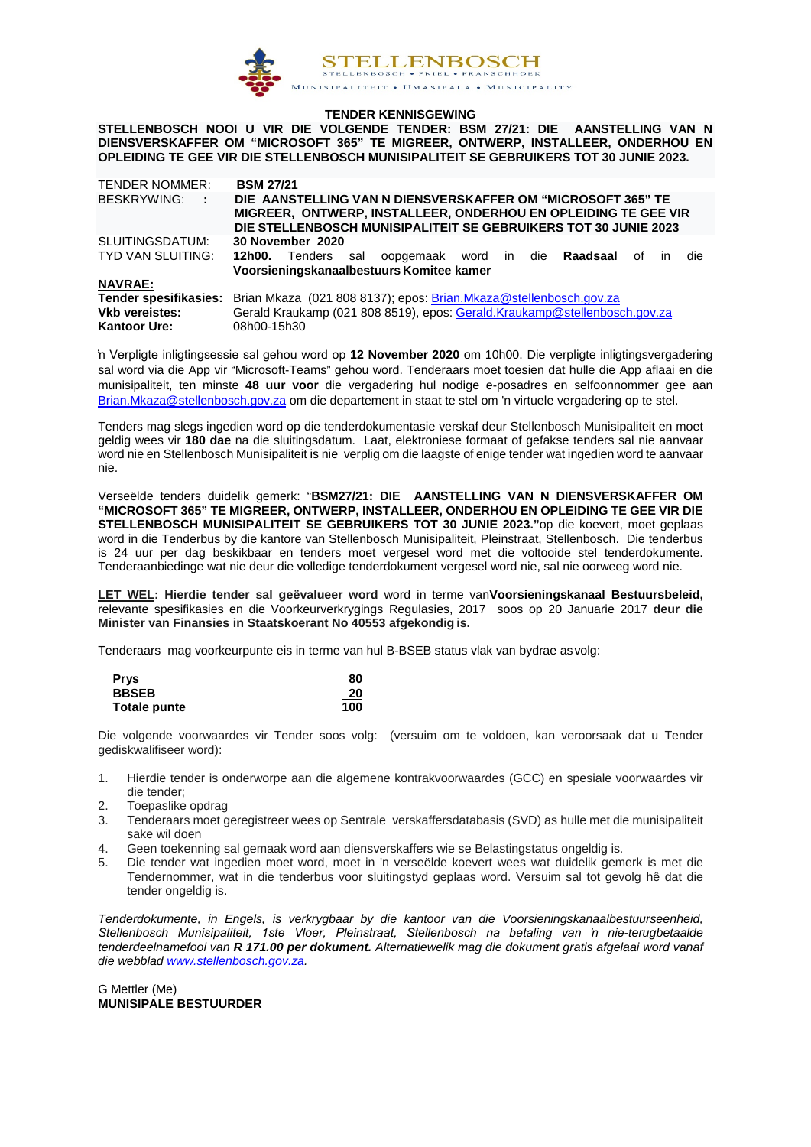

#### **TENDER KENNISGEWING**

**STELLENBOSCH NOOI U VIR DIE VOLGENDE TENDER: BSM 27/21: DIE AANSTELLING VAN N DIENSVERSKAFFER OM "MICROSOFT 365" TE MIGREER, ONTWERP, INSTALLEER, ONDERHOU EN OPLEIDING TE GEE VIR DIE STELLENBOSCH MUNISIPALITEIT SE GEBRUIKERS TOT 30 JUNIE 2023.**

| <b>TENDER NOMMER:</b>                        | <b>BSM 27/21</b>                                                                                                                                                                                 |  |  |
|----------------------------------------------|--------------------------------------------------------------------------------------------------------------------------------------------------------------------------------------------------|--|--|
| BESKRYWING: :                                | DIE AANSTELLING VAN N DIENSVERSKAFFER OM "MICROSOFT 365" TE<br>MIGREER, ONTWERP, INSTALLEER, ONDERHOU EN OPLEIDING TE GEE VIR<br>DIE STELLENBOSCH MUNISIPALITEIT SE GEBRUIKERS TOT 30 JUNIE 2023 |  |  |
| SLUITINGSDATUM:                              | 30 November 2020                                                                                                                                                                                 |  |  |
| TYD VAN SLUITING:                            | oopgemaak word in die Raadsaal<br><b>12h00.</b> Tenders sal<br>of<br>die<br>ın<br>Voorsieningskanaalbestuurs Komitee kamer                                                                       |  |  |
| <b>NAVRAE:</b>                               |                                                                                                                                                                                                  |  |  |
| Tender spesifikasies:                        | Brian Mkaza (021 808 8137); epos: Brian.Mkaza@stellenbosch.gov.za                                                                                                                                |  |  |
| <b>Vkb vereistes:</b><br><b>Kantoor Ure:</b> | Gerald Kraukamp (021 808 8519), epos: Gerald.Kraukamp@stellenbosch.gov.za<br>08h00-15h30                                                                                                         |  |  |

'n Verpligte inligtingsessie sal gehou word op **12 November 2020** om 10h00. Die verpligte inligtingsvergadering sal word via die App vir "Microsoft-Teams" gehou word. Tenderaars moet toesien dat hulle die App aflaai en die munisipaliteit, ten minste **48 uur voor** die vergadering hul nodige e-posadres en selfoonnommer gee aan [Brian.Mkaza@stellenbosch.gov.za](mailto:Brian.Mkaza@stellenbosch.gov.za) om die departement in staat te stel om 'n virtuele vergadering op te stel.

Tenders mag slegs ingedien word op die tenderdokumentasie verskaf deur Stellenbosch Munisipaliteit en moet geldig wees vir **180 dae** na die sluitingsdatum. Laat, elektroniese formaat of gefakse tenders sal nie aanvaar word nie en Stellenbosch Munisipaliteit is nie verplig om die laagste of enige tender wat ingedien word te aanvaar nie.

Verseëlde tenders duidelik gemerk: "**BSM27/21: DIE AANSTELLING VAN N DIENSVERSKAFFER OM "MICROSOFT 365" TE MIGREER, ONTWERP, INSTALLEER, ONDERHOU EN OPLEIDING TE GEE VIR DIE STELLENBOSCH MUNISIPALITEIT SE GEBRUIKERS TOT 30 JUNIE 2023."**op die koevert, moet geplaas word in die Tenderbus by die kantore van Stellenbosch Munisipaliteit, Pleinstraat, Stellenbosch. Die tenderbus is 24 uur per dag beskikbaar en tenders moet vergesel word met die voltooide stel tenderdokumente. Tenderaanbiedinge wat nie deur die volledige tenderdokument vergesel word nie, sal nie oorweeg word nie.

**LET WEL: Hierdie tender sal geëvalueer word** word in terme van**Voorsieningskanaal Bestuursbeleid,** relevante spesifikasies en die Voorkeurverkrygings Regulasies, 2017 soos op 20 Januarie 2017 **deur die Minister van Finansies in Staatskoerant No 40553 afgekondig is.**

Tenderaars mag voorkeurpunte eis in terme van hul B-BSEB status vlak van bydrae asvolg:

| <b>Prys</b>  | 80  |
|--------------|-----|
| <b>BBSEB</b> | 20  |
| Totale punte | 100 |

Die volgende voorwaardes vir Tender soos volg: (versuim om te voldoen, kan veroorsaak dat u Tender gediskwalifiseer word):

- 1. Hierdie tender is onderworpe aan die algemene kontrakvoorwaardes (GCC) en spesiale voorwaardes vir die tender;
- 2. Toepaslike opdrag
- 3. Tenderaars moet geregistreer wees op Sentrale verskaffersdatabasis (SVD) as hulle met die munisipaliteit sake wil doen
- 4. Geen toekenning sal gemaak word aan diensverskaffers wie se Belastingstatus ongeldig is.
- 5. Die tender wat ingedien moet word, moet in 'n verseëlde koevert wees wat duidelik gemerk is met die Tendernommer, wat in die tenderbus voor sluitingstyd geplaas word. Versuim sal tot gevolg hê dat die tender ongeldig is.

*Tenderdokumente, in Engels, is verkrygbaar by die kantoor van die Voorsieningskanaalbestuurseenheid, Stellenbosch Munisipaliteit, 1ste Vloer, Pleinstraat, Stellenbosch na betaling van 'n nie-terugbetaalde tenderdeelnamefooi van R 171.00 per dokument. Alternatiewelik mag die dokument gratis afgelaai word vanaf die webbla[d www.stellenbosch.gov.za.](http://www.stellenbosch.gov.za/)* 

G Mettler (Me) **MUNISIPALE BESTUURDER**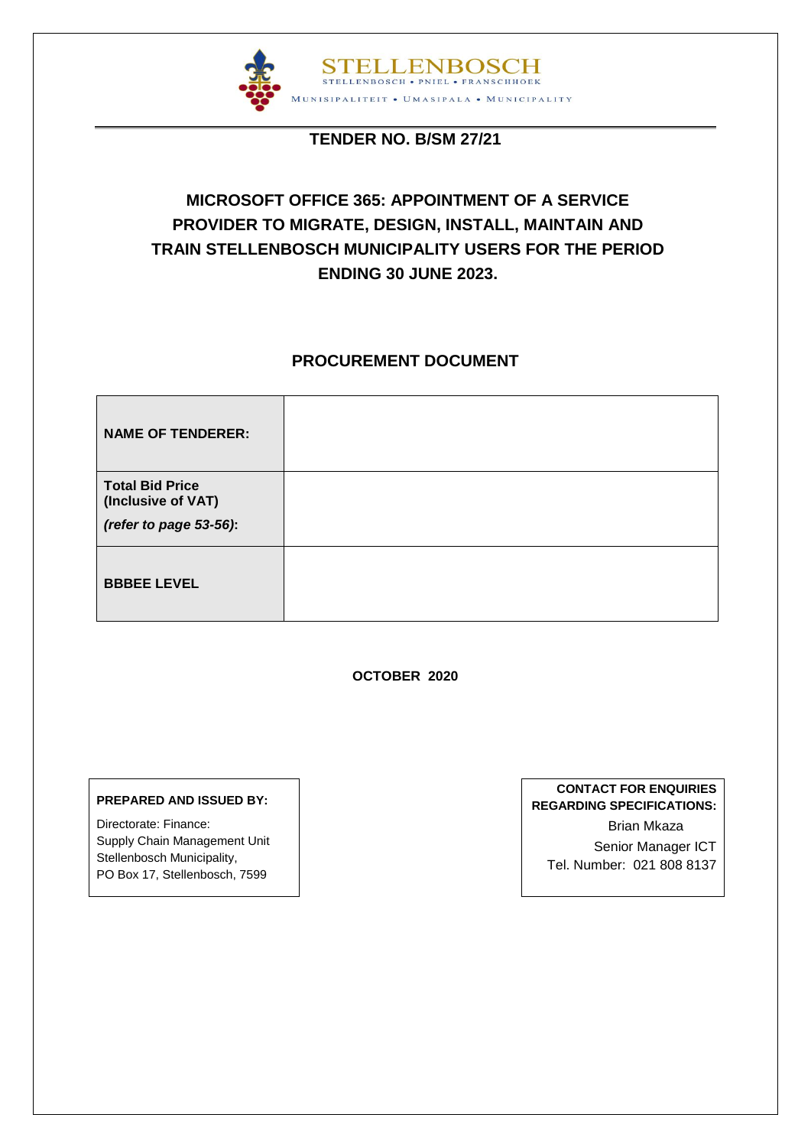

## **TENDER NO. B/SM 27/21**

# **MICROSOFT OFFICE 365: APPOINTMENT OF A SERVICE PROVIDER TO MIGRATE, DESIGN, INSTALL, MAINTAIN AND TRAIN STELLENBOSCH MUNICIPALITY USERS FOR THE PERIOD ENDING 30 JUNE 2023.**

## **PROCUREMENT DOCUMENT**

| <b>NAME OF TENDERER:</b>                                               |  |
|------------------------------------------------------------------------|--|
| <b>Total Bid Price</b><br>(Inclusive of VAT)<br>(refer to page 53-56): |  |
| <b>BBBEE LEVEL</b>                                                     |  |

**OCTOBER 2020**

#### **PREPARED AND ISSUED BY:**

Directorate: Finance: Supply Chain Management Unit Stellenbosch Municipality, PO Box 17, Stellenbosch, 7599

## **CONTACT FOR ENQUIRIES REGARDING SPECIFICATIONS:**  Brian Mkaza Senior Manager ICT Tel. Number: 021 808 8137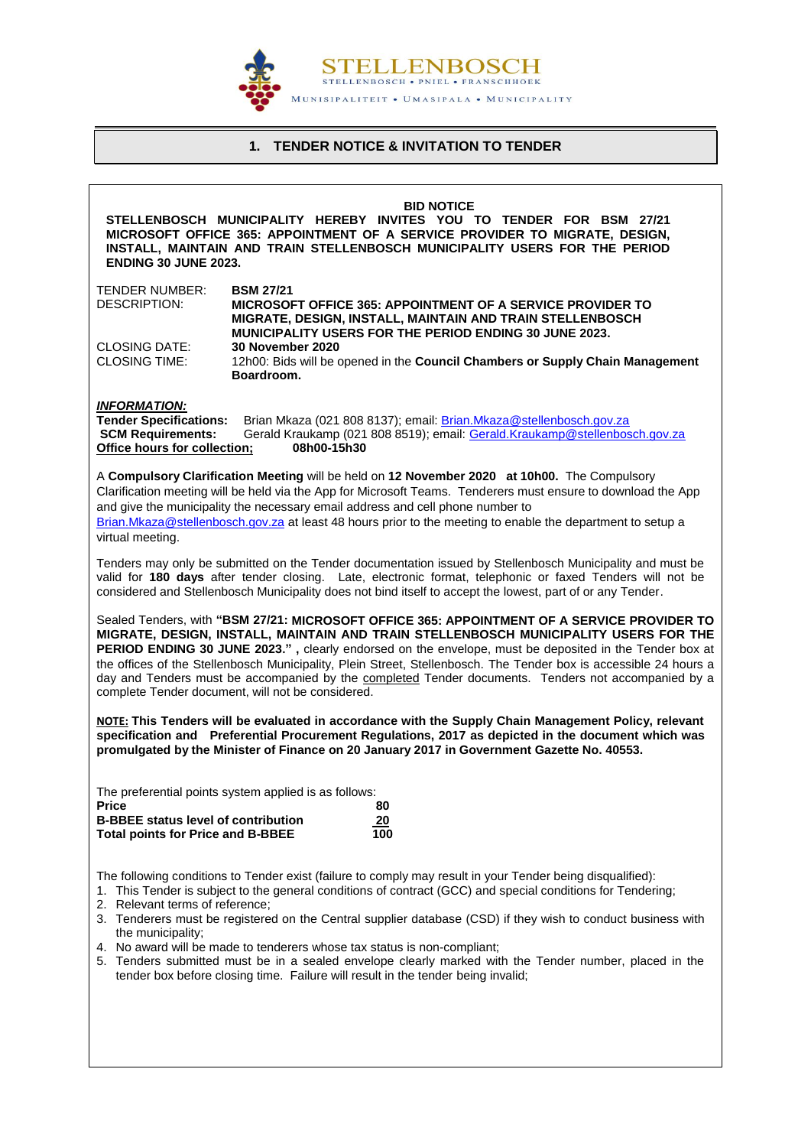

## **1. TENDER NOTICE & INVITATION TO TENDER**

<span id="page-3-0"></span>

| <b>BID NOTICE</b><br>STELLENBOSCH MUNICIPALITY HEREBY INVITES YOU TO TENDER FOR BSM 27/21<br>MICROSOFT OFFICE 365: APPOINTMENT OF A SERVICE PROVIDER TO MIGRATE, DESIGN,<br>INSTALL, MAINTAIN AND TRAIN STELLENBOSCH MUNICIPALITY USERS FOR THE PERIOD<br><b>ENDING 30 JUNE 2023.</b>                                                                                                                                                                                                                                                                                          |                                                                                                                                                                                                                                                                                                                                                                                                               |  |  |
|--------------------------------------------------------------------------------------------------------------------------------------------------------------------------------------------------------------------------------------------------------------------------------------------------------------------------------------------------------------------------------------------------------------------------------------------------------------------------------------------------------------------------------------------------------------------------------|---------------------------------------------------------------------------------------------------------------------------------------------------------------------------------------------------------------------------------------------------------------------------------------------------------------------------------------------------------------------------------------------------------------|--|--|
| TENDER NUMBER:<br>DESCRIPTION:                                                                                                                                                                                                                                                                                                                                                                                                                                                                                                                                                 | <b>BSM 27/21</b><br><b>MICROSOFT OFFICE 365: APPOINTMENT OF A SERVICE PROVIDER TO</b><br>MIGRATE, DESIGN, INSTALL, MAINTAIN AND TRAIN STELLENBOSCH<br>MUNICIPALITY USERS FOR THE PERIOD ENDING 30 JUNE 2023.                                                                                                                                                                                                  |  |  |
| <b>CLOSING DATE:</b><br><b>CLOSING TIME:</b>                                                                                                                                                                                                                                                                                                                                                                                                                                                                                                                                   | 30 November 2020<br>12h00: Bids will be opened in the Council Chambers or Supply Chain Management<br>Boardroom.                                                                                                                                                                                                                                                                                               |  |  |
| <b>INFORMATION:</b><br><b>Tender Specifications:</b><br><b>SCM Requirements:</b><br>Office hours for collection;                                                                                                                                                                                                                                                                                                                                                                                                                                                               | Brian Mkaza (021 808 8137); email: Brian.Mkaza@stellenbosch.gov.za<br>Gerald Kraukamp (021 808 8519); email: Gerald.Kraukamp@stellenbosch.gov.za<br>08h00-15h30                                                                                                                                                                                                                                               |  |  |
| virtual meeting.                                                                                                                                                                                                                                                                                                                                                                                                                                                                                                                                                               | A Compulsory Clarification Meeting will be held on 12 November 2020 at 10h00. The Compulsory<br>Clarification meeting will be held via the App for Microsoft Teams. Tenderers must ensure to download the App<br>and give the municipality the necessary email address and cell phone number to<br>Brian.Mkaza@stellenbosch.gov.za at least 48 hours prior to the meeting to enable the department to setup a |  |  |
|                                                                                                                                                                                                                                                                                                                                                                                                                                                                                                                                                                                | Tenders may only be submitted on the Tender documentation issued by Stellenbosch Municipality and must be<br>valid for 180 days after tender closing. Late, electronic format, telephonic or faxed Tenders will not be<br>considered and Stellenbosch Municipality does not bind itself to accept the lowest, part of or any Tender.                                                                          |  |  |
| Sealed Tenders, with "BSM 27/21: MICROSOFT OFFICE 365: APPOINTMENT OF A SERVICE PROVIDER TO<br>MIGRATE, DESIGN, INSTALL, MAINTAIN AND TRAIN STELLENBOSCH MUNICIPALITY USERS FOR THE<br>PERIOD ENDING 30 JUNE 2023.", clearly endorsed on the envelope, must be deposited in the Tender box at<br>the offices of the Stellenbosch Municipality, Plein Street, Stellenbosch. The Tender box is accessible 24 hours a<br>day and Tenders must be accompanied by the completed Tender documents. Tenders not accompanied by a<br>complete Tender document, will not be considered. |                                                                                                                                                                                                                                                                                                                                                                                                               |  |  |
| NOTE: This Tenders will be evaluated in accordance with the Supply Chain Management Policy, relevant<br>specification and Preferential Procurement Regulations, 2017 as depicted in the document which was<br>promulgated by the Minister of Finance on 20 January 2017 in Government Gazette No. 40553.                                                                                                                                                                                                                                                                       |                                                                                                                                                                                                                                                                                                                                                                                                               |  |  |
| Price<br><b>B-BBEE status level of contribution</b><br><b>Total points for Price and B-BBEE</b>                                                                                                                                                                                                                                                                                                                                                                                                                                                                                | The preferential points system applied is as follows:<br>80<br>20<br>100                                                                                                                                                                                                                                                                                                                                      |  |  |
| 2. Relevant terms of reference;                                                                                                                                                                                                                                                                                                                                                                                                                                                                                                                                                | The following conditions to Tender exist (failure to comply may result in your Tender being disqualified):<br>1. This Tender is subject to the general conditions of contract (GCC) and special conditions for Tendering;                                                                                                                                                                                     |  |  |
| the municipality;                                                                                                                                                                                                                                                                                                                                                                                                                                                                                                                                                              | 3. Tenderers must be registered on the Central supplier database (CSD) if they wish to conduct business with<br>4. No award will be made to tenderers whose tax status is non-compliant;<br>5. Tenders submitted must be in a sealed envelope clearly marked with the Tender number, placed in the<br>tender box before closing time. Failure will result in the tender being invalid;                        |  |  |
|                                                                                                                                                                                                                                                                                                                                                                                                                                                                                                                                                                                |                                                                                                                                                                                                                                                                                                                                                                                                               |  |  |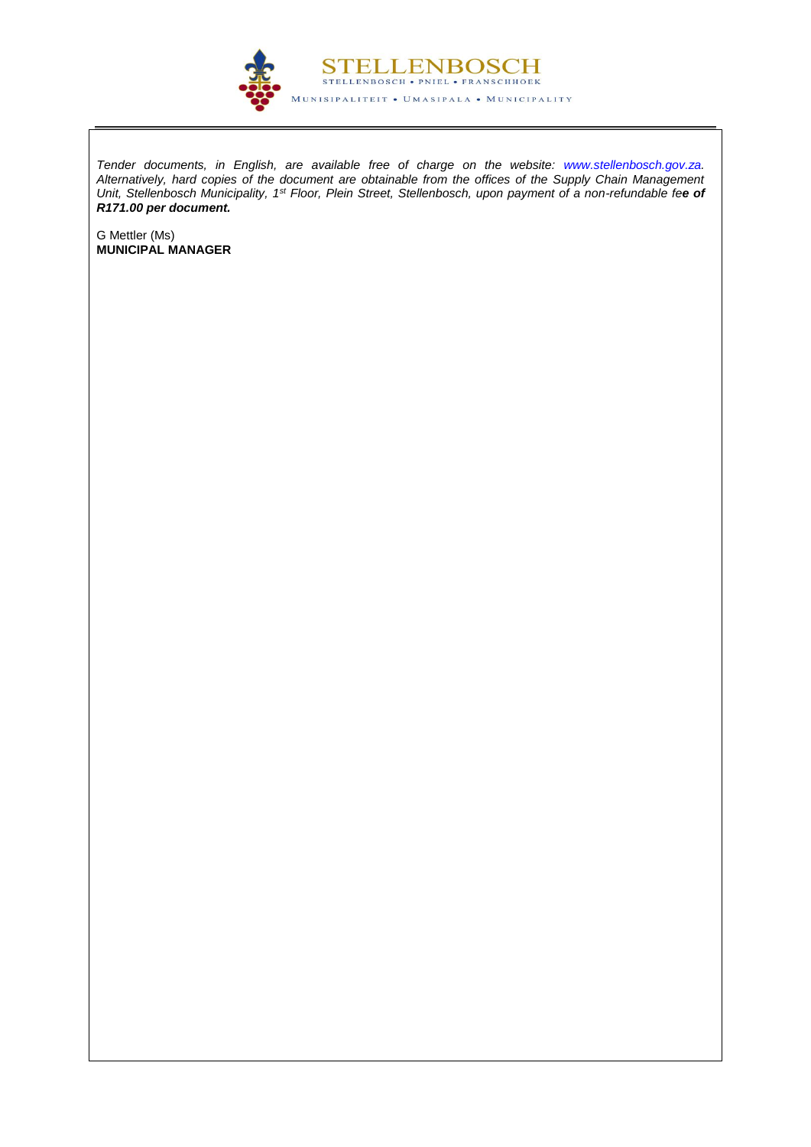

*Tender documents, in English, are available free of charge on the website: [www.stellenbosch.gov.za.](http://www.stellenbosch.gov.za/) Alternatively, hard copies of the document are obtainable from the offices of the Supply Chain Management Unit, Stellenbosch Municipality, 1st Floor, Plein Street, Stellenbosch, upon payment of a non-refundable fee of R171.00 per document.*

G Mettler (Ms) **MUNICIPAL MANAGER**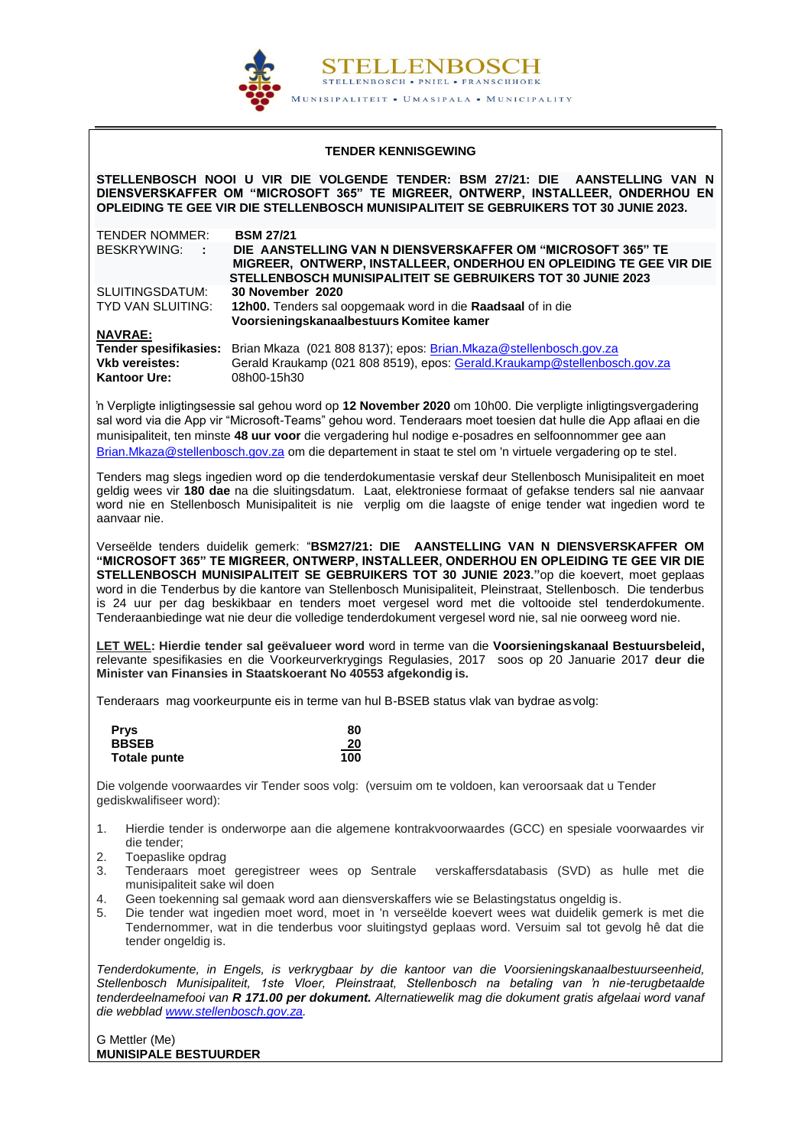

#### **TENDER KENNISGEWING**

<span id="page-5-0"></span>**STELLENBOSCH NOOI U VIR DIE VOLGENDE TENDER: BSM 27/21: DIE AANSTELLING VAN N DIENSVERSKAFFER OM "MICROSOFT 365" TE MIGREER, ONTWERP, INSTALLEER, ONDERHOU EN OPLEIDING TE GEE VIR DIE STELLENBOSCH MUNISIPALITEIT SE GEBRUIKERS TOT 30 JUNIE 2023.**

| <b>TENDER NOMMER:</b> | <b>BSM 27/21</b>                                                                                                                                                                                 |
|-----------------------|--------------------------------------------------------------------------------------------------------------------------------------------------------------------------------------------------|
| BESKRYWING: :         | DIE AANSTELLING VAN N DIENSVERSKAFFER OM "MICROSOFT 365" TE<br>MIGREER, ONTWERP, INSTALLEER, ONDERHOU EN OPLEIDING TE GEE VIR DIE<br>STELLENBOSCH MUNISIPALITEIT SE GEBRUIKERS TOT 30 JUNIE 2023 |
| SLUITINGSDATUM:       | 30 November 2020                                                                                                                                                                                 |
| TYD VAN SLUITING:     | 12h00. Tenders sal oopgemaak word in die Raadsaal of in die<br>Voorsieningskanaalbestuurs Komitee kamer                                                                                          |
| <b>NAVRAE:</b>        |                                                                                                                                                                                                  |
|                       | Tender spesifikasies: Brian Mkaza (021 808 8137); epos: Brian.Mkaza@stellenbosch.gov.za                                                                                                          |
| <b>Vkb vereistes:</b> | Gerald Kraukamp (021 808 8519), epos: Gerald.Kraukamp@stellenbosch.gov.za                                                                                                                        |
| <b>Kantoor Ure:</b>   | 08h00-15h30                                                                                                                                                                                      |

'n Verpligte inligtingsessie sal gehou word op **12 November 2020** om 10h00. Die verpligte inligtingsvergadering sal word via die App vir "Microsoft-Teams" gehou word. Tenderaars moet toesien dat hulle die App aflaai en die munisipaliteit, ten minste **48 uur voor** die vergadering hul nodige e-posadres en selfoonnommer gee aan [Brian.Mkaza@stellenbosch.gov.za](mailto:Brian.Mkaza@stellenbosch.gov.za) om die departement in staat te stel om 'n virtuele vergadering op te stel.

Tenders mag slegs ingedien word op die tenderdokumentasie verskaf deur Stellenbosch Munisipaliteit en moet geldig wees vir **180 dae** na die sluitingsdatum. Laat, elektroniese formaat of gefakse tenders sal nie aanvaar word nie en Stellenbosch Munisipaliteit is nie verplig om die laagste of enige tender wat ingedien word te aanvaar nie.

Verseëlde tenders duidelik gemerk: "**BSM27/21: DIE AANSTELLING VAN N DIENSVERSKAFFER OM "MICROSOFT 365" TE MIGREER, ONTWERP, INSTALLEER, ONDERHOU EN OPLEIDING TE GEE VIR DIE STELLENBOSCH MUNISIPALITEIT SE GEBRUIKERS TOT 30 JUNIE 2023."**op die koevert, moet geplaas word in die Tenderbus by die kantore van Stellenbosch Munisipaliteit, Pleinstraat, Stellenbosch. Die tenderbus is 24 uur per dag beskikbaar en tenders moet vergesel word met die voltooide stel tenderdokumente. Tenderaanbiedinge wat nie deur die volledige tenderdokument vergesel word nie, sal nie oorweeg word nie.

**LET WEL: Hierdie tender sal geëvalueer word** word in terme van die **Voorsieningskanaal Bestuursbeleid,** relevante spesifikasies en die Voorkeurverkrygings Regulasies, 2017 soos op 20 Januarie 2017 **deur die Minister van Finansies in Staatskoerant No 40553 afgekondig is.**

Tenderaars mag voorkeurpunte eis in terme van hul B-BSEB status vlak van bydrae as volg:

| <b>Prys</b>  | 80  |
|--------------|-----|
| <b>BBSEB</b> | 20  |
| Totale punte | 100 |

Die volgende voorwaardes vir Tender soos volg: (versuim om te voldoen, kan veroorsaak dat u Tender gediskwalifiseer word):

- 1. Hierdie tender is onderworpe aan die algemene kontrakvoorwaardes (GCC) en spesiale voorwaardes vir die tender;
- 2. Toepaslike opdrag
- 3. Tenderaars moet geregistreer wees op Sentrale verskaffersdatabasis (SVD) as hulle met die munisipaliteit sake wil doen
- 4. Geen toekenning sal gemaak word aan diensverskaffers wie se Belastingstatus ongeldig is.
- 5. Die tender wat ingedien moet word, moet in 'n verseëlde koevert wees wat duidelik gemerk is met die Tendernommer, wat in die tenderbus voor sluitingstyd geplaas word. Versuim sal tot gevolg hê dat die tender ongeldig is.

*Tenderdokumente, in Engels, is verkrygbaar by die kantoor van die Voorsieningskanaalbestuurseenheid, Stellenbosch Munisipaliteit, 1ste Vloer, Pleinstraat, Stellenbosch na betaling van 'n nie-terugbetaalde tenderdeelnamefooi van R 171.00 per dokument. Alternatiewelik mag die dokument gratis afgelaai word vanaf die webblad [www.stellenbosch.gov.za.](http://www.stellenbosch.gov.za/)* 

G Mettler (Me) **MUNISIPALE BESTUURDER**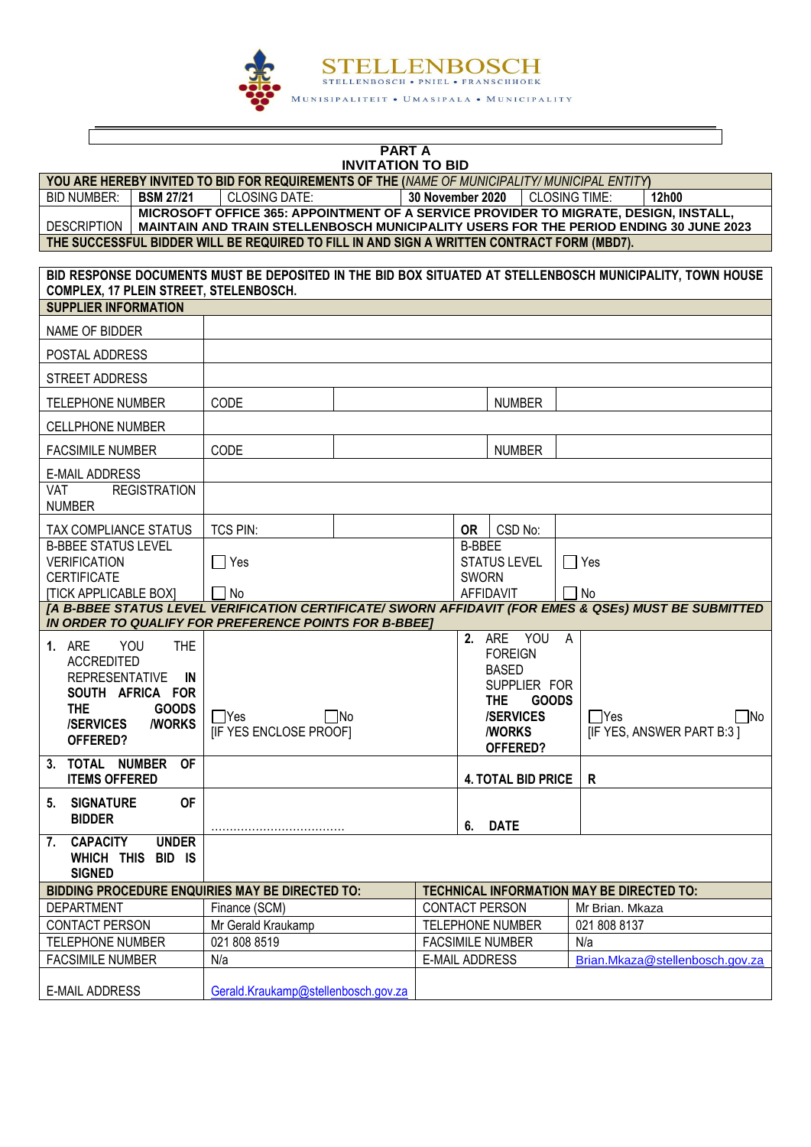

#### **PART A INVITATION TO BID YOU ARE HEREBY INVITED TO BID FOR REQUIREMENTS OF THE (***NAME OF MUNICIPALITY/ MUNICIPAL ENTITY***)** BID NUMBER: **BSM 27/21** CLOSING DATE: **30 November 2020** CLOSING TIME: **12h00 DESCRIPTION MICROSOFT OFFICE 365: APPOINTMENT OF A SERVICE PROVIDER TO MIGRATE, DESIGN, INSTALL, MAINTAIN AND TRAIN STELLENBOSCH MUNICIPALITY USERS FOR THE PERIOD ENDING 30 JUNE 2023 THE SUCCESSFUL BIDDER WILL BE REQUIRED TO FILL IN AND SIGN A WRITTEN CONTRACT FORM (MBD7). BID RESPONSE DOCUMENTS MUST BE DEPOSITED IN THE BID BOX SITUATED AT STELLENBOSCH MUNICIPALITY, TOWN HOUSE COMPLEX, 17 PLEIN STREET, STELENBOSCH. SUPPLIER INFORMATION** NAME OF BIDDER POSTAL ADDRESS STREET ADDRESS TELEPHONE NUMBER (CODE ) NUMBER CELLPHONE NUMBER FACSIMILE NUMBER CODE NUMBER NUMBER E-MAIL ADDRESS VAT REGISTRATION NUMBER TAX COMPLIANCE STATUS TCS PIN: **OR** CSD No: B-BBEE STATUS LEVEL VERIFICATION **CERTIFICATE** [TICK APPLICABLE BOX]  $\Box$  Yes  $\Box$  No B-BBEE STATUS LEVEL SWORN AFFIDAVIT  $\Box$  Yes  $\Box$  No *[A B-BBEE STATUS LEVEL VERIFICATION CERTIFICATE/ SWORN AFFIDAVIT (FOR EMES & QSEs) MUST BE SUBMITTED IN ORDER TO QUALIFY FOR PREFERENCE POINTS FOR B-BBEE]* **1.** ARE YOU THE ACCREDITED REPRESENTATIVE **IN SOUTH AFRICA FOR**  THE **GOODS**<br>**/SERVICES** /WORKS **/SERVICES OFFERED?**  $\Box$ Yes  $\Box$ No [IF YES ENCLOSE PROOF] **2.** ARE YOU A FOREIGN BASED SUPPLIER FOR **THE GOODS /SERVICES /WORKS OFFERED?**  $\Box$ Yes  $\Box$ No [IF YES, ANSWER PART B:3 ] **3. TOTAL NUMBER OF ITEMS OFFERED 4. TOTAL BID PRICE R 5. SIGNATURE OF BIDDER** ……………………………… **6. DATE 7. CAPACITY UNDER WHICH THIS BID IS SIGNED BIDDING PROCEDURE ENQUIRIES MAY BE DIRECTED TO: TECHNICAL INFORMATION MAY BE DIRECTED TO:** DEPARTMENT Finance (SCM) CONTACT PERSON Mr Brian. Mkaza CONTACT PERSON | Mr Gerald Kraukamp | TELEPHONE NUMBER | 021 808 8137 TELEPHONE NUMBER  $\vert$  021 808 8519 FACSIMILE NUMBER N/a FACSIMILE NUMBER N/a N/a E-MAIL ADDRESS [Brian.Mkaza@stellenbosch.gov.za](mailto:Brian.Mkaza@stellenbosch.gov.za) E-MAIL ADDRESS [Gerald.Kraukamp@stellenbosch.gov.za](mailto:Gerald.Kraukamp@stellenbosch.gov.za)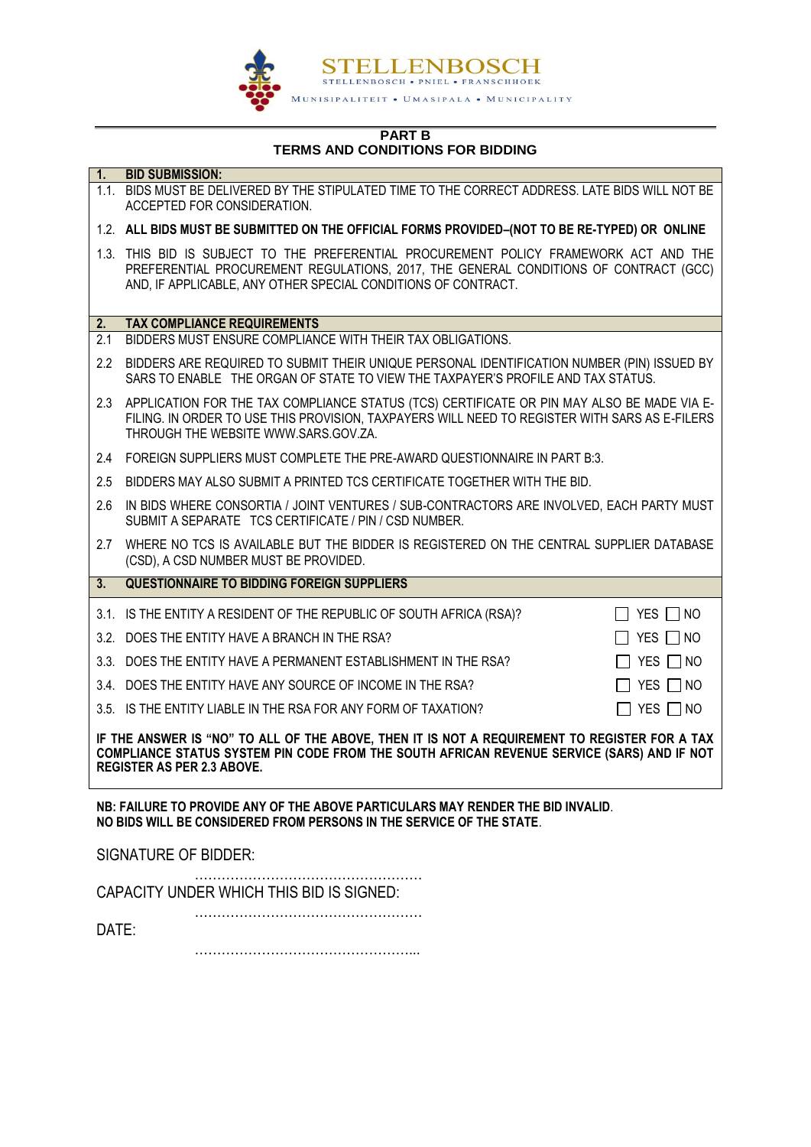

#### **PART B TERMS AND CONDITIONS FOR BIDDING**

| $\overline{1}$ .                                                                                                                                                                                                                 | <b>BID SUBMISSION:</b>                                                                                                                                                                                                                         |                      |  |
|----------------------------------------------------------------------------------------------------------------------------------------------------------------------------------------------------------------------------------|------------------------------------------------------------------------------------------------------------------------------------------------------------------------------------------------------------------------------------------------|----------------------|--|
|                                                                                                                                                                                                                                  | 1.1. BIDS MUST BE DELIVERED BY THE STIPULATED TIME TO THE CORRECT ADDRESS. LATE BIDS WILL NOT BE<br>ACCEPTED FOR CONSIDERATION.                                                                                                                |                      |  |
|                                                                                                                                                                                                                                  | 1.2. ALL BIDS MUST BE SUBMITTED ON THE OFFICIAL FORMS PROVIDED-(NOT TO BE RE-TYPED) OR ONLINE                                                                                                                                                  |                      |  |
|                                                                                                                                                                                                                                  | 1.3. THIS BID IS SUBJECT TO THE PREFERENTIAL PROCUREMENT POLICY FRAMEWORK ACT AND THE<br>PREFERENTIAL PROCUREMENT REGULATIONS, 2017, THE GENERAL CONDITIONS OF CONTRACT (GCC)<br>AND, IF APPLICABLE, ANY OTHER SPECIAL CONDITIONS OF CONTRACT. |                      |  |
| 2.                                                                                                                                                                                                                               | <b>TAX COMPLIANCE REQUIREMENTS</b>                                                                                                                                                                                                             |                      |  |
| 2.1                                                                                                                                                                                                                              | BIDDERS MUST ENSURE COMPLIANCE WITH THEIR TAX OBLIGATIONS.                                                                                                                                                                                     |                      |  |
| $2.2\phantom{0}$                                                                                                                                                                                                                 | BIDDERS ARE REQUIRED TO SUBMIT THEIR UNIQUE PERSONAL IDENTIFICATION NUMBER (PIN) ISSUED BY<br>SARS TO ENABLE THE ORGAN OF STATE TO VIEW THE TAXPAYER'S PROFILE AND TAX STATUS.                                                                 |                      |  |
|                                                                                                                                                                                                                                  | 2.3 APPLICATION FOR THE TAX COMPLIANCE STATUS (TCS) CERTIFICATE OR PIN MAY ALSO BE MADE VIA E-<br>FILING. IN ORDER TO USE THIS PROVISION, TAXPAYERS WILL NEED TO REGISTER WITH SARS AS E-FILERS<br>THROUGH THE WEBSITE WWW.SARS.GOV.ZA.        |                      |  |
| 2.4                                                                                                                                                                                                                              | FOREIGN SUPPLIERS MUST COMPLETE THE PRE-AWARD QUESTIONNAIRE IN PART B:3.                                                                                                                                                                       |                      |  |
| 2.5                                                                                                                                                                                                                              | BIDDERS MAY ALSO SUBMIT A PRINTED TCS CERTIFICATE TOGETHER WITH THE BID.                                                                                                                                                                       |                      |  |
| 2.6                                                                                                                                                                                                                              | IN BIDS WHERE CONSORTIA / JOINT VENTURES / SUB-CONTRACTORS ARE INVOLVED, EACH PARTY MUST<br>SUBMIT A SEPARATE TCS CERTIFICATE / PIN / CSD NUMBER.                                                                                              |                      |  |
| 2.7                                                                                                                                                                                                                              | WHERE NO TCS IS AVAILABLE BUT THE BIDDER IS REGISTERED ON THE CENTRAL SUPPLIER DATABASE<br>(CSD), A CSD NUMBER MUST BE PROVIDED.                                                                                                               |                      |  |
| $\overline{3}$ .                                                                                                                                                                                                                 | <b>QUESTIONNAIRE TO BIDDING FOREIGN SUPPLIERS</b>                                                                                                                                                                                              |                      |  |
|                                                                                                                                                                                                                                  | 3.1. IS THE ENTITY A RESIDENT OF THE REPUBLIC OF SOUTH AFRICA (RSA)?                                                                                                                                                                           | $\Box$ YES $\Box$ NO |  |
|                                                                                                                                                                                                                                  | 3.2. DOES THE ENTITY HAVE A BRANCH IN THE RSA?                                                                                                                                                                                                 | $\Box$ yes $\Box$ no |  |
|                                                                                                                                                                                                                                  | 3.3. DOES THE ENTITY HAVE A PERMANENT ESTABLISHMENT IN THE RSA?                                                                                                                                                                                | $\Box$ YES $\Box$ NO |  |
|                                                                                                                                                                                                                                  | 3.4. DOES THE ENTITY HAVE ANY SOURCE OF INCOME IN THE RSA?                                                                                                                                                                                     | $\Box$ YES $\Box$ NO |  |
|                                                                                                                                                                                                                                  | 3.5. IS THE ENTITY LIABLE IN THE RSA FOR ANY FORM OF TAXATION?                                                                                                                                                                                 | $\Box$ YES $\Box$ NO |  |
| IF THE ANSWER IS "NO" TO ALL OF THE ABOVE, THEN IT IS NOT A REQUIREMENT TO REGISTER FOR A TAX<br>COMPLIANCE STATUS SYSTEM PIN CODE FROM THE SOUTH AFRICAN REVENUE SERVICE (SARS) AND IF NOT<br><b>REGISTER AS PER 2.3 ABOVE.</b> |                                                                                                                                                                                                                                                |                      |  |
| NB: FAILURE TO PROVIDE ANY OF THE ABOVE PARTICULARS MAY RENDER THE BID INVALID.<br>NO BIDS WILL BE CONSIDERED FROM PERSONS IN THE SERVICE OF THE STATE.                                                                          |                                                                                                                                                                                                                                                |                      |  |

SIGNATURE OF BIDDER:

…………………………………………… CAPACITY UNDER WHICH THIS BID IS SIGNED:

…………………………………………… DATE:

…………………………………………...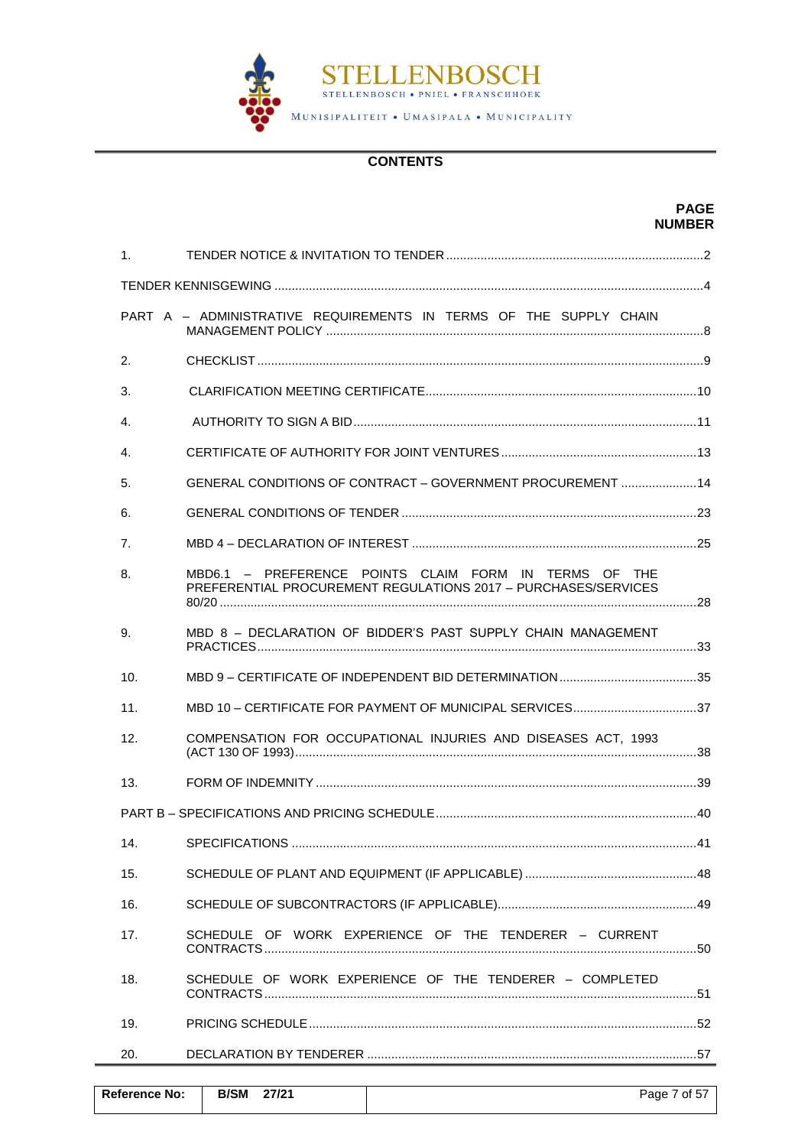

## **CONTENTS**

|                |                                                                                                                         | <b>PAGE</b><br><b>NUMBER</b> |
|----------------|-------------------------------------------------------------------------------------------------------------------------|------------------------------|
| 1.             |                                                                                                                         |                              |
|                |                                                                                                                         |                              |
|                | PART A - ADMINISTRATIVE REQUIREMENTS IN TERMS OF THE SUPPLY CHAIN                                                       |                              |
| 2.             |                                                                                                                         |                              |
| 3.             |                                                                                                                         |                              |
| $\mathbf{4}$ . |                                                                                                                         |                              |
| 4.             |                                                                                                                         |                              |
| 5.             | GENERAL CONDITIONS OF CONTRACT - GOVERNMENT PROCUREMENT  14                                                             |                              |
| 6.             |                                                                                                                         |                              |
| 7.             |                                                                                                                         |                              |
| 8.             | MBD6.1 - PREFERENCE POINTS CLAIM FORM IN TERMS OF THE<br>PREFERENTIAL PROCUREMENT REGULATIONS 2017 - PURCHASES/SERVICES |                              |
| 9.             | MBD 8 - DECLARATION OF BIDDER'S PAST SUPPLY CHAIN MANAGEMENT                                                            |                              |
| 10.            |                                                                                                                         |                              |
| 11.            |                                                                                                                         |                              |
| 12.            | COMPENSATION FOR OCCUPATIONAL INJURIES AND DISEASES ACT, 1993                                                           |                              |
| 13.            |                                                                                                                         |                              |
|                |                                                                                                                         |                              |
| 14.            |                                                                                                                         |                              |
| 15.            |                                                                                                                         |                              |
| 16.            |                                                                                                                         |                              |
| 17.            | SCHEDULE OF WORK EXPERIENCE OF THE TENDERER - CURRENT                                                                   |                              |
| 18.            | SCHEDULE OF WORK EXPERIENCE OF THE TENDERER - COMPLETED                                                                 |                              |
| 19.            |                                                                                                                         |                              |
| 20.            |                                                                                                                         |                              |

| <b>Reference No:</b> | <b>B/SM</b> | 27/21 | Page 7 of 57 |
|----------------------|-------------|-------|--------------|
|                      |             |       |              |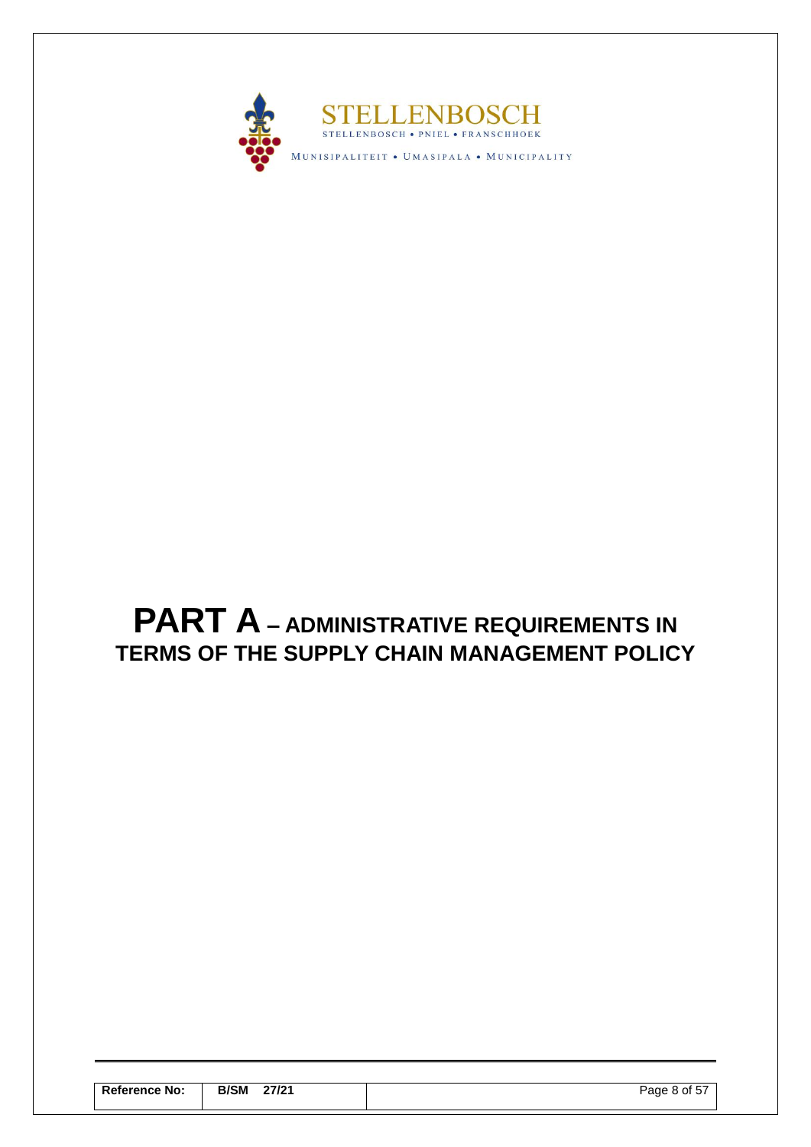

# <span id="page-9-0"></span>**PART A – ADMINISTRATIVE REQUIREMENTS IN TERMS OF THE SUPPLY CHAIN MANAGEMENT POLICY**

| <b>Reference No:</b> | <b>B/SM</b><br>27/21<br>________ | Page 8 of 57 |
|----------------------|----------------------------------|--------------|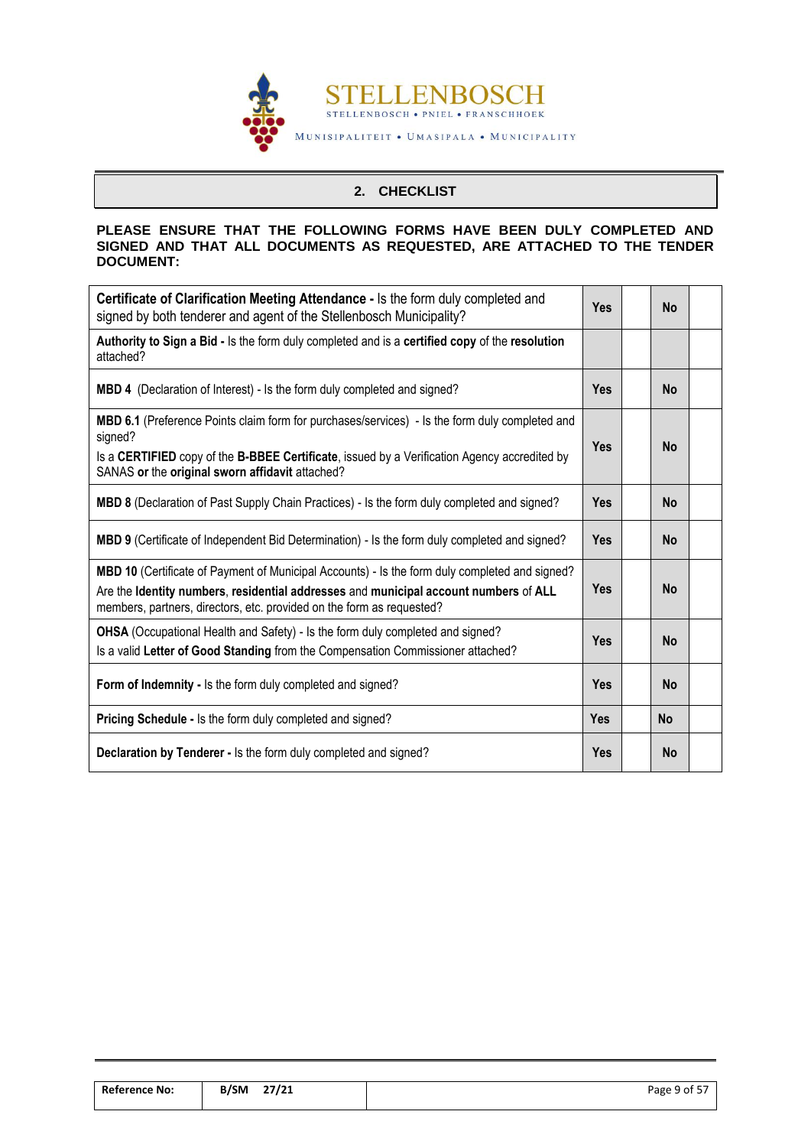

## **2. CHECKLIST**

## <span id="page-10-0"></span>**PLEASE ENSURE THAT THE FOLLOWING FORMS HAVE BEEN DULY COMPLETED AND SIGNED AND THAT ALL DOCUMENTS AS REQUESTED, ARE ATTACHED TO THE TENDER DOCUMENT:**

| Certificate of Clarification Meeting Attendance - Is the form duly completed and<br>signed by both tenderer and agent of the Stellenbosch Municipality?                                                                                                             | <b>Yes</b> |  | <b>No</b> |  |
|---------------------------------------------------------------------------------------------------------------------------------------------------------------------------------------------------------------------------------------------------------------------|------------|--|-----------|--|
| Authority to Sign a Bid - Is the form duly completed and is a certified copy of the resolution<br>attached?                                                                                                                                                         |            |  |           |  |
| MBD 4 (Declaration of Interest) - Is the form duly completed and signed?                                                                                                                                                                                            | <b>Yes</b> |  | <b>No</b> |  |
| <b>MBD 6.1</b> (Preference Points claim form for purchases/services) - Is the form duly completed and<br>signed?<br>Is a CERTIFIED copy of the B-BBEE Certificate, issued by a Verification Agency accredited by<br>SANAS or the original sworn affidavit attached? | <b>Yes</b> |  | <b>No</b> |  |
| MBD 8 (Declaration of Past Supply Chain Practices) - Is the form duly completed and signed?                                                                                                                                                                         | <b>Yes</b> |  | <b>No</b> |  |
| <b>MBD 9</b> (Certificate of Independent Bid Determination) - Is the form duly completed and signed?                                                                                                                                                                | <b>Yes</b> |  | <b>No</b> |  |
| MBD 10 (Certificate of Payment of Municipal Accounts) - Is the form duly completed and signed?<br>Are the Identity numbers, residential addresses and municipal account numbers of ALL<br>members, partners, directors, etc. provided on the form as requested?     | <b>Yes</b> |  | <b>No</b> |  |
| OHSA (Occupational Health and Safety) - Is the form duly completed and signed?<br>Is a valid Letter of Good Standing from the Compensation Commissioner attached?                                                                                                   | <b>Yes</b> |  | <b>No</b> |  |
| Form of Indemnity - Is the form duly completed and signed?                                                                                                                                                                                                          |            |  | <b>No</b> |  |
| <b>Pricing Schedule - Is the form duly completed and signed?</b>                                                                                                                                                                                                    | <b>Yes</b> |  | <b>No</b> |  |
| Declaration by Tenderer - Is the form duly completed and signed?                                                                                                                                                                                                    | <b>Yes</b> |  | <b>No</b> |  |

| <b>Reference No:</b> | 27/21<br><b>B/SM</b> | Page 9 of 57 |
|----------------------|----------------------|--------------|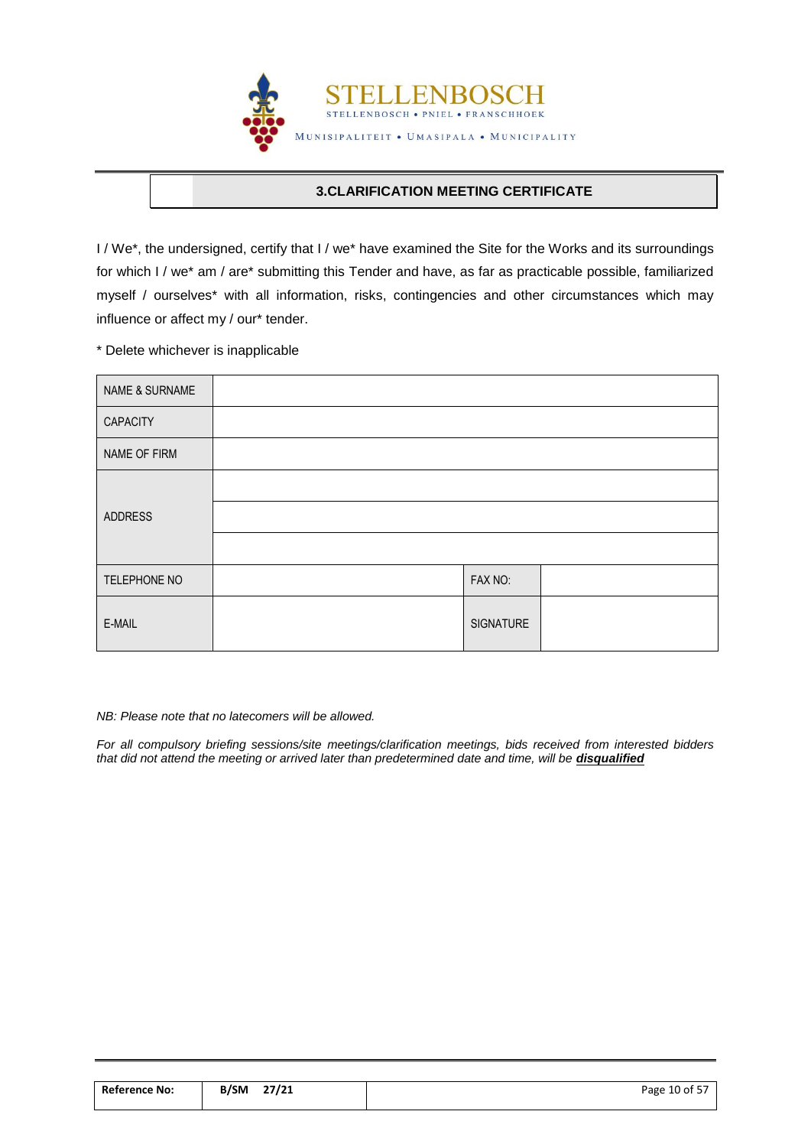

## **3.CLARIFICATION MEETING CERTIFICATE**

<span id="page-11-0"></span>I / We\*, the undersigned, certify that I / we\* have examined the Site for the Works and its surroundings for which I / we\* am / are\* submitting this Tender and have, as far as practicable possible, familiarized myself / ourselves\* with all information, risks, contingencies and other circumstances which may influence or affect my / our\* tender.

\* Delete whichever is inapplicable

| NAME & SURNAME |           |  |
|----------------|-----------|--|
| CAPACITY       |           |  |
| NAME OF FIRM   |           |  |
|                |           |  |
| <b>ADDRESS</b> |           |  |
|                |           |  |
| TELEPHONE NO   | FAX NO:   |  |
| E-MAIL         | SIGNATURE |  |

*NB: Please note that no latecomers will be allowed.*

*For all compulsory briefing sessions/site meetings/clarification meetings, bids received from interested bidders*  that did not attend the meeting or arrived later than predetermined date and time, will be **disqualified** 

| <b>Reference No:</b> | 27/21<br>B/SM | Page 10 of 57 |
|----------------------|---------------|---------------|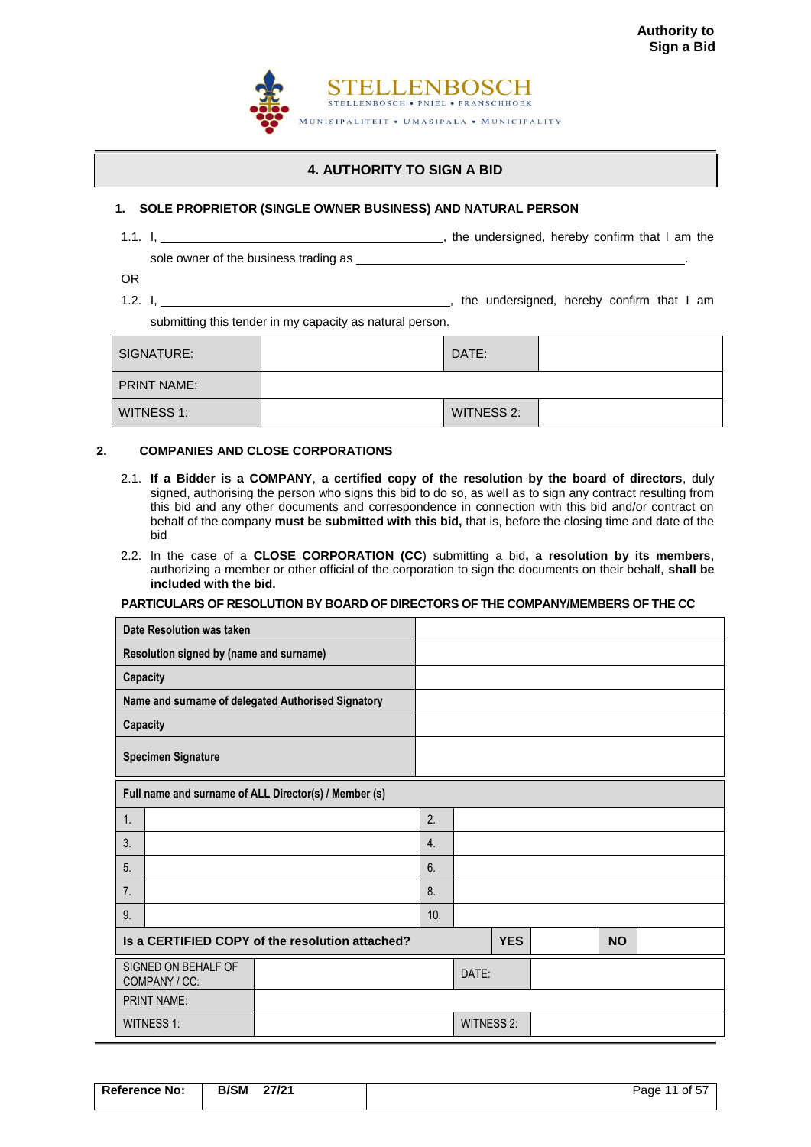

## **4. AUTHORITY TO SIGN A BID**

#### <span id="page-12-0"></span>**1. SOLE PROPRIETOR (SINGLE OWNER BUSINESS) AND NATURAL PERSON**

1.1. I,  $\frac{1}{\sqrt{1-\frac{1}{\sqrt{1-\frac{1}{\sqrt{1-\frac{1}{\sqrt{1-\frac{1}{\sqrt{1-\frac{1}{\sqrt{1-\frac{1}{\sqrt{1-\frac{1}{\sqrt{1-\frac{1}{\sqrt{1-\frac{1}{\sqrt{1-\frac{1}{\sqrt{1-\frac{1}{\sqrt{1-\frac{1}{\sqrt{1-\frac{1}{\sqrt{1-\frac{1}{\sqrt{1-\frac{1}{\sqrt{1-\frac{1}{\sqrt{1-\frac{1}{\sqrt{1-\frac{1}{\sqrt{1-\frac{1}{\sqrt{1-\frac{1}{\sqrt{1-\frac{1}{\sqrt{1-\frac{1}{\sqrt{1-\frac{1}{\$ 

sole owner of the business trading as \_\_\_\_

OR 1.2. I,  $\frac{1}{12}$   $\frac{1}{12}$   $\frac{1}{12}$   $\frac{1}{12}$   $\frac{1}{12}$   $\frac{1}{12}$   $\frac{1}{12}$  am

submitting this tender in my capacity as natural person.

| SIGNATURE:         | DATE:      |  |
|--------------------|------------|--|
| <b>PRINT NAME:</b> |            |  |
| WITNESS 1:         | WITNESS 2: |  |

#### **2. COMPANIES AND CLOSE CORPORATIONS**

- 2.1. **If a Bidder is a COMPANY**, **a certified copy of the resolution by the board of directors**, duly signed, authorising the person who signs this bid to do so, as well as to sign any contract resulting from this bid and any other documents and correspondence in connection with this bid and/or contract on behalf of the company **must be submitted with this bid,** that is, before the closing time and date of the bid
- 2.2. In the case of a **CLOSE CORPORATION (CC**) submitting a bid**, a resolution by its members**, authorizing a member or other official of the corporation to sign the documents on their behalf, **shall be included with the bid.**

#### **PARTICULARS OF RESOLUTION BY BOARD OF DIRECTORS OF THE COMPANY/MEMBERS OF THE CC**

| Date Resolution was taken                       |                                                       |     |                   |            |  |           |  |
|-------------------------------------------------|-------------------------------------------------------|-----|-------------------|------------|--|-----------|--|
|                                                 | Resolution signed by (name and surname)               |     |                   |            |  |           |  |
| Capacity                                        |                                                       |     |                   |            |  |           |  |
|                                                 | Name and surname of delegated Authorised Signatory    |     |                   |            |  |           |  |
| Capacity                                        |                                                       |     |                   |            |  |           |  |
|                                                 | <b>Specimen Signature</b>                             |     |                   |            |  |           |  |
|                                                 | Full name and surname of ALL Director(s) / Member (s) |     |                   |            |  |           |  |
| 1.                                              |                                                       | 2.  |                   |            |  |           |  |
| 3.                                              |                                                       | 4.  |                   |            |  |           |  |
| 5 <sub>1</sub>                                  |                                                       | 6.  |                   |            |  |           |  |
| 7.                                              |                                                       | 8.  |                   |            |  |           |  |
| 9.                                              |                                                       | 10. |                   |            |  |           |  |
| Is a CERTIFIED COPY of the resolution attached? |                                                       |     |                   | <b>YES</b> |  | <b>NO</b> |  |
| SIGNED ON BEHALF OF<br>COMPANY / CC:            |                                                       |     | DATE:             |            |  |           |  |
|                                                 | <b>PRINT NAME:</b>                                    |     |                   |            |  |           |  |
|                                                 | WITNESS 1:                                            |     | <b>WITNESS 2:</b> |            |  |           |  |

**Reference No: | B/SM 27/21 | Page 11 of 57**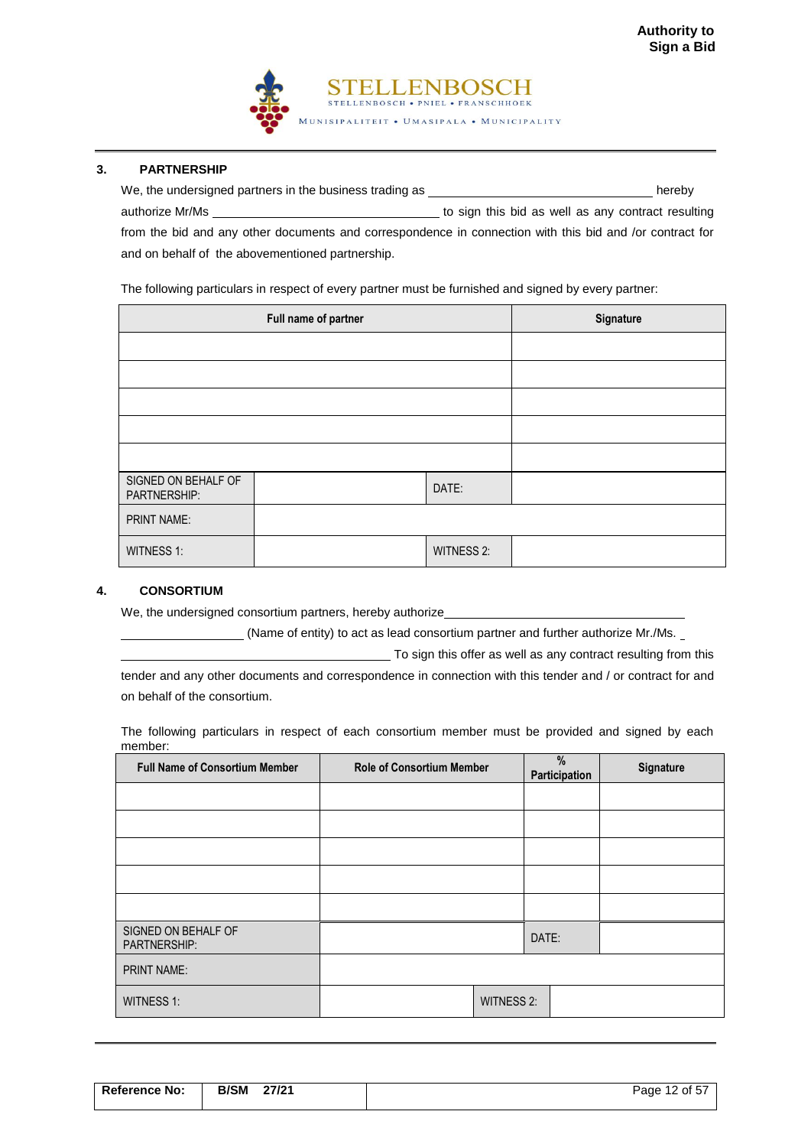

#### **3. PARTNERSHIP**

| We, the undersigned partners in the business trading as                                                  | hereby                                             |
|----------------------------------------------------------------------------------------------------------|----------------------------------------------------|
| authorize Mr/Ms                                                                                          | to sign this bid as well as any contract resulting |
| from the bid and any other documents and correspondence in connection with this bid and /or contract for |                                                    |
| and on behalf of the abovementioned partnership.                                                         |                                                    |

The following particulars in respect of every partner must be furnished and signed by every partner:

|                                     | Full name of partner | Signature         |  |
|-------------------------------------|----------------------|-------------------|--|
|                                     |                      |                   |  |
|                                     |                      |                   |  |
|                                     |                      |                   |  |
|                                     |                      |                   |  |
|                                     |                      |                   |  |
| SIGNED ON BEHALF OF<br>PARTNERSHIP: |                      | DATE:             |  |
| <b>PRINT NAME:</b>                  |                      |                   |  |
| <b>WITNESS 1:</b>                   |                      | <b>WITNESS 2:</b> |  |

#### **4. CONSORTIUM**

We, the undersigned consortium partners, hereby authorize\_

(Name of entity) to act as lead consortium partner and further authorize Mr./Ms.

To sign this offer as well as any contract resulting from this

tender and any other documents and correspondence in connection with this tender and / or contract for and on behalf of the consortium.

The following particulars in respect of each consortium member must be provided and signed by each member:

| <b>Full Name of Consortium Member</b> | <b>Role of Consortium Member</b> | $\frac{0}{0}$<br>Participation | Signature |
|---------------------------------------|----------------------------------|--------------------------------|-----------|
|                                       |                                  |                                |           |
|                                       |                                  |                                |           |
|                                       |                                  |                                |           |
|                                       |                                  |                                |           |
|                                       |                                  |                                |           |
| SIGNED ON BEHALF OF<br>PARTNERSHIP:   |                                  | DATE:                          |           |
| <b>PRINT NAME:</b>                    |                                  |                                |           |
| <b>WITNESS 1:</b>                     | WITNESS 2:                       |                                |           |

| <b>Reference No:</b> | <b>B/SM</b> | 27/21 | Page 12 of 57 |
|----------------------|-------------|-------|---------------|
|                      |             |       |               |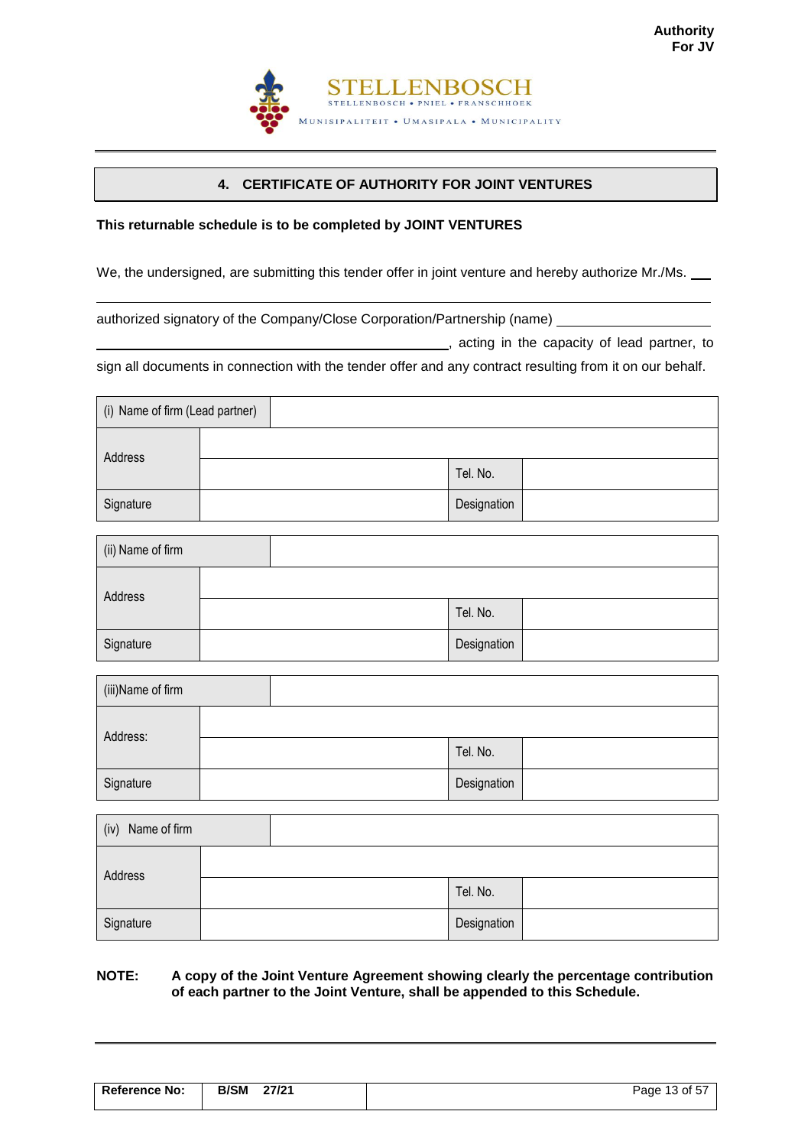

## **4. CERTIFICATE OF AUTHORITY FOR JOINT VENTURES**

## <span id="page-14-0"></span>**This returnable schedule is to be completed by JOINT VENTURES**

We, the undersigned, are submitting this tender offer in joint venture and hereby authorize Mr./Ms. \_\_

authorized signatory of the Company/Close Corporation/Partnership (name)

**12.12.** Acting in the capacity of lead partner, to

sign all documents in connection with the tender offer and any contract resulting from it on our behalf.

| (i) Name of firm (Lead partner) |  |             |  |
|---------------------------------|--|-------------|--|
| Address                         |  |             |  |
|                                 |  | Tel. No.    |  |
| Signature                       |  | Designation |  |

| (ii) Name of firm |  |             |  |
|-------------------|--|-------------|--|
| Address           |  |             |  |
|                   |  | Tel. No.    |  |
| Signature         |  | Designation |  |

| (iii)Name of firm |  |             |  |
|-------------------|--|-------------|--|
| Address:          |  |             |  |
|                   |  | Tel. No.    |  |
| Signature         |  | Designation |  |

| Name of firm<br>(iv) |  |             |  |
|----------------------|--|-------------|--|
| Address              |  |             |  |
|                      |  | Tel. No.    |  |
| Signature            |  | Designation |  |

### **NOTE: A copy of the Joint Venture Agreement showing clearly the percentage contribution of each partner to the Joint Venture, shall be appended to this Schedule.**

| <b>Reference No:</b> | <b>B/SM</b> | 27/21 | Page 13 of 57 |
|----------------------|-------------|-------|---------------|
|                      |             |       |               |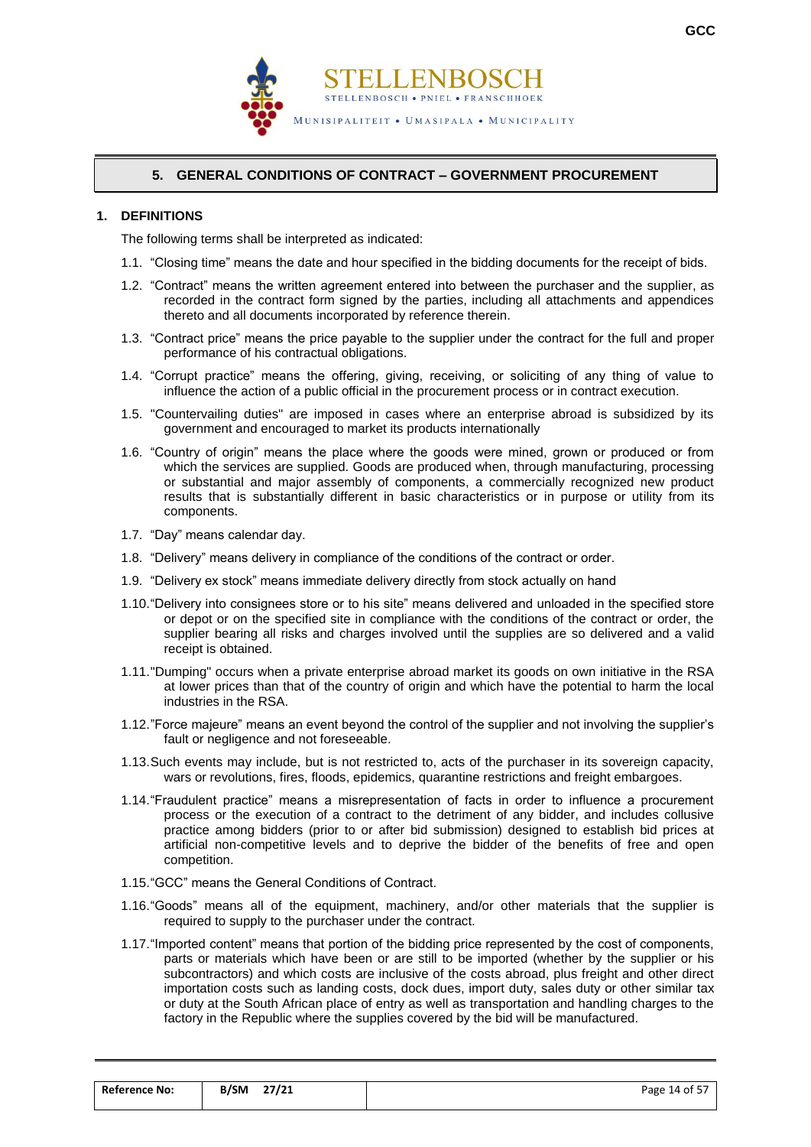



## **5. GENERAL CONDITIONS OF CONTRACT – GOVERNMENT PROCUREMENT**

## <span id="page-15-0"></span>**1. DEFINITIONS**

The following terms shall be interpreted as indicated:

- 1.1. "Closing time" means the date and hour specified in the bidding documents for the receipt of bids.
- 1.2. "Contract" means the written agreement entered into between the purchaser and the supplier, as recorded in the contract form signed by the parties, including all attachments and appendices thereto and all documents incorporated by reference therein.
- 1.3. "Contract price" means the price payable to the supplier under the contract for the full and proper performance of his contractual obligations.
- 1.4. "Corrupt practice" means the offering, giving, receiving, or soliciting of any thing of value to influence the action of a public official in the procurement process or in contract execution.
- 1.5. "Countervailing duties" are imposed in cases where an enterprise abroad is subsidized by its government and encouraged to market its products internationally
- 1.6. "Country of origin" means the place where the goods were mined, grown or produced or from which the services are supplied. Goods are produced when, through manufacturing, processing or substantial and major assembly of components, a commercially recognized new product results that is substantially different in basic characteristics or in purpose or utility from its components.
- 1.7. "Day" means calendar day.
- 1.8. "Delivery" means delivery in compliance of the conditions of the contract or order.
- 1.9. "Delivery ex stock" means immediate delivery directly from stock actually on hand
- 1.10."Delivery into consignees store or to his site" means delivered and unloaded in the specified store or depot or on the specified site in compliance with the conditions of the contract or order, the supplier bearing all risks and charges involved until the supplies are so delivered and a valid receipt is obtained.
- 1.11."Dumping" occurs when a private enterprise abroad market its goods on own initiative in the RSA at lower prices than that of the country of origin and which have the potential to harm the local industries in the RSA.
- 1.12."Force majeure" means an event beyond the control of the supplier and not involving the supplier's fault or negligence and not foreseeable.
- 1.13.Such events may include, but is not restricted to, acts of the purchaser in its sovereign capacity, wars or revolutions, fires, floods, epidemics, quarantine restrictions and freight embargoes.
- 1.14."Fraudulent practice" means a misrepresentation of facts in order to influence a procurement process or the execution of a contract to the detriment of any bidder, and includes collusive practice among bidders (prior to or after bid submission) designed to establish bid prices at artificial non-competitive levels and to deprive the bidder of the benefits of free and open competition.
- 1.15."GCC" means the General Conditions of Contract.
- 1.16."Goods" means all of the equipment, machinery, and/or other materials that the supplier is required to supply to the purchaser under the contract.
- 1.17."Imported content" means that portion of the bidding price represented by the cost of components, parts or materials which have been or are still to be imported (whether by the supplier or his subcontractors) and which costs are inclusive of the costs abroad, plus freight and other direct importation costs such as landing costs, dock dues, import duty, sales duty or other similar tax or duty at the South African place of entry as well as transportation and handling charges to the factory in the Republic where the supplies covered by the bid will be manufactured.

| <b>Reference No:</b> | 27/21<br>B/SM | Page 14 of 57 |
|----------------------|---------------|---------------|
|                      |               |               |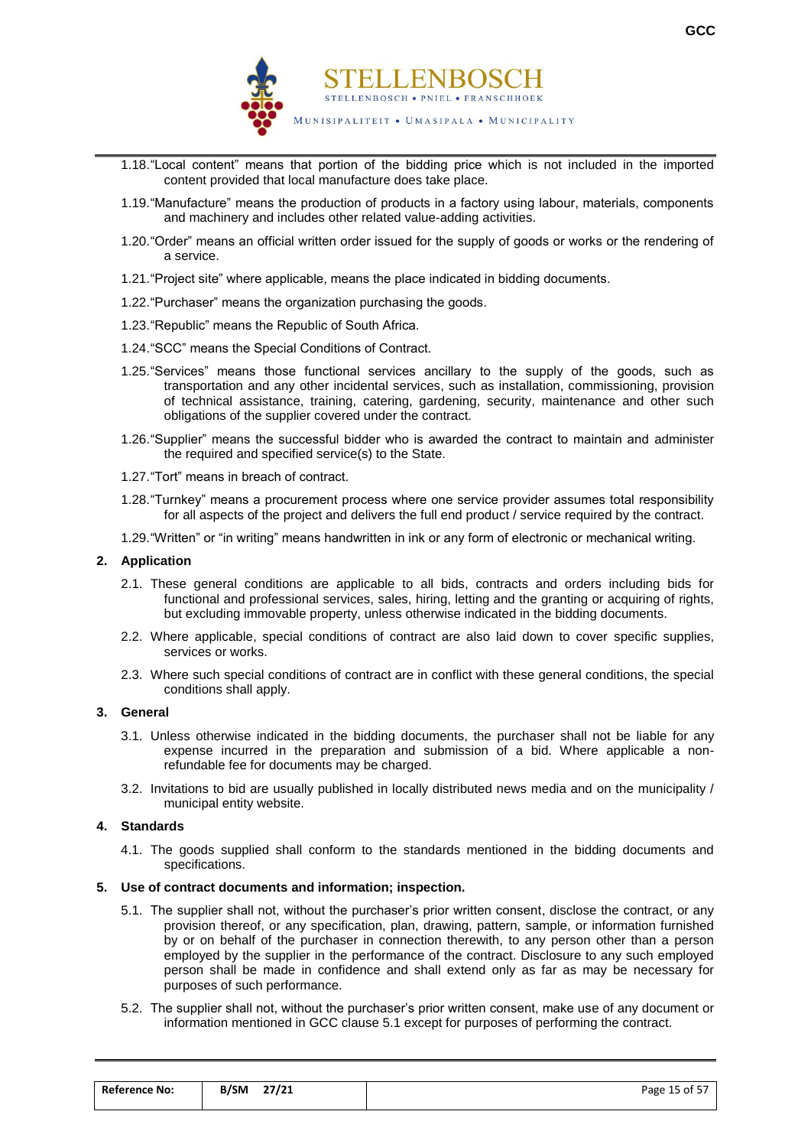

- 1.18."Local content" means that portion of the bidding price which is not included in the imported content provided that local manufacture does take place.
- 1.19."Manufacture" means the production of products in a factory using labour, materials, components and machinery and includes other related value-adding activities.
- 1.20."Order" means an official written order issued for the supply of goods or works or the rendering of a service.
- 1.21."Project site" where applicable, means the place indicated in bidding documents.
- 1.22."Purchaser" means the organization purchasing the goods.
- 1.23."Republic" means the Republic of South Africa.
- 1.24."SCC" means the Special Conditions of Contract.
- 1.25."Services" means those functional services ancillary to the supply of the goods, such as transportation and any other incidental services, such as installation, commissioning, provision of technical assistance, training, catering, gardening, security, maintenance and other such obligations of the supplier covered under the contract.
- 1.26."Supplier" means the successful bidder who is awarded the contract to maintain and administer the required and specified service(s) to the State.
- 1.27."Tort" means in breach of contract.
- 1.28."Turnkey" means a procurement process where one service provider assumes total responsibility for all aspects of the project and delivers the full end product / service required by the contract.
- 1.29."Written" or "in writing" means handwritten in ink or any form of electronic or mechanical writing.

#### **2. Application**

- 2.1. These general conditions are applicable to all bids, contracts and orders including bids for functional and professional services, sales, hiring, letting and the granting or acquiring of rights, but excluding immovable property, unless otherwise indicated in the bidding documents.
- 2.2. Where applicable, special conditions of contract are also laid down to cover specific supplies, services or works.
- 2.3. Where such special conditions of contract are in conflict with these general conditions, the special conditions shall apply.

#### **3. General**

- 3.1. Unless otherwise indicated in the bidding documents, the purchaser shall not be liable for any expense incurred in the preparation and submission of a bid. Where applicable a nonrefundable fee for documents may be charged.
- 3.2. Invitations to bid are usually published in locally distributed news media and on the municipality / municipal entity website.

#### **4. Standards**

4.1. The goods supplied shall conform to the standards mentioned in the bidding documents and specifications.

#### **5. Use of contract documents and information; inspection.**

- 5.1. The supplier shall not, without the purchaser's prior written consent, disclose the contract, or any provision thereof, or any specification, plan, drawing, pattern, sample, or information furnished by or on behalf of the purchaser in connection therewith, to any person other than a person employed by the supplier in the performance of the contract. Disclosure to any such employed person shall be made in confidence and shall extend only as far as may be necessary for purposes of such performance.
- 5.2. The supplier shall not, without the purchaser's prior written consent, make use of any document or information mentioned in GCC clause 5.1 except for purposes of performing the contract.

| <b>Reference No:</b> | <b>B/SM</b><br>27/21 | Page 15 of 57 |
|----------------------|----------------------|---------------|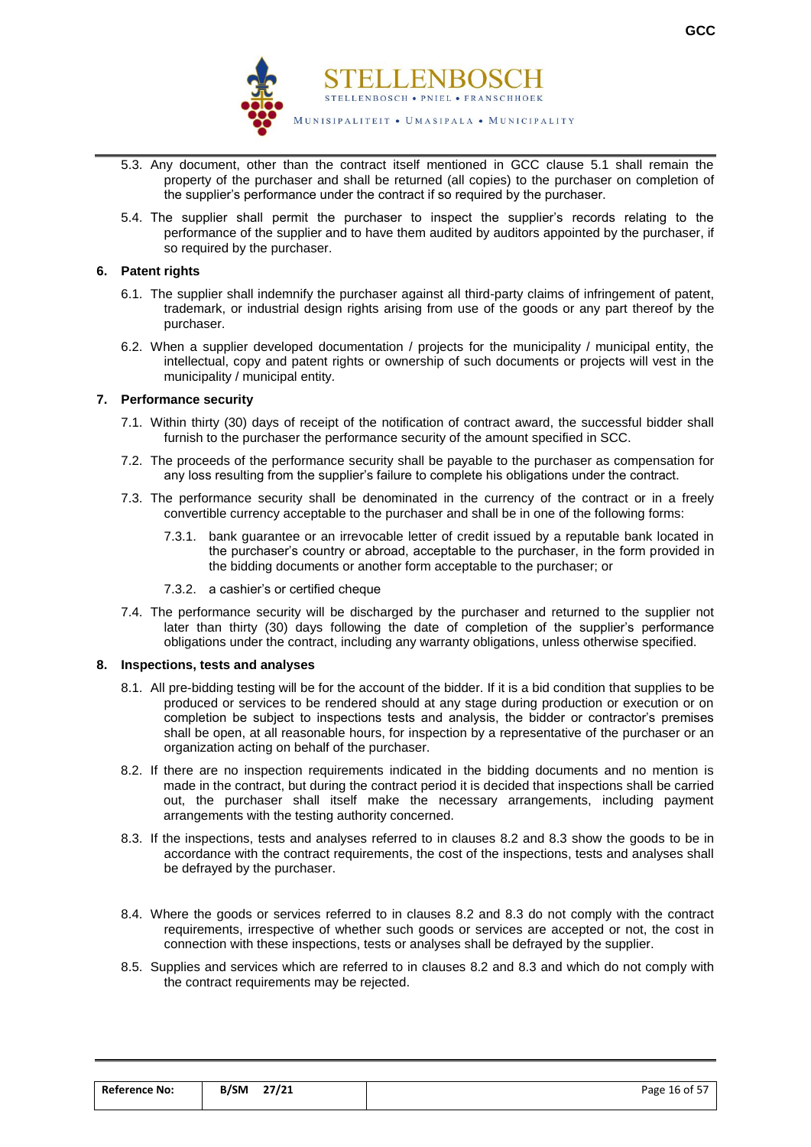

- 5.3. Any document, other than the contract itself mentioned in GCC clause 5.1 shall remain the property of the purchaser and shall be returned (all copies) to the purchaser on completion of the supplier's performance under the contract if so required by the purchaser.
- 5.4. The supplier shall permit the purchaser to inspect the supplier's records relating to the performance of the supplier and to have them audited by auditors appointed by the purchaser, if so required by the purchaser.

#### **6. Patent rights**

- 6.1. The supplier shall indemnify the purchaser against all third-party claims of infringement of patent, trademark, or industrial design rights arising from use of the goods or any part thereof by the purchaser.
- 6.2. When a supplier developed documentation / projects for the municipality / municipal entity, the intellectual, copy and patent rights or ownership of such documents or projects will vest in the municipality / municipal entity.

#### **7. Performance security**

- 7.1. Within thirty (30) days of receipt of the notification of contract award, the successful bidder shall furnish to the purchaser the performance security of the amount specified in SCC.
- 7.2. The proceeds of the performance security shall be payable to the purchaser as compensation for any loss resulting from the supplier's failure to complete his obligations under the contract.
- 7.3. The performance security shall be denominated in the currency of the contract or in a freely convertible currency acceptable to the purchaser and shall be in one of the following forms:
	- 7.3.1. bank guarantee or an irrevocable letter of credit issued by a reputable bank located in the purchaser's country or abroad, acceptable to the purchaser, in the form provided in the bidding documents or another form acceptable to the purchaser; or
	- 7.3.2. a cashier's or certified cheque
- 7.4. The performance security will be discharged by the purchaser and returned to the supplier not later than thirty (30) days following the date of completion of the supplier's performance obligations under the contract, including any warranty obligations, unless otherwise specified.

#### **8. Inspections, tests and analyses**

- 8.1. All pre-bidding testing will be for the account of the bidder. If it is a bid condition that supplies to be produced or services to be rendered should at any stage during production or execution or on completion be subject to inspections tests and analysis, the bidder or contractor's premises shall be open, at all reasonable hours, for inspection by a representative of the purchaser or an organization acting on behalf of the purchaser.
- 8.2. If there are no inspection requirements indicated in the bidding documents and no mention is made in the contract, but during the contract period it is decided that inspections shall be carried out, the purchaser shall itself make the necessary arrangements, including payment arrangements with the testing authority concerned.
- 8.3. If the inspections, tests and analyses referred to in clauses 8.2 and 8.3 show the goods to be in accordance with the contract requirements, the cost of the inspections, tests and analyses shall be defrayed by the purchaser.
- 8.4. Where the goods or services referred to in clauses 8.2 and 8.3 do not comply with the contract requirements, irrespective of whether such goods or services are accepted or not, the cost in connection with these inspections, tests or analyses shall be defrayed by the supplier.
- 8.5. Supplies and services which are referred to in clauses 8.2 and 8.3 and which do not comply with the contract requirements may be rejected.

| <b>Reference No:</b> | 27/21<br>B/SM | Page 16 of 57 |
|----------------------|---------------|---------------|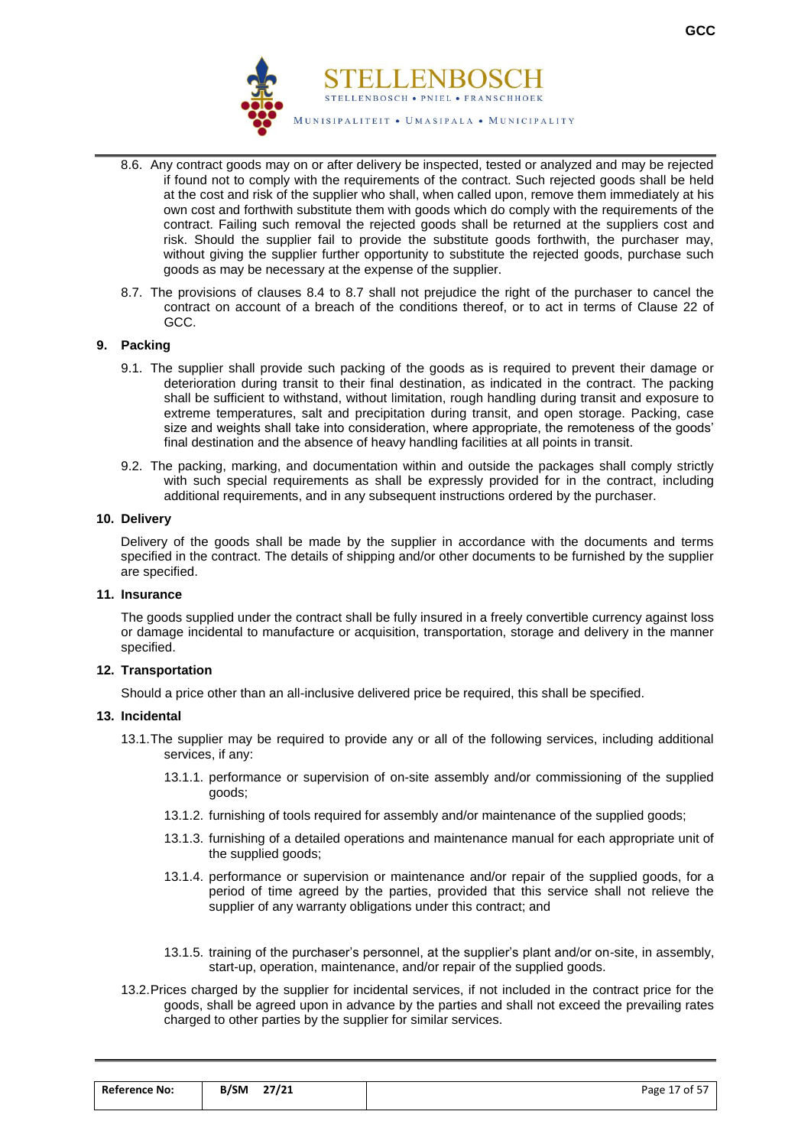

- 8.6. Any contract goods may on or after delivery be inspected, tested or analyzed and may be rejected if found not to comply with the requirements of the contract. Such rejected goods shall be held at the cost and risk of the supplier who shall, when called upon, remove them immediately at his own cost and forthwith substitute them with goods which do comply with the requirements of the contract. Failing such removal the rejected goods shall be returned at the suppliers cost and risk. Should the supplier fail to provide the substitute goods forthwith, the purchaser may, without giving the supplier further opportunity to substitute the rejected goods, purchase such goods as may be necessary at the expense of the supplier.
- 8.7. The provisions of clauses 8.4 to 8.7 shall not prejudice the right of the purchaser to cancel the contract on account of a breach of the conditions thereof, or to act in terms of Clause 22 of GCC.

#### **9. Packing**

- 9.1. The supplier shall provide such packing of the goods as is required to prevent their damage or deterioration during transit to their final destination, as indicated in the contract. The packing shall be sufficient to withstand, without limitation, rough handling during transit and exposure to extreme temperatures, salt and precipitation during transit, and open storage. Packing, case size and weights shall take into consideration, where appropriate, the remoteness of the goods' final destination and the absence of heavy handling facilities at all points in transit.
- 9.2. The packing, marking, and documentation within and outside the packages shall comply strictly with such special requirements as shall be expressly provided for in the contract, including additional requirements, and in any subsequent instructions ordered by the purchaser.

#### **10. Delivery**

Delivery of the goods shall be made by the supplier in accordance with the documents and terms specified in the contract. The details of shipping and/or other documents to be furnished by the supplier are specified.

#### **11. Insurance**

The goods supplied under the contract shall be fully insured in a freely convertible currency against loss or damage incidental to manufacture or acquisition, transportation, storage and delivery in the manner specified.

#### **12. Transportation**

Should a price other than an all-inclusive delivered price be required, this shall be specified.

#### **13. Incidental**

- 13.1.The supplier may be required to provide any or all of the following services, including additional services, if any:
	- 13.1.1. performance or supervision of on-site assembly and/or commissioning of the supplied goods;
	- 13.1.2. furnishing of tools required for assembly and/or maintenance of the supplied goods;
	- 13.1.3. furnishing of a detailed operations and maintenance manual for each appropriate unit of the supplied goods;
	- 13.1.4. performance or supervision or maintenance and/or repair of the supplied goods, for a period of time agreed by the parties, provided that this service shall not relieve the supplier of any warranty obligations under this contract; and
	- 13.1.5. training of the purchaser's personnel, at the supplier's plant and/or on-site, in assembly, start-up, operation, maintenance, and/or repair of the supplied goods.
- 13.2.Prices charged by the supplier for incidental services, if not included in the contract price for the goods, shall be agreed upon in advance by the parties and shall not exceed the prevailing rates charged to other parties by the supplier for similar services.

| <b>Reference No:</b> | 27/21<br><b>B/SM</b><br>$\overline{\phantom{a}}$ | Page 17 of 57 |
|----------------------|--------------------------------------------------|---------------|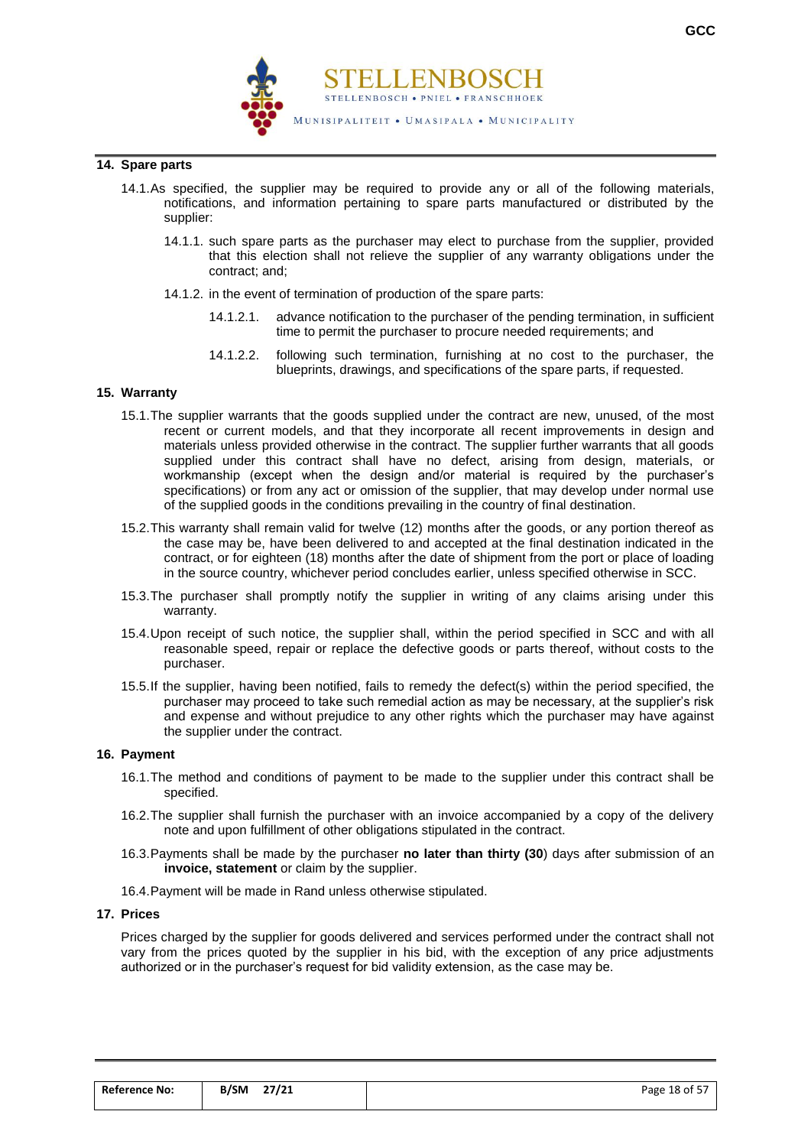

#### **14. Spare parts**

- 14.1.As specified, the supplier may be required to provide any or all of the following materials, notifications, and information pertaining to spare parts manufactured or distributed by the supplier:
	- 14.1.1. such spare parts as the purchaser may elect to purchase from the supplier, provided that this election shall not relieve the supplier of any warranty obligations under the contract; and;
	- 14.1.2. in the event of termination of production of the spare parts:
		- 14.1.2.1. advance notification to the purchaser of the pending termination, in sufficient time to permit the purchaser to procure needed requirements; and
		- 14.1.2.2. following such termination, furnishing at no cost to the purchaser, the blueprints, drawings, and specifications of the spare parts, if requested.

#### **15. Warranty**

- 15.1.The supplier warrants that the goods supplied under the contract are new, unused, of the most recent or current models, and that they incorporate all recent improvements in design and materials unless provided otherwise in the contract. The supplier further warrants that all goods supplied under this contract shall have no defect, arising from design, materials, or workmanship (except when the design and/or material is required by the purchaser's specifications) or from any act or omission of the supplier, that may develop under normal use of the supplied goods in the conditions prevailing in the country of final destination.
- 15.2.This warranty shall remain valid for twelve (12) months after the goods, or any portion thereof as the case may be, have been delivered to and accepted at the final destination indicated in the contract, or for eighteen (18) months after the date of shipment from the port or place of loading in the source country, whichever period concludes earlier, unless specified otherwise in SCC.
- 15.3.The purchaser shall promptly notify the supplier in writing of any claims arising under this warranty.
- 15.4.Upon receipt of such notice, the supplier shall, within the period specified in SCC and with all reasonable speed, repair or replace the defective goods or parts thereof, without costs to the purchaser.
- 15.5.If the supplier, having been notified, fails to remedy the defect(s) within the period specified, the purchaser may proceed to take such remedial action as may be necessary, at the supplier's risk and expense and without prejudice to any other rights which the purchaser may have against the supplier under the contract.

#### **16. Payment**

- 16.1.The method and conditions of payment to be made to the supplier under this contract shall be specified.
- 16.2.The supplier shall furnish the purchaser with an invoice accompanied by a copy of the delivery note and upon fulfillment of other obligations stipulated in the contract.
- 16.3.Payments shall be made by the purchaser **no later than thirty (30**) days after submission of an **invoice, statement** or claim by the supplier.
- 16.4.Payment will be made in Rand unless otherwise stipulated.

#### **17. Prices**

Prices charged by the supplier for goods delivered and services performed under the contract shall not vary from the prices quoted by the supplier in his bid, with the exception of any price adjustments authorized or in the purchaser's request for bid validity extension, as the case may be.

| <b>Reference No:</b> | <b>B/SM</b> | 27/21 | Page 18 of 57 |
|----------------------|-------------|-------|---------------|
|                      |             |       |               |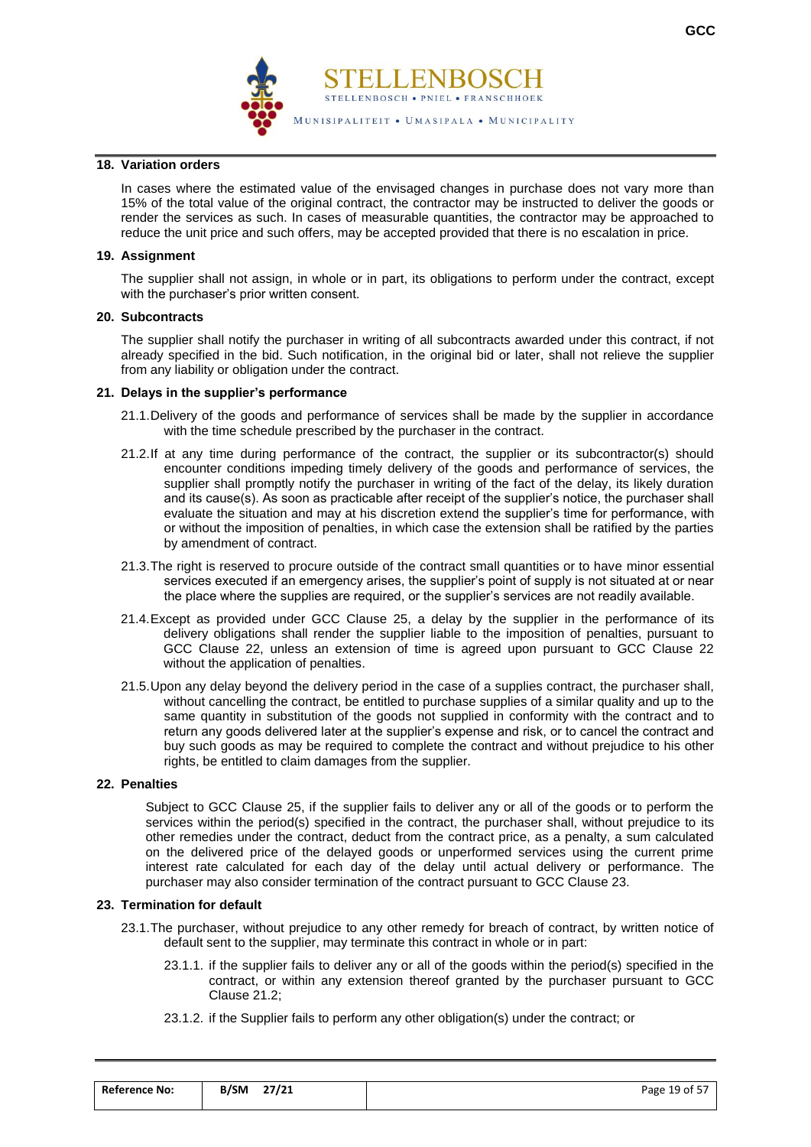

#### **18. Variation orders**

In cases where the estimated value of the envisaged changes in purchase does not vary more than 15% of the total value of the original contract, the contractor may be instructed to deliver the goods or render the services as such. In cases of measurable quantities, the contractor may be approached to reduce the unit price and such offers, may be accepted provided that there is no escalation in price.

#### **19. Assignment**

The supplier shall not assign, in whole or in part, its obligations to perform under the contract, except with the purchaser's prior written consent.

#### **20. Subcontracts**

The supplier shall notify the purchaser in writing of all subcontracts awarded under this contract, if not already specified in the bid. Such notification, in the original bid or later, shall not relieve the supplier from any liability or obligation under the contract.

#### **21. Delays in the supplier's performance**

- 21.1.Delivery of the goods and performance of services shall be made by the supplier in accordance with the time schedule prescribed by the purchaser in the contract.
- 21.2.If at any time during performance of the contract, the supplier or its subcontractor(s) should encounter conditions impeding timely delivery of the goods and performance of services, the supplier shall promptly notify the purchaser in writing of the fact of the delay, its likely duration and its cause(s). As soon as practicable after receipt of the supplier's notice, the purchaser shall evaluate the situation and may at his discretion extend the supplier's time for performance, with or without the imposition of penalties, in which case the extension shall be ratified by the parties by amendment of contract.
- 21.3.The right is reserved to procure outside of the contract small quantities or to have minor essential services executed if an emergency arises, the supplier's point of supply is not situated at or near the place where the supplies are required, or the supplier's services are not readily available.
- 21.4.Except as provided under GCC Clause 25, a delay by the supplier in the performance of its delivery obligations shall render the supplier liable to the imposition of penalties, pursuant to GCC Clause 22, unless an extension of time is agreed upon pursuant to GCC Clause 22 without the application of penalties.
- 21.5.Upon any delay beyond the delivery period in the case of a supplies contract, the purchaser shall, without cancelling the contract, be entitled to purchase supplies of a similar quality and up to the same quantity in substitution of the goods not supplied in conformity with the contract and to return any goods delivered later at the supplier's expense and risk, or to cancel the contract and buy such goods as may be required to complete the contract and without prejudice to his other rights, be entitled to claim damages from the supplier.

#### **22. Penalties**

Subject to GCC Clause 25, if the supplier fails to deliver any or all of the goods or to perform the services within the period(s) specified in the contract, the purchaser shall, without prejudice to its other remedies under the contract, deduct from the contract price, as a penalty, a sum calculated on the delivered price of the delayed goods or unperformed services using the current prime interest rate calculated for each day of the delay until actual delivery or performance. The purchaser may also consider termination of the contract pursuant to GCC Clause 23.

#### **23. Termination for default**

- 23.1.The purchaser, without prejudice to any other remedy for breach of contract, by written notice of default sent to the supplier, may terminate this contract in whole or in part:
	- 23.1.1. if the supplier fails to deliver any or all of the goods within the period(s) specified in the contract, or within any extension thereof granted by the purchaser pursuant to GCC Clause 21.2;
	- 23.1.2. if the Supplier fails to perform any other obligation(s) under the contract; or

| <b>Reference No:</b> | 27/21<br><b>B/SM</b> | Page 19 of 57 |
|----------------------|----------------------|---------------|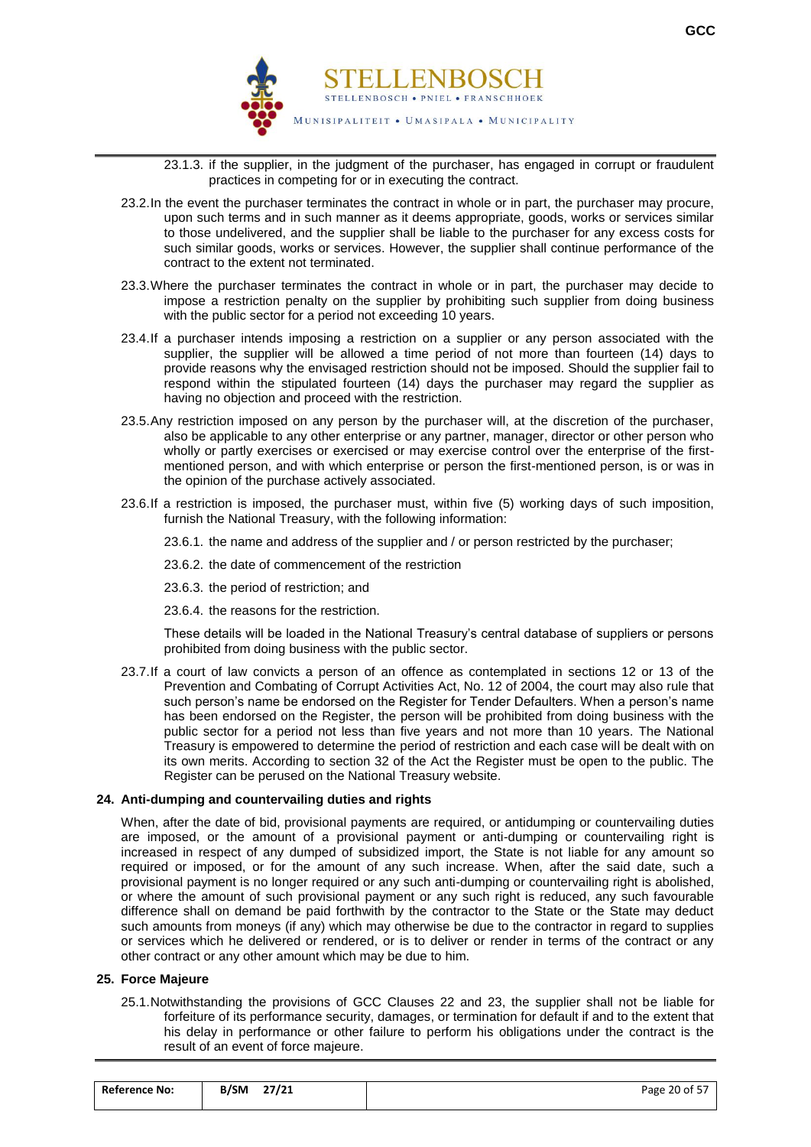

- 23.1.3. if the supplier, in the judgment of the purchaser, has engaged in corrupt or fraudulent practices in competing for or in executing the contract.
- 23.2.In the event the purchaser terminates the contract in whole or in part, the purchaser may procure, upon such terms and in such manner as it deems appropriate, goods, works or services similar to those undelivered, and the supplier shall be liable to the purchaser for any excess costs for such similar goods, works or services. However, the supplier shall continue performance of the contract to the extent not terminated.
- 23.3.Where the purchaser terminates the contract in whole or in part, the purchaser may decide to impose a restriction penalty on the supplier by prohibiting such supplier from doing business with the public sector for a period not exceeding 10 years.
- 23.4.If a purchaser intends imposing a restriction on a supplier or any person associated with the supplier, the supplier will be allowed a time period of not more than fourteen (14) days to provide reasons why the envisaged restriction should not be imposed. Should the supplier fail to respond within the stipulated fourteen (14) days the purchaser may regard the supplier as having no objection and proceed with the restriction.
- 23.5.Any restriction imposed on any person by the purchaser will, at the discretion of the purchaser, also be applicable to any other enterprise or any partner, manager, director or other person who wholly or partly exercises or exercised or may exercise control over the enterprise of the firstmentioned person, and with which enterprise or person the first-mentioned person, is or was in the opinion of the purchase actively associated.
- 23.6.If a restriction is imposed, the purchaser must, within five (5) working days of such imposition, furnish the National Treasury, with the following information:

23.6.1. the name and address of the supplier and / or person restricted by the purchaser;

23.6.2. the date of commencement of the restriction

- 23.6.3. the period of restriction; and
- 23.6.4. the reasons for the restriction.

These details will be loaded in the National Treasury's central database of suppliers or persons prohibited from doing business with the public sector.

23.7.If a court of law convicts a person of an offence as contemplated in sections 12 or 13 of the Prevention and Combating of Corrupt Activities Act, No. 12 of 2004, the court may also rule that such person's name be endorsed on the Register for Tender Defaulters. When a person's name has been endorsed on the Register, the person will be prohibited from doing business with the public sector for a period not less than five years and not more than 10 years. The National Treasury is empowered to determine the period of restriction and each case will be dealt with on its own merits. According to section 32 of the Act the Register must be open to the public. The Register can be perused on the National Treasury website.

#### **24. Anti-dumping and countervailing duties and rights**

When, after the date of bid, provisional payments are required, or antidumping or countervailing duties are imposed, or the amount of a provisional payment or anti-dumping or countervailing right is increased in respect of any dumped of subsidized import, the State is not liable for any amount so required or imposed, or for the amount of any such increase. When, after the said date, such a provisional payment is no longer required or any such anti-dumping or countervailing right is abolished, or where the amount of such provisional payment or any such right is reduced, any such favourable difference shall on demand be paid forthwith by the contractor to the State or the State may deduct such amounts from moneys (if any) which may otherwise be due to the contractor in regard to supplies or services which he delivered or rendered, or is to deliver or render in terms of the contract or any other contract or any other amount which may be due to him.

#### **25. Force Majeure**

25.1.Notwithstanding the provisions of GCC Clauses 22 and 23, the supplier shall not be liable for forfeiture of its performance security, damages, or termination for default if and to the extent that his delay in performance or other failure to perform his obligations under the contract is the result of an event of force majeure.

| <b>Reference No:</b> | 27/21<br><b>B/SM</b> | Page 20 of 57 |
|----------------------|----------------------|---------------|
|                      |                      |               |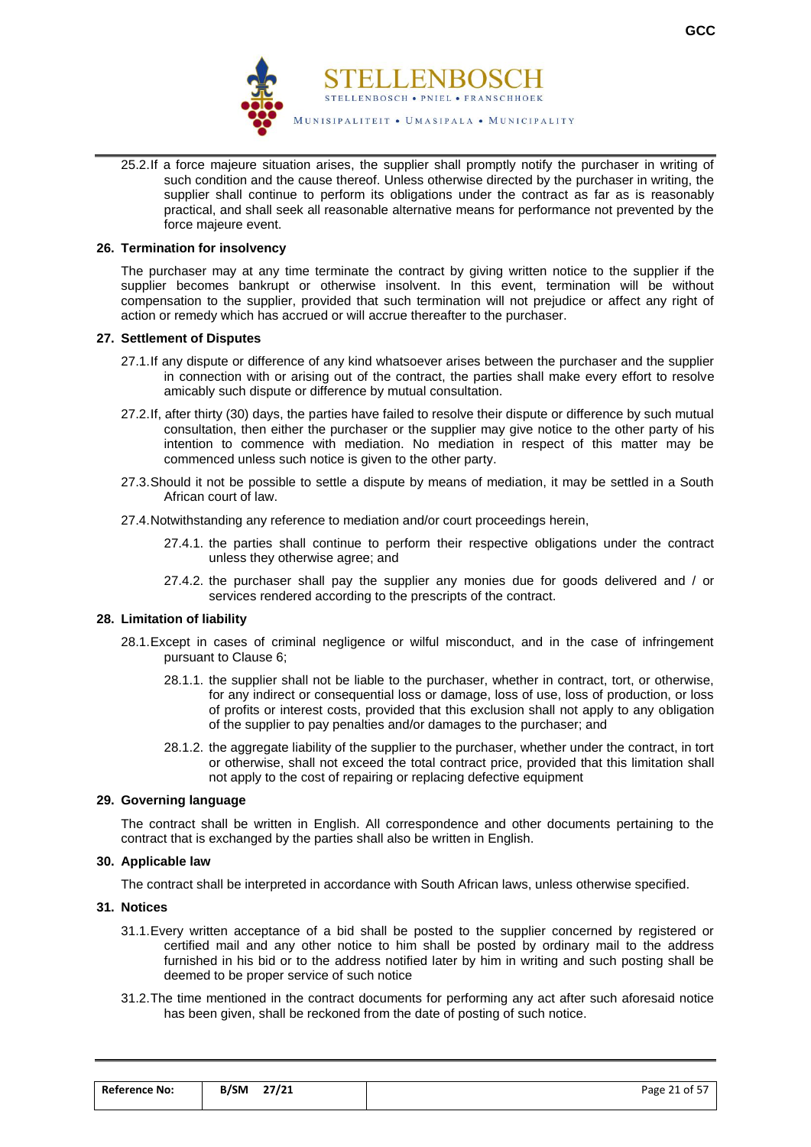

25.2.If a force majeure situation arises, the supplier shall promptly notify the purchaser in writing of such condition and the cause thereof. Unless otherwise directed by the purchaser in writing, the supplier shall continue to perform its obligations under the contract as far as is reasonably practical, and shall seek all reasonable alternative means for performance not prevented by the force majeure event.

#### **26. Termination for insolvency**

The purchaser may at any time terminate the contract by giving written notice to the supplier if the supplier becomes bankrupt or otherwise insolvent. In this event, termination will be without compensation to the supplier, provided that such termination will not prejudice or affect any right of action or remedy which has accrued or will accrue thereafter to the purchaser.

#### **27. Settlement of Disputes**

- 27.1.If any dispute or difference of any kind whatsoever arises between the purchaser and the supplier in connection with or arising out of the contract, the parties shall make every effort to resolve amicably such dispute or difference by mutual consultation.
- 27.2.If, after thirty (30) days, the parties have failed to resolve their dispute or difference by such mutual consultation, then either the purchaser or the supplier may give notice to the other party of his intention to commence with mediation. No mediation in respect of this matter may be commenced unless such notice is given to the other party.
- 27.3.Should it not be possible to settle a dispute by means of mediation, it may be settled in a South African court of law.
- 27.4.Notwithstanding any reference to mediation and/or court proceedings herein,
	- 27.4.1. the parties shall continue to perform their respective obligations under the contract unless they otherwise agree; and
	- 27.4.2. the purchaser shall pay the supplier any monies due for goods delivered and / or services rendered according to the prescripts of the contract.

#### **28. Limitation of liability**

- 28.1.Except in cases of criminal negligence or wilful misconduct, and in the case of infringement pursuant to Clause 6;
	- 28.1.1. the supplier shall not be liable to the purchaser, whether in contract, tort, or otherwise, for any indirect or consequential loss or damage, loss of use, loss of production, or loss of profits or interest costs, provided that this exclusion shall not apply to any obligation of the supplier to pay penalties and/or damages to the purchaser; and
	- 28.1.2. the aggregate liability of the supplier to the purchaser, whether under the contract, in tort or otherwise, shall not exceed the total contract price, provided that this limitation shall not apply to the cost of repairing or replacing defective equipment

#### **29. Governing language**

The contract shall be written in English. All correspondence and other documents pertaining to the contract that is exchanged by the parties shall also be written in English.

## **30. Applicable law**

The contract shall be interpreted in accordance with South African laws, unless otherwise specified.

#### **31. Notices**

- 31.1.Every written acceptance of a bid shall be posted to the supplier concerned by registered or certified mail and any other notice to him shall be posted by ordinary mail to the address furnished in his bid or to the address notified later by him in writing and such posting shall be deemed to be proper service of such notice
- 31.2.The time mentioned in the contract documents for performing any act after such aforesaid notice has been given, shall be reckoned from the date of posting of such notice.

| <b>Reference No:</b> | 27/21<br>B/SM | Page 21 of 57 |
|----------------------|---------------|---------------|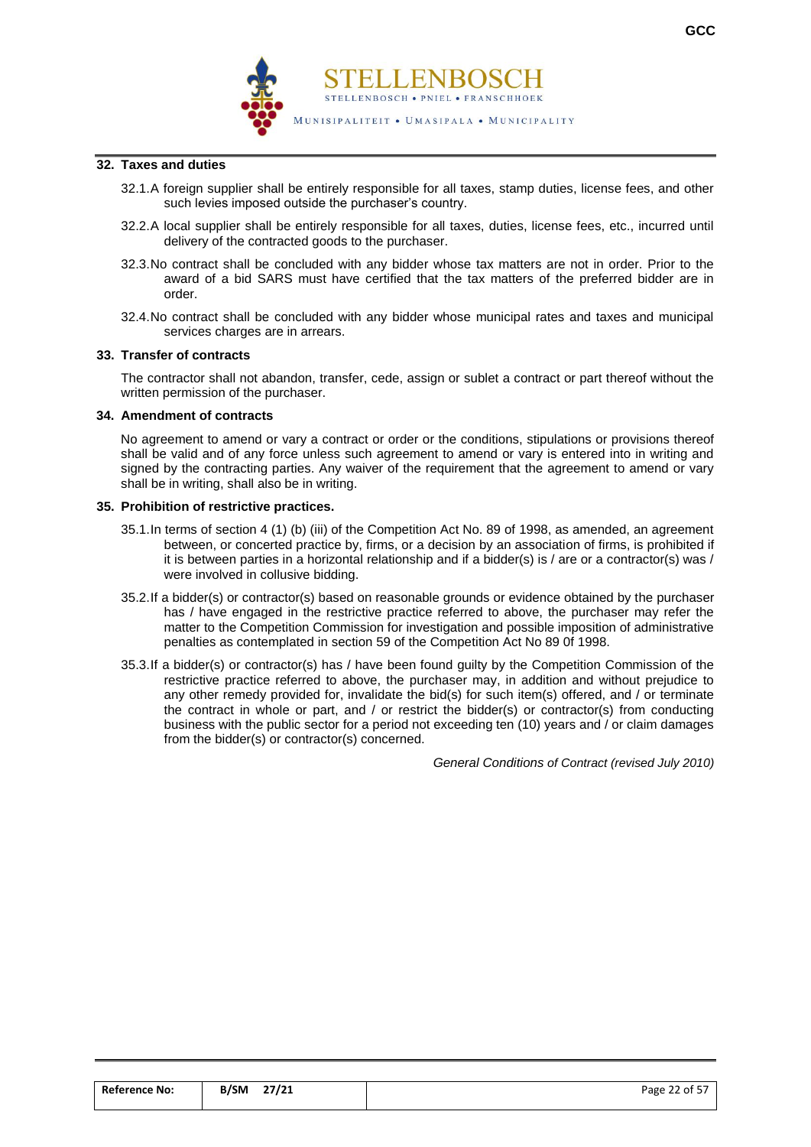

#### **32. Taxes and duties**

- 32.1.A foreign supplier shall be entirely responsible for all taxes, stamp duties, license fees, and other such levies imposed outside the purchaser's country.
- 32.2.A local supplier shall be entirely responsible for all taxes, duties, license fees, etc., incurred until delivery of the contracted goods to the purchaser.
- 32.3.No contract shall be concluded with any bidder whose tax matters are not in order. Prior to the award of a bid SARS must have certified that the tax matters of the preferred bidder are in order.
- 32.4.No contract shall be concluded with any bidder whose municipal rates and taxes and municipal services charges are in arrears.

#### **33. Transfer of contracts**

The contractor shall not abandon, transfer, cede, assign or sublet a contract or part thereof without the written permission of the purchaser.

#### **34. Amendment of contracts**

No agreement to amend or vary a contract or order or the conditions, stipulations or provisions thereof shall be valid and of any force unless such agreement to amend or vary is entered into in writing and signed by the contracting parties. Any waiver of the requirement that the agreement to amend or vary shall be in writing, shall also be in writing.

#### **35. Prohibition of restrictive practices.**

- 35.1.In terms of section 4 (1) (b) (iii) of the Competition Act No. 89 of 1998, as amended, an agreement between, or concerted practice by, firms, or a decision by an association of firms, is prohibited if it is between parties in a horizontal relationship and if a bidder(s) is / are or a contractor(s) was / were involved in collusive bidding.
- 35.2.If a bidder(s) or contractor(s) based on reasonable grounds or evidence obtained by the purchaser has / have engaged in the restrictive practice referred to above, the purchaser may refer the matter to the Competition Commission for investigation and possible imposition of administrative penalties as contemplated in section 59 of the Competition Act No 89 0f 1998.
- 35.3.If a bidder(s) or contractor(s) has / have been found guilty by the Competition Commission of the restrictive practice referred to above, the purchaser may, in addition and without prejudice to any other remedy provided for, invalidate the bid(s) for such item(s) offered, and / or terminate the contract in whole or part, and / or restrict the bidder(s) or contractor(s) from conducting business with the public sector for a period not exceeding ten (10) years and / or claim damages from the bidder(s) or contractor(s) concerned.

*General Conditions of Contract (revised July 2010)*

| <b>Reference No:</b> | 27/21<br><b>B/SM</b> | Page 22 of 57 |
|----------------------|----------------------|---------------|
|                      |                      |               |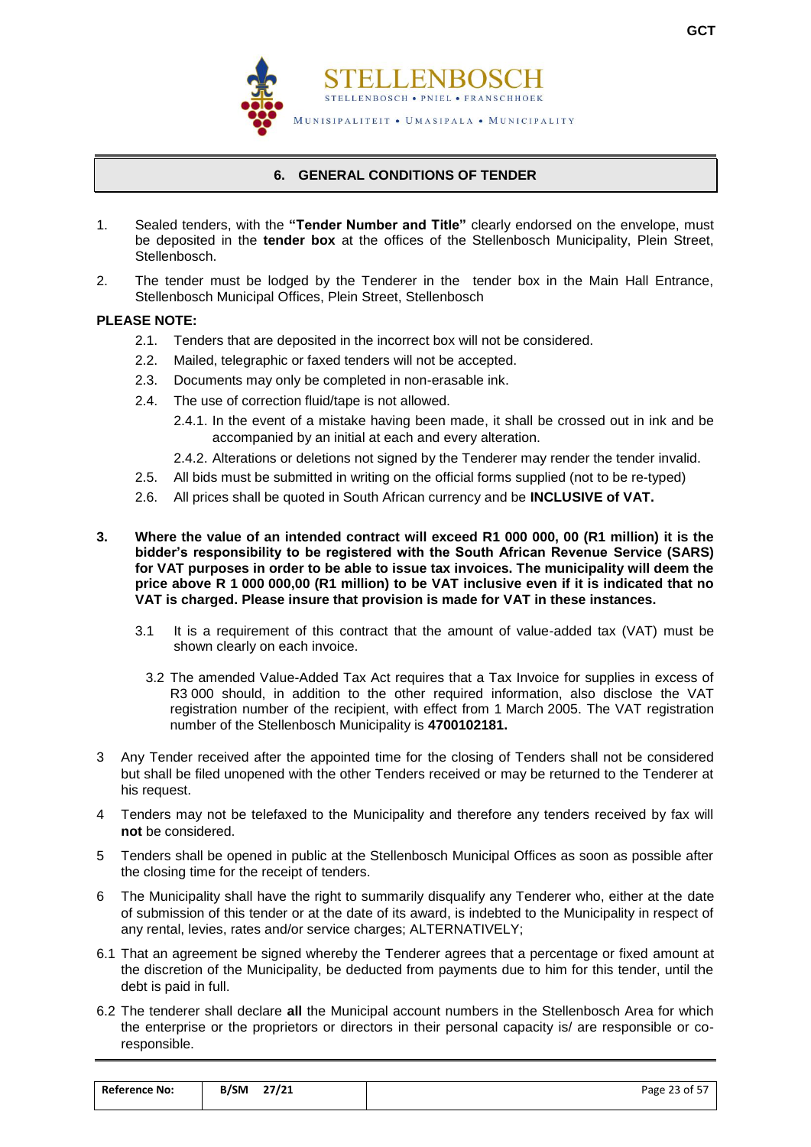

## **6. GENERAL CONDITIONS OF TENDER**

- <span id="page-24-0"></span>1. Sealed tenders, with the **"Tender Number and Title"** clearly endorsed on the envelope, must be deposited in the **tender box** at the offices of the Stellenbosch Municipality, Plein Street, Stellenbosch.
- 2. The tender must be lodged by the Tenderer in the tender box in the Main Hall Entrance, Stellenbosch Municipal Offices, Plein Street, Stellenbosch

### **PLEASE NOTE:**

- 2.1. Tenders that are deposited in the incorrect box will not be considered.
- 2.2. Mailed, telegraphic or faxed tenders will not be accepted.
- 2.3. Documents may only be completed in non-erasable ink.
- 2.4. The use of correction fluid/tape is not allowed.
	- 2.4.1. In the event of a mistake having been made, it shall be crossed out in ink and be accompanied by an initial at each and every alteration.
	- 2.4.2. Alterations or deletions not signed by the Tenderer may render the tender invalid.
- 2.5. All bids must be submitted in writing on the official forms supplied (not to be re-typed)
- 2.6. All prices shall be quoted in South African currency and be **INCLUSIVE of VAT.**
- **3. Where the value of an intended contract will exceed R1 000 000, 00 (R1 million) it is the bidder's responsibility to be registered with the South African Revenue Service (SARS) for VAT purposes in order to be able to issue tax invoices. The municipality will deem the price above R 1 000 000,00 (R1 million) to be VAT inclusive even if it is indicated that no VAT is charged. Please insure that provision is made for VAT in these instances.**
	- 3.1 It is a requirement of this contract that the amount of value-added tax (VAT) must be shown clearly on each invoice.
		- 3.2 The amended Value-Added Tax Act requires that a Tax Invoice for supplies in excess of R3 000 should, in addition to the other required information, also disclose the VAT registration number of the recipient, with effect from 1 March 2005. The VAT registration number of the Stellenbosch Municipality is **4700102181.**
- 3 Any Tender received after the appointed time for the closing of Tenders shall not be considered but shall be filed unopened with the other Tenders received or may be returned to the Tenderer at his request.
- 4 Tenders may not be telefaxed to the Municipality and therefore any tenders received by fax will **not** be considered.
- 5 Tenders shall be opened in public at the Stellenbosch Municipal Offices as soon as possible after the closing time for the receipt of tenders.
- 6 The Municipality shall have the right to summarily disqualify any Tenderer who, either at the date of submission of this tender or at the date of its award, is indebted to the Municipality in respect of any rental, levies, rates and/or service charges; ALTERNATIVELY;
- 6.1 That an agreement be signed whereby the Tenderer agrees that a percentage or fixed amount at the discretion of the Municipality, be deducted from payments due to him for this tender, until the debt is paid in full.
- 6.2 The tenderer shall declare **all** the Municipal account numbers in the Stellenbosch Area for which the enterprise or the proprietors or directors in their personal capacity is/ are responsible or coresponsible.

| <b>Reference No:</b> | 27/21<br>B/SM | Page 23 of 57 |
|----------------------|---------------|---------------|
|                      |               |               |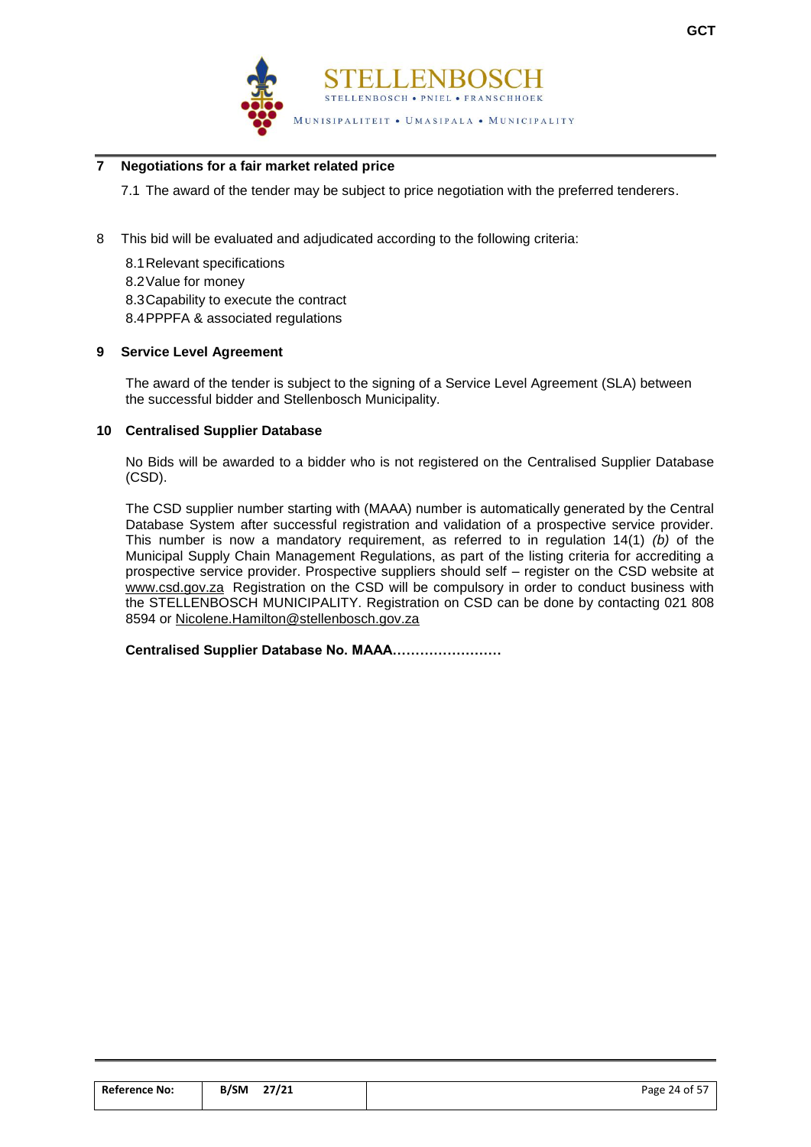

## **7 Negotiations for a fair market related price**

7.1 The award of the tender may be subject to price negotiation with the preferred tenderers.

8 This bid will be evaluated and adjudicated according to the following criteria:

8.1Relevant specifications 8.2Value for money 8.3Capability to execute the contract 8.4PPPFA & associated regulations

#### **9 Service Level Agreement**

The award of the tender is subject to the signing of a Service Level Agreement (SLA) between the successful bidder and Stellenbosch Municipality.

#### **10 Centralised Supplier Database**

No Bids will be awarded to a bidder who is not registered on the Centralised Supplier Database (CSD).

The CSD supplier number starting with (MAAA) number is automatically generated by the Central Database System after successful registration and validation of a prospective service provider. This number is now a mandatory requirement, as referred to in regulation 14(1) *(b)* of the Municipal Supply Chain Management Regulations, as part of the listing criteria for accrediting a prospective service provider. Prospective suppliers should self – register on the CSD website at [www.csd.gov.za](http://www.csd.gov.za/) Registration on the CSD will be compulsory in order to conduct business with the STELLENBOSCH MUNICIPALITY. Registration on CSD can be done by contacting 021 808 8594 or [Nicolene.Hamilton@stellenbosch.gov.za](mailto:Nicolene.Hamilton@stellenbosch.gov.za)

**Centralised Supplier Database No. MAAA……………………** 

| <b>Reference No:</b> | 27/21<br><b>B/SM</b> | .<br>Page 24 of $57$ |
|----------------------|----------------------|----------------------|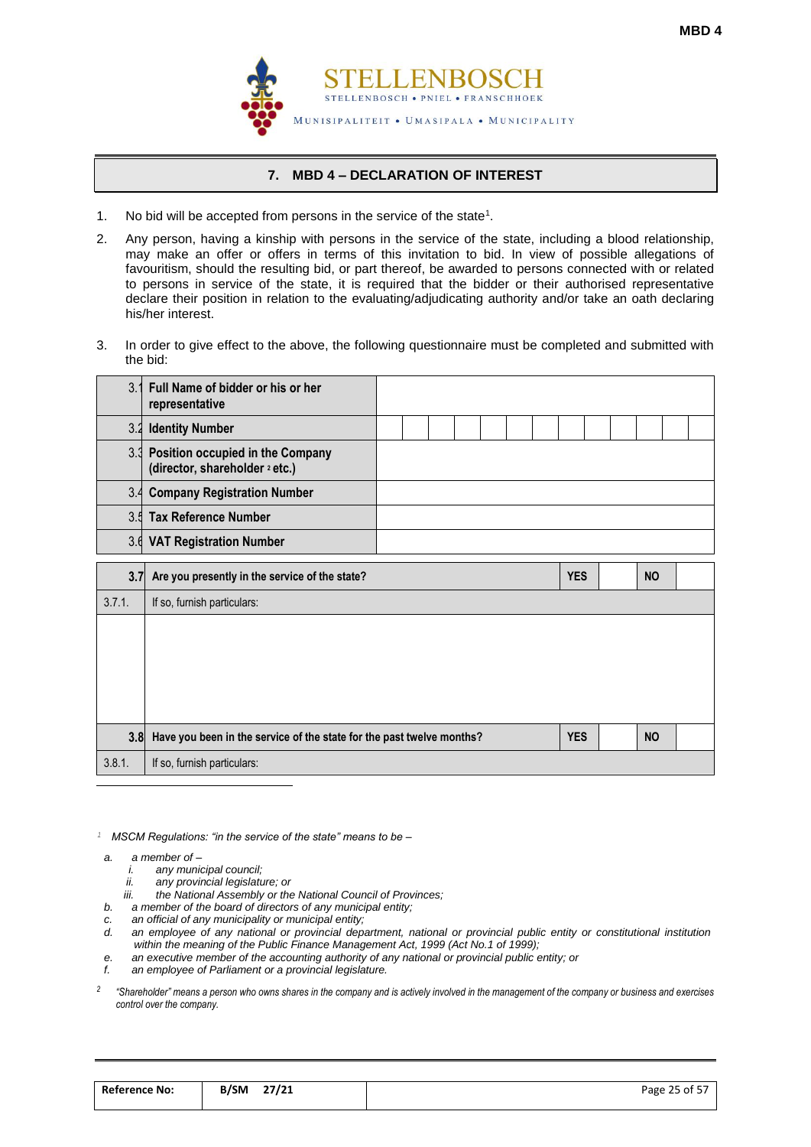

## **7. MBD 4 – DECLARATION OF INTEREST**

- <span id="page-26-0"></span>1. No bid will be accepted from persons in the service of the state<sup>1</sup>.
- 2. Any person, having a kinship with persons in the service of the state, including a blood relationship, may make an offer or offers in terms of this invitation to bid. In view of possible allegations of favouritism, should the resulting bid, or part thereof, be awarded to persons connected with or related to persons in service of the state, it is required that the bidder or their authorised representative declare their position in relation to the evaluating/adjudicating authority and/or take an oath declaring his/her interest.
- 3. In order to give effect to the above, the following questionnaire must be completed and submitted with the bid:

| 3.     | Full Name of bidder or his or her<br>representative                               |  |  |  |            |  |           |  |
|--------|-----------------------------------------------------------------------------------|--|--|--|------------|--|-----------|--|
| 3.2    | <b>Identity Number</b>                                                            |  |  |  |            |  |           |  |
|        | 3.3 Position occupied in the Company<br>(director, shareholder <sup>2</sup> etc.) |  |  |  |            |  |           |  |
| 3.4    | <b>Company Registration Number</b>                                                |  |  |  |            |  |           |  |
| 3.5    | <b>Tax Reference Number</b>                                                       |  |  |  |            |  |           |  |
| 3.6    | <b>VAT Registration Number</b>                                                    |  |  |  |            |  |           |  |
| 3.7    | Are you presently in the service of the state?                                    |  |  |  | <b>YES</b> |  | <b>NO</b> |  |
| 3.7.1. | If so, furnish particulars:                                                       |  |  |  |            |  |           |  |
|        |                                                                                   |  |  |  |            |  |           |  |
| 3.8    | Have you been in the service of the state for the past twelve months?             |  |  |  | <b>YES</b> |  | <b>NO</b> |  |
| 3.8.1. | If so, furnish particulars:                                                       |  |  |  |            |  |           |  |

*<sup>1</sup> MSCM Regulations: "in the service of the state" means to be –*

*a. a member of –*

 $\overline{a}$ 

- *i. any municipal council;*
	- *ii. any provincial legislature; or*
	- *iii. the National Assembly or the National Council of Provinces;*
- *b. a member of the board of directors of any municipal entity;*
- *c. an official of any municipality or municipal entity;*
- an employee of any national or provincial department, national or provincial public entity or constitutional institution *within the meaning of the Public Finance Management Act, 1999 (Act No.1 of 1999);*
- *e. an executive member of the accounting authority of any national or provincial public entity; or*
- *f. an employee of Parliament or a provincial legislature.*
- *2 "Shareholder" means a person who owns shares in the company and is actively involved in the management of the company or business and exercises control over the company.*

| <b>Reference No:</b> | B/SM | 27/21 | Page 25 of 57 |
|----------------------|------|-------|---------------|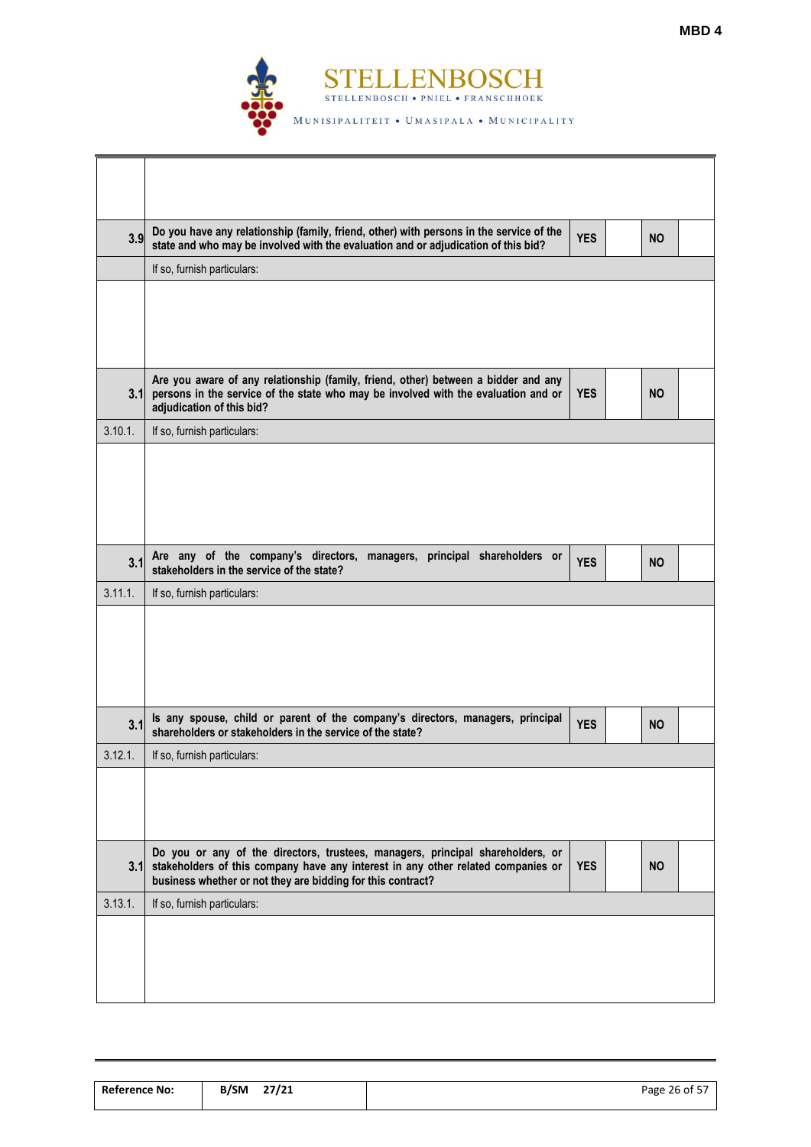

| 3.9     | Do you have any relationship (family, friend, other) with persons in the service of the<br>state and who may be involved with the evaluation and or adjudication of this bid?                                                     | <b>YES</b> | <b>NO</b> |  |
|---------|-----------------------------------------------------------------------------------------------------------------------------------------------------------------------------------------------------------------------------------|------------|-----------|--|
|         | If so, furnish particulars:                                                                                                                                                                                                       |            |           |  |
|         |                                                                                                                                                                                                                                   |            |           |  |
| 3.1     | Are you aware of any relationship (family, friend, other) between a bidder and any<br>persons in the service of the state who may be involved with the evaluation and or<br>adjudication of this bid?                             | <b>YES</b> | <b>NO</b> |  |
| 3.10.1. | If so, furnish particulars:                                                                                                                                                                                                       |            |           |  |
|         |                                                                                                                                                                                                                                   |            |           |  |
| 3.1     | Are any of the company's directors, managers, principal shareholders or<br>stakeholders in the service of the state?                                                                                                              | <b>YES</b> | <b>NO</b> |  |
| 3.11.1. | If so, furnish particulars:                                                                                                                                                                                                       |            |           |  |
|         |                                                                                                                                                                                                                                   |            |           |  |
|         |                                                                                                                                                                                                                                   |            |           |  |
| 3.1     | Is any spouse, child or parent of the company's directors, managers, principal<br>shareholders or stakeholders in the service of the state?                                                                                       | <b>YES</b> | <b>NO</b> |  |
| 3.12.1. | If so, furnish particulars:                                                                                                                                                                                                       |            |           |  |
|         |                                                                                                                                                                                                                                   |            |           |  |
| 3.1     | Do you or any of the directors, trustees, managers, principal shareholders, or<br>stakeholders of this company have any interest in any other related companies or<br>business whether or not they are bidding for this contract? | <b>YES</b> | <b>NO</b> |  |
| 3.13.1. | If so, furnish particulars:                                                                                                                                                                                                       |            |           |  |

| B/SM | 27/21 | Page 26 of 57 |
|------|-------|---------------|
|      |       |               |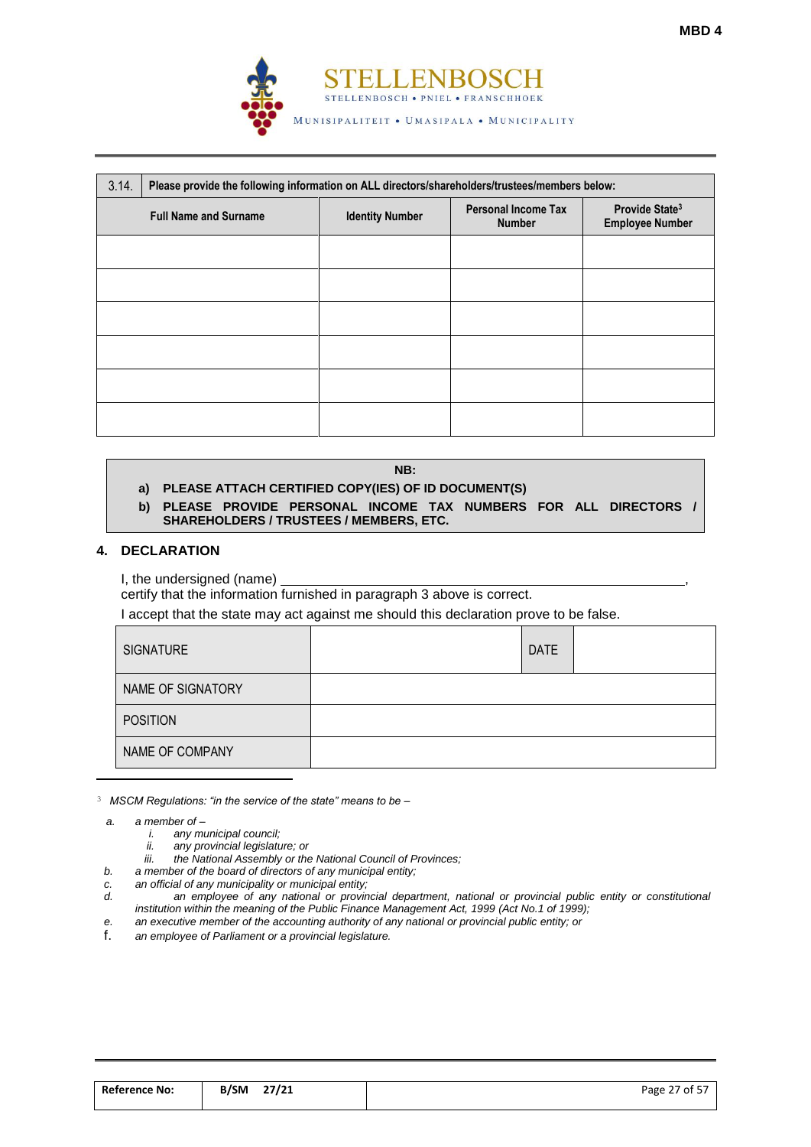

| 3.14. | Please provide the following information on ALL directors/shareholders/trustees/members below: |                        |                                             |                                                      |  |  |  |  |
|-------|------------------------------------------------------------------------------------------------|------------------------|---------------------------------------------|------------------------------------------------------|--|--|--|--|
|       | <b>Full Name and Surname</b>                                                                   | <b>Identity Number</b> | <b>Personal Income Tax</b><br><b>Number</b> | Provide State <sup>3</sup><br><b>Employee Number</b> |  |  |  |  |
|       |                                                                                                |                        |                                             |                                                      |  |  |  |  |
|       |                                                                                                |                        |                                             |                                                      |  |  |  |  |
|       |                                                                                                |                        |                                             |                                                      |  |  |  |  |
|       |                                                                                                |                        |                                             |                                                      |  |  |  |  |
|       |                                                                                                |                        |                                             |                                                      |  |  |  |  |
|       |                                                                                                |                        |                                             |                                                      |  |  |  |  |

#### **NB:**

## **a) PLEASE ATTACH CERTIFIED COPY(IES) OF ID DOCUMENT(S)**

**b) PLEASE PROVIDE PERSONAL INCOME TAX NUMBERS FOR ALL DIRECTORS / SHAREHOLDERS / TRUSTEES / MEMBERS, ETC.**

#### **4. DECLARATION**

I, the undersigned (name)

certify that the information furnished in paragraph 3 above is correct.

I accept that the state may act against me should this declaration prove to be false.

| SIGNATURE         | <b>DATE</b> |
|-------------------|-------------|
| NAME OF SIGNATORY |             |
| <b>POSITION</b>   |             |
| NAME OF COMPANY   |             |

<sup>3</sup> *MSCM Regulations: "in the service of the state" means to be –*

*a. a member of –*

 $\overline{a}$ 

- *i. any municipal council;*
- *ii. any provincial legislature; or*
- *iii. the National Assembly or the National Council of Provinces;*
- *b. a member of the board of directors of any municipal entity;*
- *c. an official of any municipality or municipal entity;*
- *d. an employee of any national or provincial department, national or provincial public entity or constitutional institution within the meaning of the Public Finance Management Act, 1999 (Act No.1 of 1999);*
- *e. an executive member of the accounting authority of any national or provincial public entity; or*
- f. *an employee of Parliament or a provincial legislature.*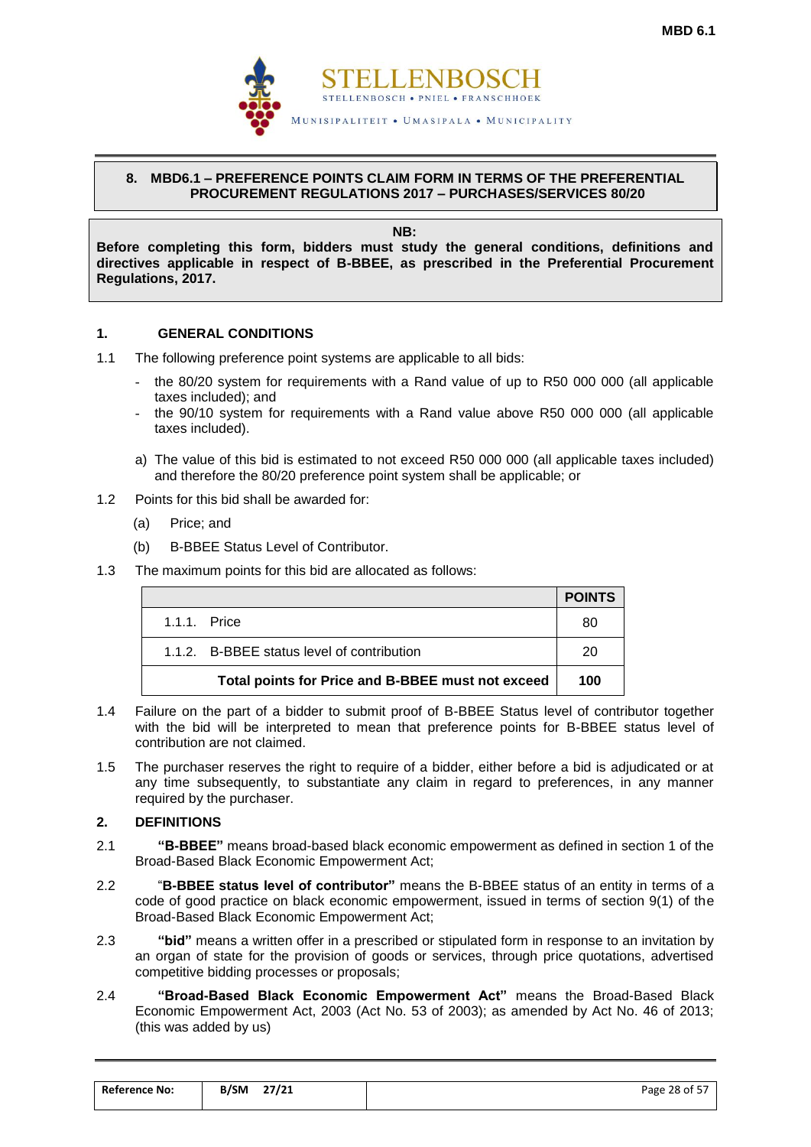

## <span id="page-29-0"></span>**8. MBD6.1 – PREFERENCE POINTS CLAIM FORM IN TERMS OF THE PREFERENTIAL PROCUREMENT REGULATIONS 2017 – PURCHASES/SERVICES 80/20**

**NB:**

**Before completing this form, bidders must study the general conditions, definitions and directives applicable in respect of B-BBEE, as prescribed in the Preferential Procurement Regulations, 2017.** 

## **1. GENERAL CONDITIONS**

- 1.1 The following preference point systems are applicable to all bids:
	- the 80/20 system for requirements with a Rand value of up to R50 000 000 (all applicable taxes included); and
	- the 90/10 system for requirements with a Rand value above R50 000 000 (all applicable taxes included).
	- a) The value of this bid is estimated to not exceed R50 000 000 (all applicable taxes included) and therefore the 80/20 preference point system shall be applicable; or
- 1.2 Points for this bid shall be awarded for:
	- (a) Price; and
	- (b) B-BBEE Status Level of Contributor.
- 1.3 The maximum points for this bid are allocated as follows:

|                                                   | <b>POINTS</b> |
|---------------------------------------------------|---------------|
| 1.1.1. Price                                      | 80            |
| 1.1.2. B-BBEE status level of contribution        | 20            |
| Total points for Price and B-BBEE must not exceed | 100           |

- 1.4 Failure on the part of a bidder to submit proof of B-BBEE Status level of contributor together with the bid will be interpreted to mean that preference points for B-BBEE status level of contribution are not claimed.
- 1.5 The purchaser reserves the right to require of a bidder, either before a bid is adjudicated or at any time subsequently, to substantiate any claim in regard to preferences, in any manner required by the purchaser.

## **2. DEFINITIONS**

- 2.1 **"B-BBEE"** means broad-based black economic empowerment as defined in section 1 of the Broad-Based Black Economic Empowerment Act;
- 2.2 "**B-BBEE status level of contributor"** means the B-BBEE status of an entity in terms of a code of good practice on black economic empowerment, issued in terms of section 9(1) of the Broad-Based Black Economic Empowerment Act;
- 2.3 **"bid"** means a written offer in a prescribed or stipulated form in response to an invitation by an organ of state for the provision of goods or services, through price quotations, advertised competitive bidding processes or proposals;
- 2.4 **"Broad-Based Black Economic Empowerment Act"** means the Broad-Based Black Economic Empowerment Act, 2003 (Act No. 53 of 2003); as amended by Act No. 46 of 2013; (this was added by us)

| <b>Reference No:</b> | 27/21<br>B/SM | .<br>Page 28 of 5. |
|----------------------|---------------|--------------------|
|                      |               |                    |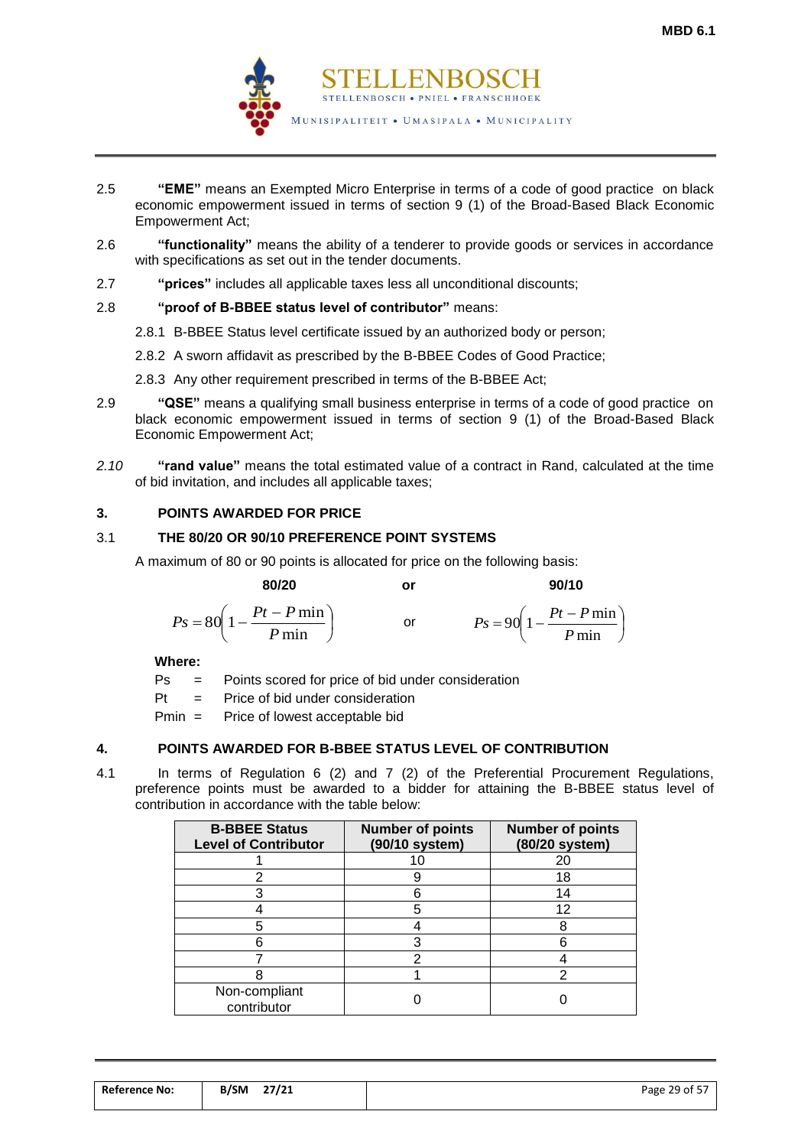

- 2.5 **"EME"** means an Exempted Micro Enterprise in terms of a code of good practice on black economic empowerment issued in terms of section 9 (1) of the Broad-Based Black Economic Empowerment Act;
- 2.6 **"functionality"** means the ability of a tenderer to provide goods or services in accordance with specifications as set out in the tender documents.
- 2.7 **"prices"** includes all applicable taxes less all unconditional discounts;

## 2.8 **"proof of B-BBEE status level of contributor"** means:

- 2.8.1 B-BBEE Status level certificate issued by an authorized body or person;
- 2.8.2 A sworn affidavit as prescribed by the B-BBEE Codes of Good Practice;
- 2.8.3 Any other requirement prescribed in terms of the B-BBEE Act;
- 2.9 **"QSE"** means a qualifying small business enterprise in terms of a code of good practice on black economic empowerment issued in terms of section 9 (1) of the Broad-Based Black Economic Empowerment Act;
- *2.10* **"rand value"** means the total estimated value of a contract in Rand, calculated at the time of bid invitation, and includes all applicable taxes;

## **3. POINTS AWARDED FOR PRICE**

### 3.1 **THE 80/20 OR 90/10 PREFERENCE POINT SYSTEMS**

A maximum of 80 or 90 points is allocated for price on the following basis:

 **80/20 or 90/10**

$$
Ps = 80\left(1 - \frac{Pt - P \min}{P \min}\right) \qquad \text{or} \qquad \qquad Ps = 90\left(1 - \frac{Pt - P \min}{P \min}\right)
$$

**Where:**

Ps = Points scored for price of bid under consideration

 $Pt =$  Price of bid under consideration

Pmin = Price of lowest acceptable bid

## **4. POINTS AWARDED FOR B-BBEE STATUS LEVEL OF CONTRIBUTION**

4.1 In terms of Regulation 6 (2) and 7 (2) of the Preferential Procurement Regulations, preference points must be awarded to a bidder for attaining the B-BBEE status level of contribution in accordance with the table below:

| <b>B-BBEE Status</b><br><b>Level of Contributor</b> | <b>Number of points</b><br>(90/10 system) | <b>Number of points</b><br>(80/20 system) |
|-----------------------------------------------------|-------------------------------------------|-------------------------------------------|
|                                                     | 10                                        | 20                                        |
|                                                     |                                           | 18                                        |
|                                                     |                                           | 14                                        |
|                                                     |                                           | 12                                        |
|                                                     |                                           | 8                                         |
|                                                     |                                           | 6                                         |
|                                                     |                                           |                                           |
|                                                     |                                           |                                           |
| Non-compliant<br>contributor                        |                                           |                                           |

| <b>Reference No:</b> | B/SM | 27/21 | Page 29 of 57 |
|----------------------|------|-------|---------------|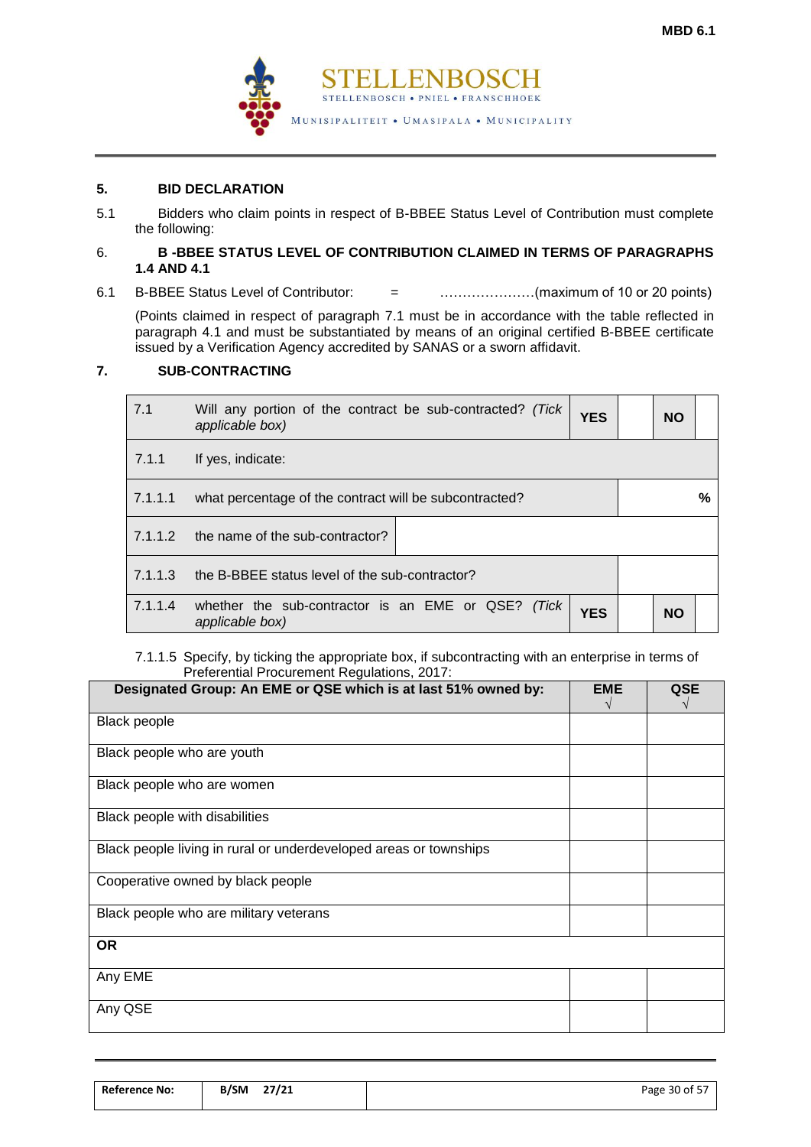

## **5. BID DECLARATION**

5.1 Bidders who claim points in respect of B-BBEE Status Level of Contribution must complete the following:

#### 6. **B -BBEE STATUS LEVEL OF CONTRIBUTION CLAIMED IN TERMS OF PARAGRAPHS 1.4 AND 4.1**

6.1 B-BBEE Status Level of Contributor: = …………………(maximum of 10 or 20 points)

(Points claimed in respect of paragraph 7.1 must be in accordance with the table reflected in paragraph 4.1 and must be substantiated by means of an original certified B-BBEE certificate issued by a Verification Agency accredited by SANAS or a sworn affidavit.

## **7. SUB-CONTRACTING**

| 7.1     | Will any portion of the contract be sub-contracted? (Tick<br>applicable box) | <b>YES</b> |  | <b>NO</b> |   |
|---------|------------------------------------------------------------------------------|------------|--|-----------|---|
| 7.1.1   | If yes, indicate:                                                            |            |  |           |   |
| 7.1.1.1 | what percentage of the contract will be subcontracted?                       |            |  |           | % |
| 7.1.1.2 | the name of the sub-contractor?                                              |            |  |           |   |
| 7.1.1.3 | the B-BBEE status level of the sub-contractor?                               |            |  |           |   |
| 7.1.1.4 | whether the sub-contractor is an EME or QSE? (Tick<br>applicable box)        | <b>YES</b> |  | <b>NO</b> |   |

#### 7.1.1.5 Specify, by ticking the appropriate box, if subcontracting with an enterprise in terms of Preferential Procurement Regulations, 2017:

| Designated Group: An EME or QSE which is at last 51% owned by:    | <b>EME</b> | QSE |
|-------------------------------------------------------------------|------------|-----|
| <b>Black people</b>                                               |            |     |
| Black people who are youth                                        |            |     |
| Black people who are women                                        |            |     |
| Black people with disabilities                                    |            |     |
| Black people living in rural or underdeveloped areas or townships |            |     |
| Cooperative owned by black people                                 |            |     |
| Black people who are military veterans                            |            |     |
| <b>OR</b>                                                         |            |     |
| Any EME                                                           |            |     |
| Any QSE                                                           |            |     |

| <b>Reference No:</b> | 27/21<br>B/SM | .<br>Page $30$ of 5, |
|----------------------|---------------|----------------------|
|                      |               |                      |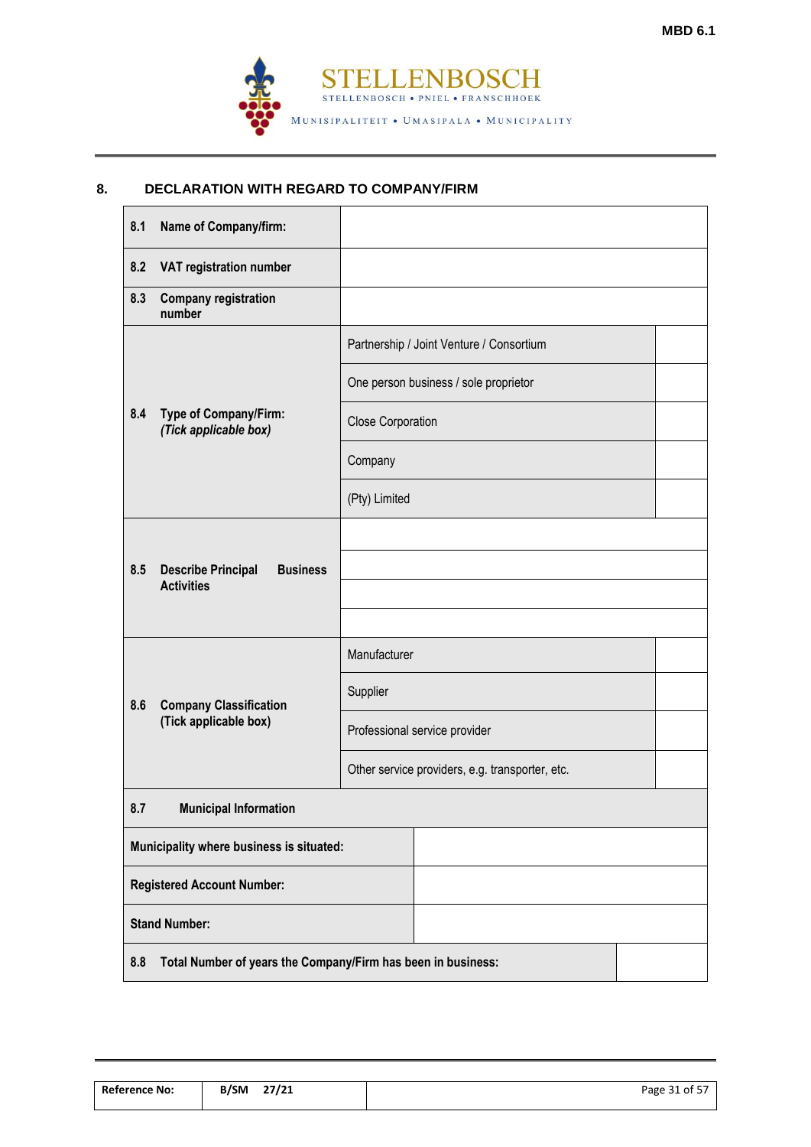

## **8. DECLARATION WITH REGARD TO COMPANY/FIRM**

| 8.1 | Name of Company/firm:                                             |                                                 |                                          |  |  |
|-----|-------------------------------------------------------------------|-------------------------------------------------|------------------------------------------|--|--|
| 8.2 | VAT registration number                                           |                                                 |                                          |  |  |
| 8.3 | <b>Company registration</b><br>number                             |                                                 |                                          |  |  |
|     |                                                                   |                                                 | Partnership / Joint Venture / Consortium |  |  |
|     |                                                                   |                                                 | One person business / sole proprietor    |  |  |
| 8.4 | Type of Company/Firm:<br>(Tick applicable box)                    | <b>Close Corporation</b>                        |                                          |  |  |
|     |                                                                   | Company                                         |                                          |  |  |
|     |                                                                   | (Pty) Limited                                   |                                          |  |  |
|     |                                                                   |                                                 |                                          |  |  |
| 8.5 | <b>Describe Principal</b><br><b>Business</b><br><b>Activities</b> |                                                 |                                          |  |  |
|     |                                                                   |                                                 |                                          |  |  |
|     |                                                                   | Manufacturer                                    |                                          |  |  |
| 8.6 | <b>Company Classification</b>                                     | Supplier                                        |                                          |  |  |
|     | (Tick applicable box)                                             |                                                 | Professional service provider            |  |  |
|     |                                                                   | Other service providers, e.g. transporter, etc. |                                          |  |  |
| 8.7 | <b>Municipal Information</b>                                      |                                                 |                                          |  |  |
|     | Municipality where business is situated:                          |                                                 |                                          |  |  |
|     | <b>Registered Account Number:</b>                                 |                                                 |                                          |  |  |
|     | <b>Stand Number:</b>                                              |                                                 |                                          |  |  |
| 8.8 | Total Number of years the Company/Firm has been in business:      |                                                 |                                          |  |  |

| <b>Reference No:</b> | 27/21<br><b>B/SM</b> | Page 31 of 57 |
|----------------------|----------------------|---------------|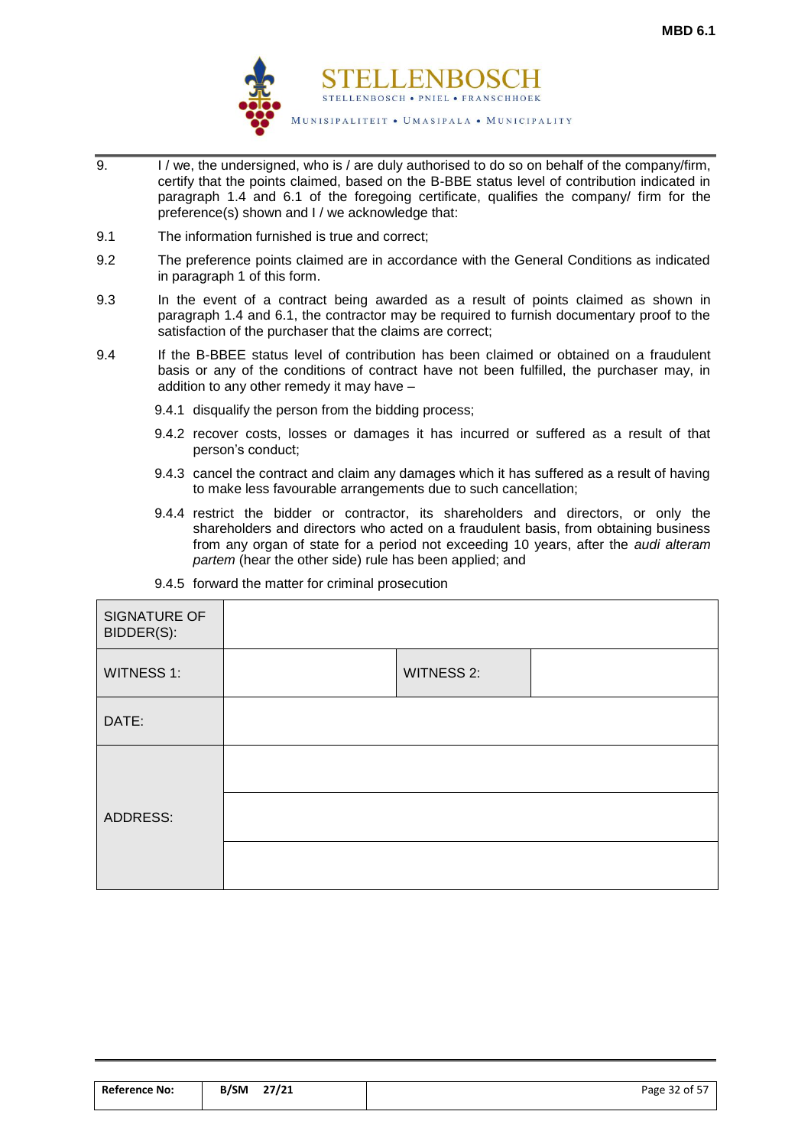

- 9. I / we, the undersigned, who is / are duly authorised to do so on behalf of the company/firm, certify that the points claimed, based on the B-BBE status level of contribution indicated in paragraph 1.4 and 6.1 of the foregoing certificate, qualifies the company/ firm for the preference(s) shown and I / we acknowledge that:
- 9.1 The information furnished is true and correct;
- 9.2 The preference points claimed are in accordance with the General Conditions as indicated in paragraph 1 of this form.
- 9.3 In the event of a contract being awarded as a result of points claimed as shown in paragraph 1.4 and 6.1, the contractor may be required to furnish documentary proof to the satisfaction of the purchaser that the claims are correct;
- 9.4 If the B-BBEE status level of contribution has been claimed or obtained on a fraudulent basis or any of the conditions of contract have not been fulfilled, the purchaser may, in addition to any other remedy it may have –
	- 9.4.1 disqualify the person from the bidding process;
	- 9.4.2 recover costs, losses or damages it has incurred or suffered as a result of that person's conduct;
	- 9.4.3 cancel the contract and claim any damages which it has suffered as a result of having to make less favourable arrangements due to such cancellation;
	- 9.4.4 restrict the bidder or contractor, its shareholders and directors, or only the shareholders and directors who acted on a fraudulent basis, from obtaining business from any organ of state for a period not exceeding 10 years, after the *audi alteram partem* (hear the other side) rule has been applied; and

| SIGNATURE OF<br>BIDDER(S): |                   |  |
|----------------------------|-------------------|--|
| <b>WITNESS 1:</b>          | <b>WITNESS 2:</b> |  |
| DATE:                      |                   |  |
|                            |                   |  |
| ADDRESS:                   |                   |  |
|                            |                   |  |

9.4.5 forward the matter for criminal prosecution

| <b>Reference No:</b> | 27/21<br><b>B/SM</b> | $\sim$ $ -$<br>Page<br>32 of 57<br>. . |
|----------------------|----------------------|----------------------------------------|
|                      |                      |                                        |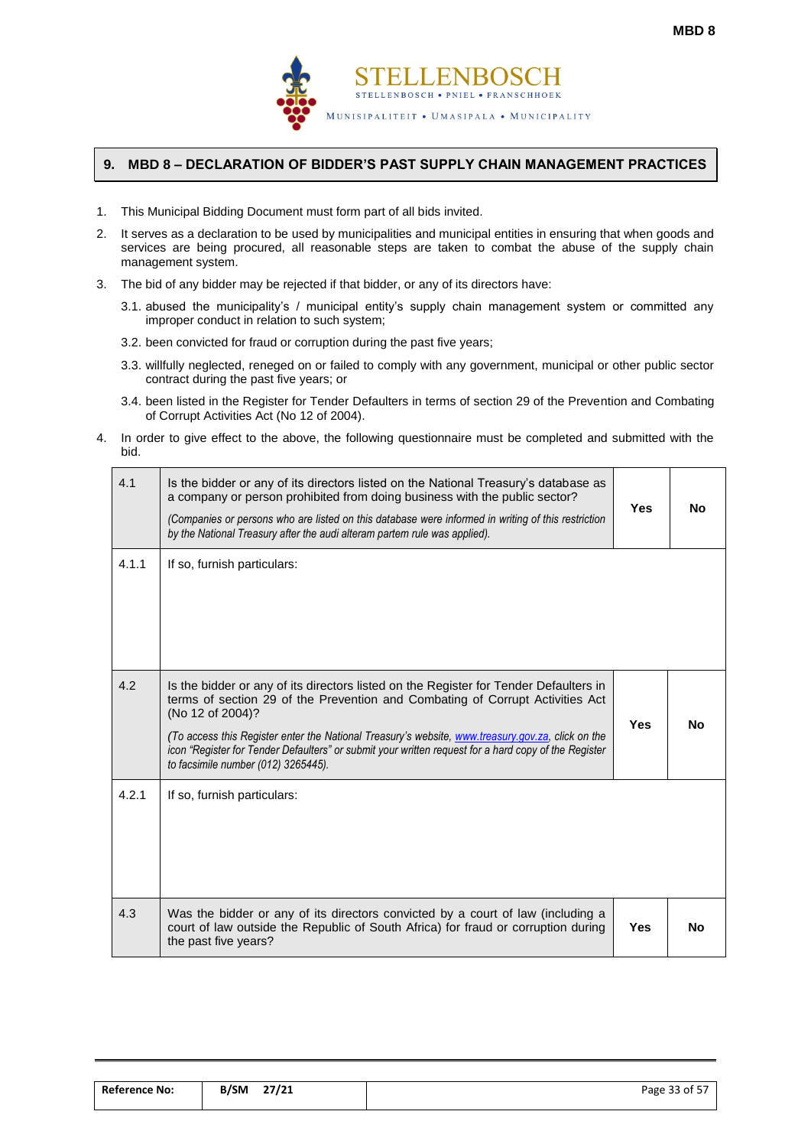

## <span id="page-34-0"></span>**9. MBD 8 – DECLARATION OF BIDDER'S PAST SUPPLY CHAIN MANAGEMENT PRACTICES**

- 1. This Municipal Bidding Document must form part of all bids invited.
- 2. It serves as a declaration to be used by municipalities and municipal entities in ensuring that when goods and services are being procured, all reasonable steps are taken to combat the abuse of the supply chain management system.
- 3. The bid of any bidder may be rejected if that bidder, or any of its directors have:
	- 3.1. abused the municipality's / municipal entity's supply chain management system or committed any improper conduct in relation to such system;
	- 3.2. been convicted for fraud or corruption during the past five years;
	- 3.3. willfully neglected, reneged on or failed to comply with any government, municipal or other public sector contract during the past five years; or
	- 3.4. been listed in the Register for Tender Defaulters in terms of section 29 of the Prevention and Combating of Corrupt Activities Act (No 12 of 2004).
- 4. In order to give effect to the above, the following questionnaire must be completed and submitted with the bid.

| 4.1   | Is the bidder or any of its directors listed on the National Treasury's database as<br>a company or person prohibited from doing business with the public sector?<br>(Companies or persons who are listed on this database were informed in writing of this restriction<br>by the National Treasury after the audi alteram partem rule was applied).                                                                                           | <b>Yes</b> | <b>No</b> |
|-------|------------------------------------------------------------------------------------------------------------------------------------------------------------------------------------------------------------------------------------------------------------------------------------------------------------------------------------------------------------------------------------------------------------------------------------------------|------------|-----------|
| 4.1.1 | If so, furnish particulars:                                                                                                                                                                                                                                                                                                                                                                                                                    |            |           |
| 4.2   | Is the bidder or any of its directors listed on the Register for Tender Defaulters in<br>terms of section 29 of the Prevention and Combating of Corrupt Activities Act<br>(No 12 of 2004)?<br>(To access this Register enter the National Treasury's website, www.treasury.gov.za, click on the<br>icon "Register for Tender Defaulters" or submit your written request for a hard copy of the Register<br>to facsimile number (012) 3265445). | <b>Yes</b> | <b>No</b> |
| 4.2.1 | If so, furnish particulars:                                                                                                                                                                                                                                                                                                                                                                                                                    |            |           |
| 4.3   | Was the bidder or any of its directors convicted by a court of law (including a<br>court of law outside the Republic of South Africa) for fraud or corruption during<br>the past five years?                                                                                                                                                                                                                                                   | <b>Yes</b> | <b>No</b> |

| <b>Reference No:</b> | 27/21<br><b>B/SM</b> | Page 33 of 57 |
|----------------------|----------------------|---------------|
|                      |                      |               |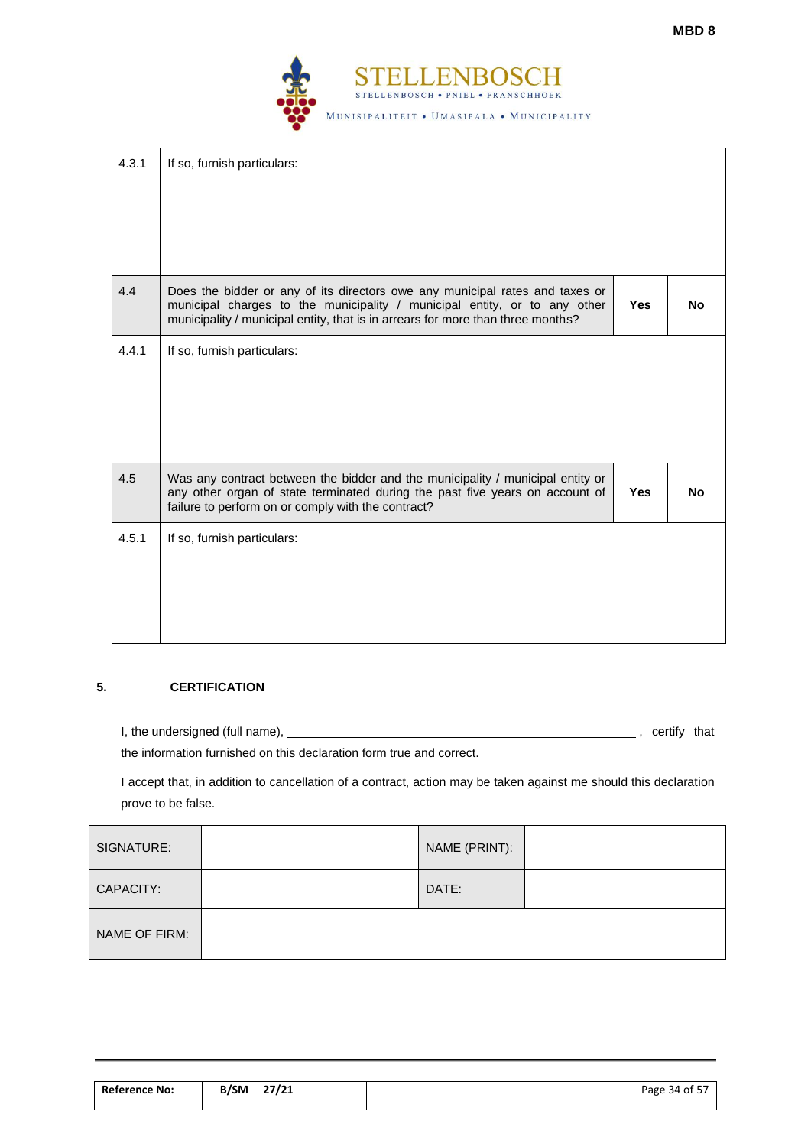

| 4.3.1 | If so, furnish particulars:                                                                                                                                                                                                                  |            |           |
|-------|----------------------------------------------------------------------------------------------------------------------------------------------------------------------------------------------------------------------------------------------|------------|-----------|
| 4.4   | Does the bidder or any of its directors owe any municipal rates and taxes or<br>municipal charges to the municipality / municipal entity, or to any other<br>municipality / municipal entity, that is in arrears for more than three months? | <b>Yes</b> | <b>No</b> |
| 4.4.1 | If so, furnish particulars:                                                                                                                                                                                                                  |            |           |
| 4.5   | Was any contract between the bidder and the municipality / municipal entity or<br>any other organ of state terminated during the past five years on account of<br>failure to perform on or comply with the contract?                         | <b>Yes</b> | No.       |
| 4.5.1 | If so, furnish particulars:                                                                                                                                                                                                                  |            |           |

## **5. CERTIFICATION**

I, the undersigned (full name), , certify that

the information furnished on this declaration form true and correct.

I accept that, in addition to cancellation of a contract, action may be taken against me should this declaration prove to be false.

| SIGNATURE:    | NAME (PRINT): |  |
|---------------|---------------|--|
| CAPACITY:     | DATE:         |  |
| NAME OF FIRM: |               |  |

| <b>Reference No:</b> | 27/21<br><b>B/SM</b> | .<br>Page 34 of ! |
|----------------------|----------------------|-------------------|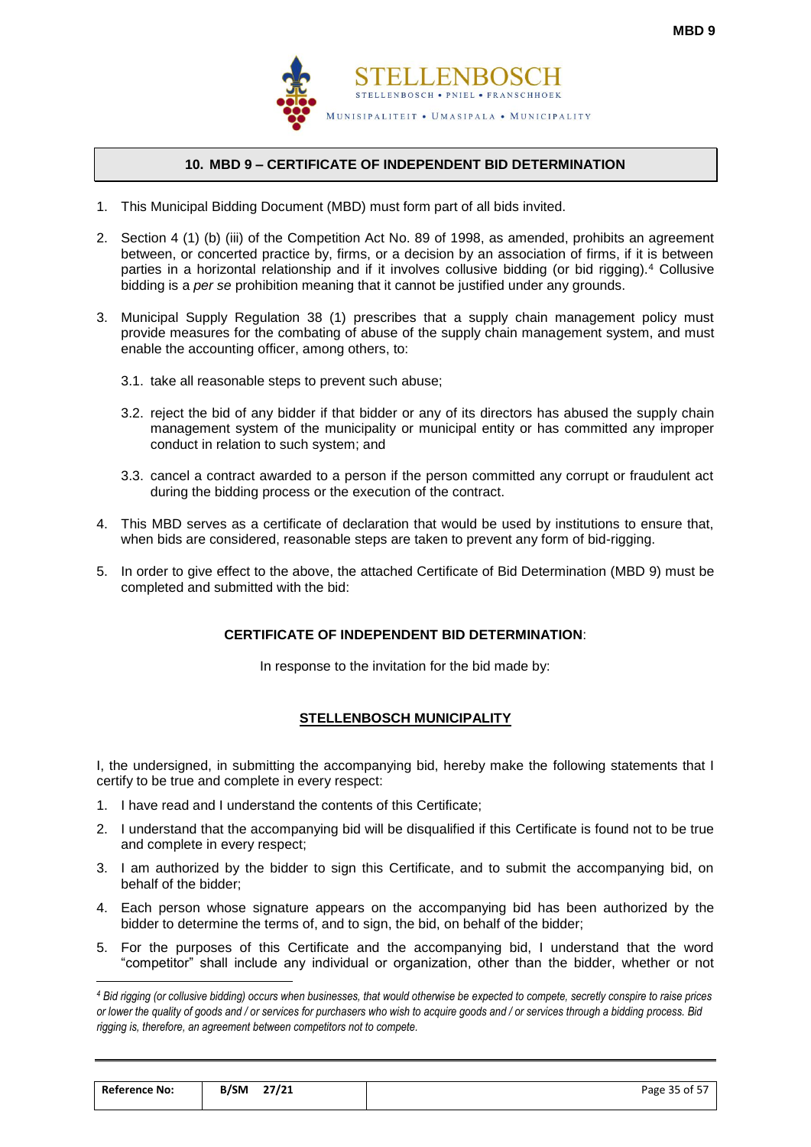

## **10. MBD 9 – CERTIFICATE OF INDEPENDENT BID DETERMINATION**

- <span id="page-36-0"></span>1. This Municipal Bidding Document (MBD) must form part of all bids invited.
- 2. Section 4 (1) (b) (iii) of the Competition Act No. 89 of 1998, as amended, prohibits an agreement between, or concerted practice by, firms, or a decision by an association of firms, if it is between parties in a horizontal relationship and if it involves collusive bidding (or bid rigging).<sup>4</sup> Collusive bidding is a *per se* prohibition meaning that it cannot be justified under any grounds.
- 3. Municipal Supply Regulation 38 (1) prescribes that a supply chain management policy must provide measures for the combating of abuse of the supply chain management system, and must enable the accounting officer, among others, to:
	- 3.1. take all reasonable steps to prevent such abuse;
	- 3.2. reject the bid of any bidder if that bidder or any of its directors has abused the supply chain management system of the municipality or municipal entity or has committed any improper conduct in relation to such system; and
	- 3.3. cancel a contract awarded to a person if the person committed any corrupt or fraudulent act during the bidding process or the execution of the contract.
- 4. This MBD serves as a certificate of declaration that would be used by institutions to ensure that, when bids are considered, reasonable steps are taken to prevent any form of bid-rigging.
- 5. In order to give effect to the above, the attached Certificate of Bid Determination (MBD 9) must be completed and submitted with the bid:

## **CERTIFICATE OF INDEPENDENT BID DETERMINATION**:

In response to the invitation for the bid made by:

## **STELLENBOSCH MUNICIPALITY**

I, the undersigned, in submitting the accompanying bid, hereby make the following statements that I certify to be true and complete in every respect:

1. I have read and I understand the contents of this Certificate;

 $\overline{a}$ 

- 2. I understand that the accompanying bid will be disqualified if this Certificate is found not to be true and complete in every respect;
- 3. I am authorized by the bidder to sign this Certificate, and to submit the accompanying bid, on behalf of the bidder;
- 4. Each person whose signature appears on the accompanying bid has been authorized by the bidder to determine the terms of, and to sign, the bid, on behalf of the bidder;
- 5. For the purposes of this Certificate and the accompanying bid, I understand that the word "competitor" shall include any individual or organization, other than the bidder, whether or not

*<sup>4</sup> Bid rigging (or collusive bidding) occurs when businesses, that would otherwise be expected to compete, secretly conspire to raise prices or lower the quality of goods and / or services for purchasers who wish to acquire goods and / or services through a bidding process. Bid rigging is, therefore, an agreement between competitors not to compete.*

| <b>Reference No:</b> | 27/21<br><b>B/SM</b> | Page 35 of 57 |
|----------------------|----------------------|---------------|
|                      |                      |               |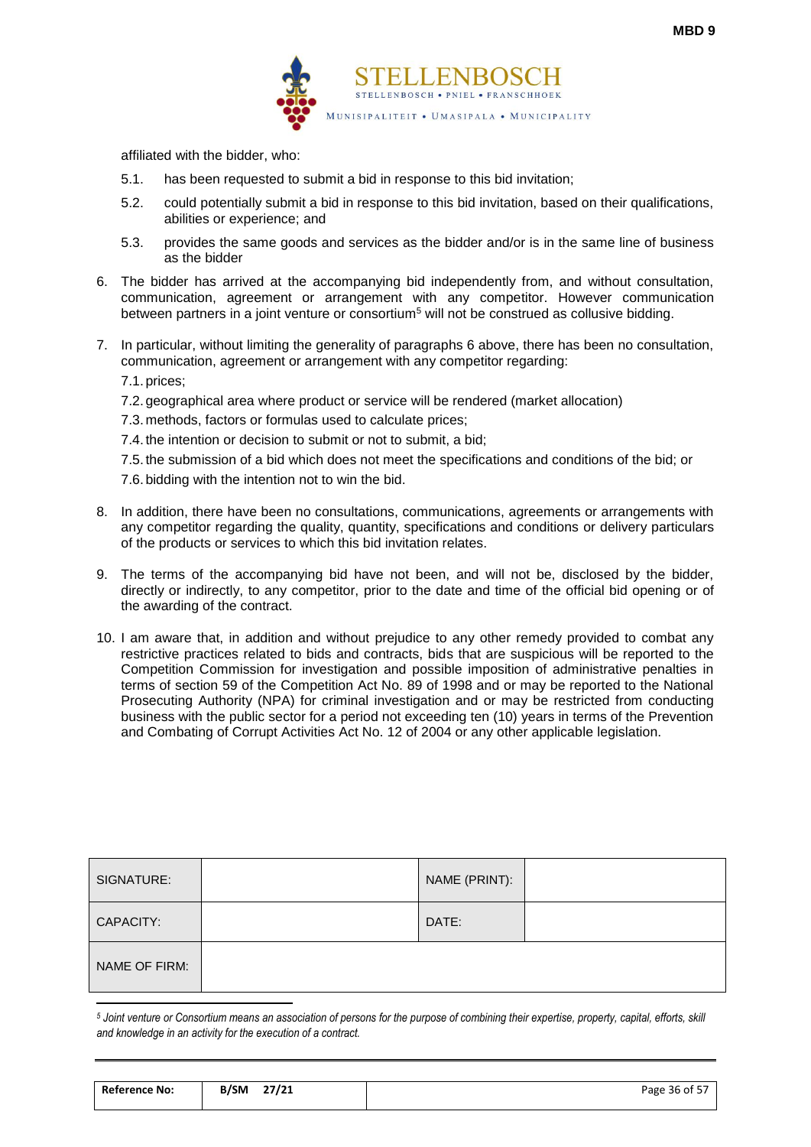

affiliated with the bidder, who:

- 5.1. has been requested to submit a bid in response to this bid invitation;
- 5.2. could potentially submit a bid in response to this bid invitation, based on their qualifications, abilities or experience; and
- 5.3. provides the same goods and services as the bidder and/or is in the same line of business as the bidder
- 6. The bidder has arrived at the accompanying bid independently from, and without consultation, communication, agreement or arrangement with any competitor. However communication between partners in a joint venture or consortium<sup>5</sup> will not be construed as collusive bidding.
- 7. In particular, without limiting the generality of paragraphs 6 above, there has been no consultation, communication, agreement or arrangement with any competitor regarding:

7.1. prices;

- 7.2. geographical area where product or service will be rendered (market allocation)
- 7.3. methods, factors or formulas used to calculate prices;
- 7.4. the intention or decision to submit or not to submit, a bid;

7.5. the submission of a bid which does not meet the specifications and conditions of the bid; or 7.6. bidding with the intention not to win the bid.

- 8. In addition, there have been no consultations, communications, agreements or arrangements with any competitor regarding the quality, quantity, specifications and conditions or delivery particulars of the products or services to which this bid invitation relates.
- 9. The terms of the accompanying bid have not been, and will not be, disclosed by the bidder, directly or indirectly, to any competitor, prior to the date and time of the official bid opening or of the awarding of the contract.
- 10. I am aware that, in addition and without prejudice to any other remedy provided to combat any restrictive practices related to bids and contracts, bids that are suspicious will be reported to the Competition Commission for investigation and possible imposition of administrative penalties in terms of section 59 of the Competition Act No. 89 of 1998 and or may be reported to the National Prosecuting Authority (NPA) for criminal investigation and or may be restricted from conducting business with the public sector for a period not exceeding ten (10) years in terms of the Prevention and Combating of Corrupt Activities Act No. 12 of 2004 or any other applicable legislation.

| SIGNATURE:    | NAME (PRINT): |  |
|---------------|---------------|--|
| CAPACITY:     | DATE:         |  |
| NAME OF FIRM: |               |  |
|               |               |  |

*<sup>5</sup> Joint venture or Consortium means an association of persons for the purpose of combining their expertise, property, capital, efforts, skill and knowledge in an activity for the execution of a contract.*

| <b>Reference No:</b> | B/SM | 27/21 | .<br>Page 36 of 5, |
|----------------------|------|-------|--------------------|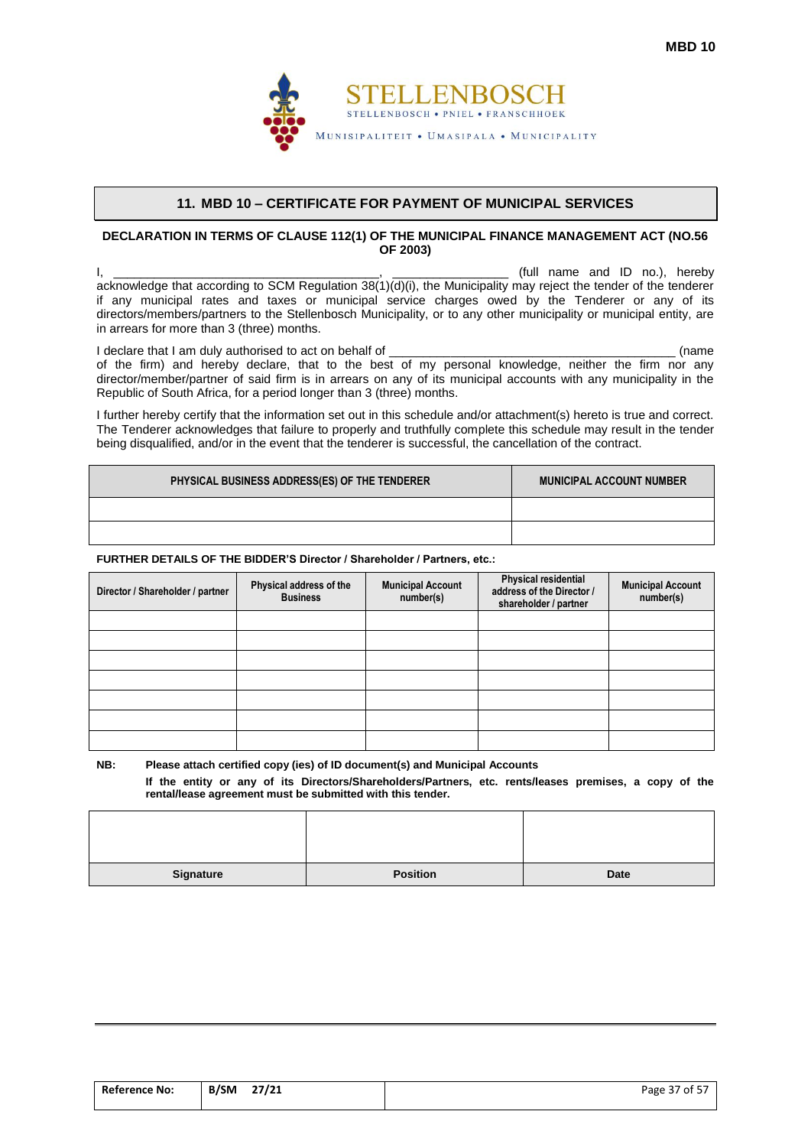

#### **11. MBD 10 – CERTIFICATE FOR PAYMENT OF MUNICIPAL SERVICES**

#### <span id="page-38-0"></span>**DECLARATION IN TERMS OF CLAUSE 112(1) OF THE MUNICIPAL FINANCE MANAGEMENT ACT (NO.56 OF 2003)**

I, \_\_\_\_\_\_\_\_\_\_\_\_\_\_\_\_\_\_\_\_\_\_\_\_\_\_\_\_\_\_\_\_\_\_\_\_\_\_\_, \_\_\_\_\_\_\_\_\_\_\_\_\_\_\_\_\_ (full name and ID no.), hereby acknowledge that according to SCM Regulation 38(1)(d)(i), the Municipality may reject the tender of the tenderer if any municipal rates and taxes or municipal service charges owed by the Tenderer or any of its directors/members/partners to the Stellenbosch Municipality, or to any other municipality or municipal entity, are in arrears for more than 3 (three) months.

I declare that I am duly authorised to act on behalf of \_\_\_\_\_\_\_\_\_\_\_\_\_\_\_\_\_\_\_\_\_\_\_\_\_\_\_\_\_\_\_\_\_\_\_\_\_\_\_\_\_\_ (name of the firm) and hereby declare, that to the best of my personal knowledge, neither the firm nor any director/member/partner of said firm is in arrears on any of its municipal accounts with any municipality in the Republic of South Africa, for a period longer than 3 (three) months.

I further hereby certify that the information set out in this schedule and/or attachment(s) hereto is true and correct. The Tenderer acknowledges that failure to properly and truthfully complete this schedule may result in the tender being disqualified, and/or in the event that the tenderer is successful, the cancellation of the contract.

| PHYSICAL BUSINESS ADDRESS(ES) OF THE TENDERER | <b>MUNICIPAL ACCOUNT NUMBER</b> |
|-----------------------------------------------|---------------------------------|
|                                               |                                 |
|                                               |                                 |

#### **FURTHER DETAILS OF THE BIDDER'S Director / Shareholder / Partners, etc.:**

| Director / Shareholder / partner | Physical address of the<br><b>Business</b> | <b>Municipal Account</b><br>number(s) | Physical residential<br>address of the Director /<br>shareholder / partner | <b>Municipal Account</b><br>number(s) |
|----------------------------------|--------------------------------------------|---------------------------------------|----------------------------------------------------------------------------|---------------------------------------|
|                                  |                                            |                                       |                                                                            |                                       |
|                                  |                                            |                                       |                                                                            |                                       |
|                                  |                                            |                                       |                                                                            |                                       |
|                                  |                                            |                                       |                                                                            |                                       |
|                                  |                                            |                                       |                                                                            |                                       |
|                                  |                                            |                                       |                                                                            |                                       |
|                                  |                                            |                                       |                                                                            |                                       |

**NB: Please attach certified copy (ies) of ID document(s) and Municipal Accounts**

**If the entity or any of its Directors/Shareholders/Partners, etc. rents/leases premises, a copy of the rental/lease agreement must be submitted with this tender.**

| Signature | <b>Position</b> | Date |
|-----------|-----------------|------|

| <b>Reference No:</b> | B/SM | 27/21 | Page 37 of 57 |
|----------------------|------|-------|---------------|
|                      |      |       |               |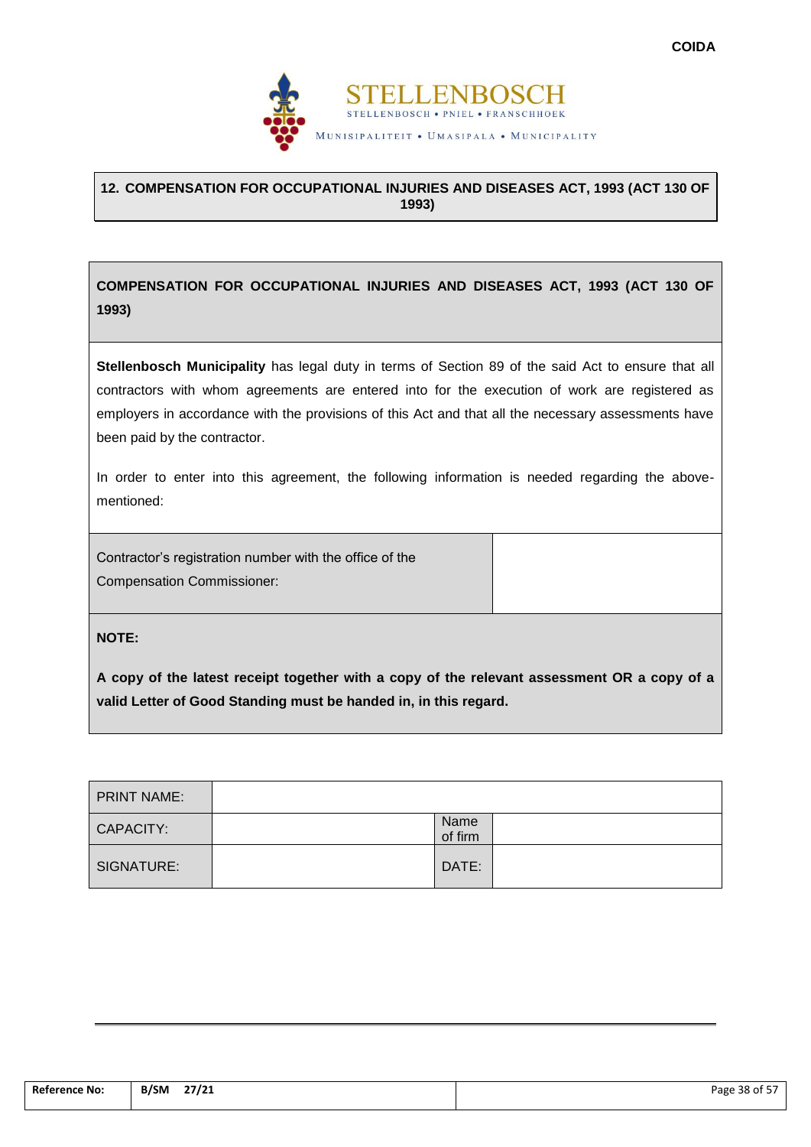

## <span id="page-39-0"></span>**12. COMPENSATION FOR OCCUPATIONAL INJURIES AND DISEASES ACT, 1993 (ACT 130 OF 1993)**

**COMPENSATION FOR OCCUPATIONAL INJURIES AND DISEASES ACT, 1993 (ACT 130 OF 1993)**

**Stellenbosch Municipality** has legal duty in terms of Section 89 of the said Act to ensure that all contractors with whom agreements are entered into for the execution of work are registered as employers in accordance with the provisions of this Act and that all the necessary assessments have been paid by the contractor.

In order to enter into this agreement, the following information is needed regarding the abovementioned:

Contractor's registration number with the office of the Compensation Commissioner:

**NOTE:**

**A copy of the latest receipt together with a copy of the relevant assessment OR a copy of a valid Letter of Good Standing must be handed in, in this regard.**

| <b>PRINT NAME:</b> |                 |  |
|--------------------|-----------------|--|
| CAPACITY:          | Name<br>of firm |  |
| SIGNATURE:         | DATE:           |  |

| <b>Reference No:</b> | ____<br>27/21<br>B/SM<br>$\overline{\phantom{a}}$ | Page 38 of 57 |
|----------------------|---------------------------------------------------|---------------|
|                      |                                                   |               |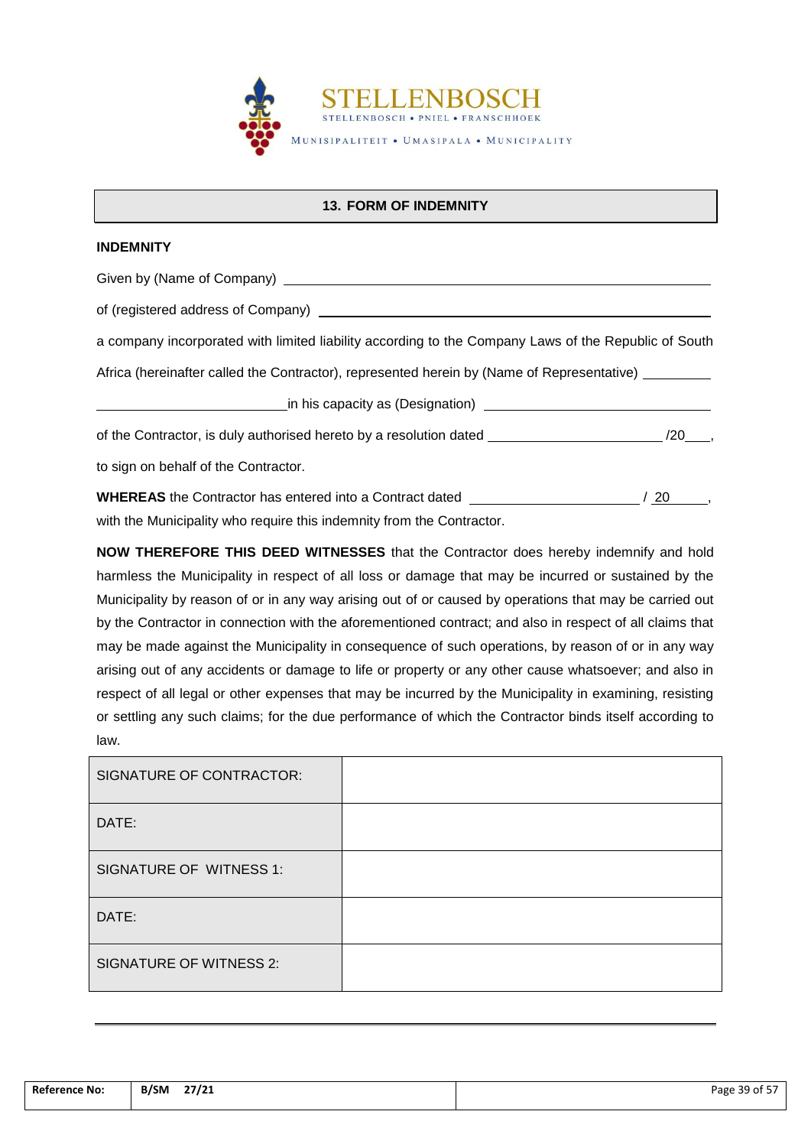

## **13. FORM OF INDEMNITY**

## <span id="page-40-0"></span>**INDEMNITY**

Given by (Name of Company) **Company Company Company Company Company Company Company Company Company Company Company Company Company Company Company Company Company Company Company Comp** 

of (registered address of Company)

a company incorporated with limited liability according to the Company Laws of the Republic of South

Africa (hereinafter called the Contractor), represented herein by (Name of Representative) \_\_\_\_\_\_\_\_

in his capacity as (Designation) <u>contains and the contract of the contract of the contract of the contract of</u>

of the Contractor, is duly authorised hereto by a resolution dated /20 ,

to sign on behalf of the Contractor.

**WHEREAS** the Contractor has entered into a Contract dated *NHEREAS* the Contractor has entered into a Contract dated *NHEREAS* the Contractor has entered into a Contract dated *NHEREAS* the Contractor of the Second with the Municipality who require this indemnity from the Contractor.

**NOW THEREFORE THIS DEED WITNESSES** that the Contractor does hereby indemnify and hold harmless the Municipality in respect of all loss or damage that may be incurred or sustained by the Municipality by reason of or in any way arising out of or caused by operations that may be carried out by the Contractor in connection with the aforementioned contract; and also in respect of all claims that may be made against the Municipality in consequence of such operations, by reason of or in any way arising out of any accidents or damage to life or property or any other cause whatsoever; and also in respect of all legal or other expenses that may be incurred by the Municipality in examining, resisting or settling any such claims; for the due performance of which the Contractor binds itself according to law.

| SIGNATURE OF CONTRACTOR: |  |
|--------------------------|--|
| DATE:                    |  |
| SIGNATURE OF WITNESS 1:  |  |
| DATE:                    |  |
| SIGNATURE OF WITNESS 2:  |  |

| <b>Reference No:</b><br>. | 27/21<br><b>B/SM</b><br>$\overline{\phantom{a}}$<br>$ -$ | 39 of 57<br>Page |
|---------------------------|----------------------------------------------------------|------------------|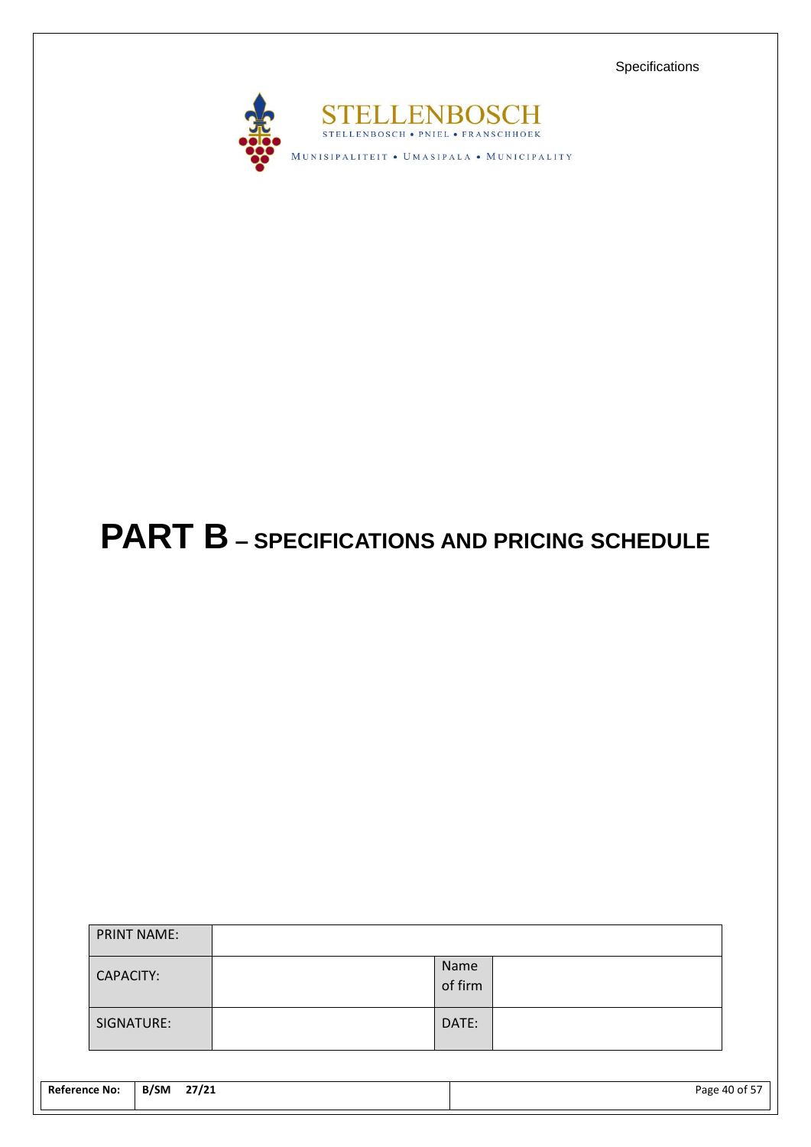Specifications



# <span id="page-41-0"></span>**PART B – SPECIFICATIONS AND PRICING SCHEDULE**

| <b>PRINT NAME:</b> |                 |  |
|--------------------|-----------------|--|
| CAPACITY:          | Name<br>of firm |  |
| SIGNATURE:         | DATE:           |  |

| <b>Reference No:</b> | B/SM<br>27/21 | Page 40 of 57 |
|----------------------|---------------|---------------|
|                      |               |               |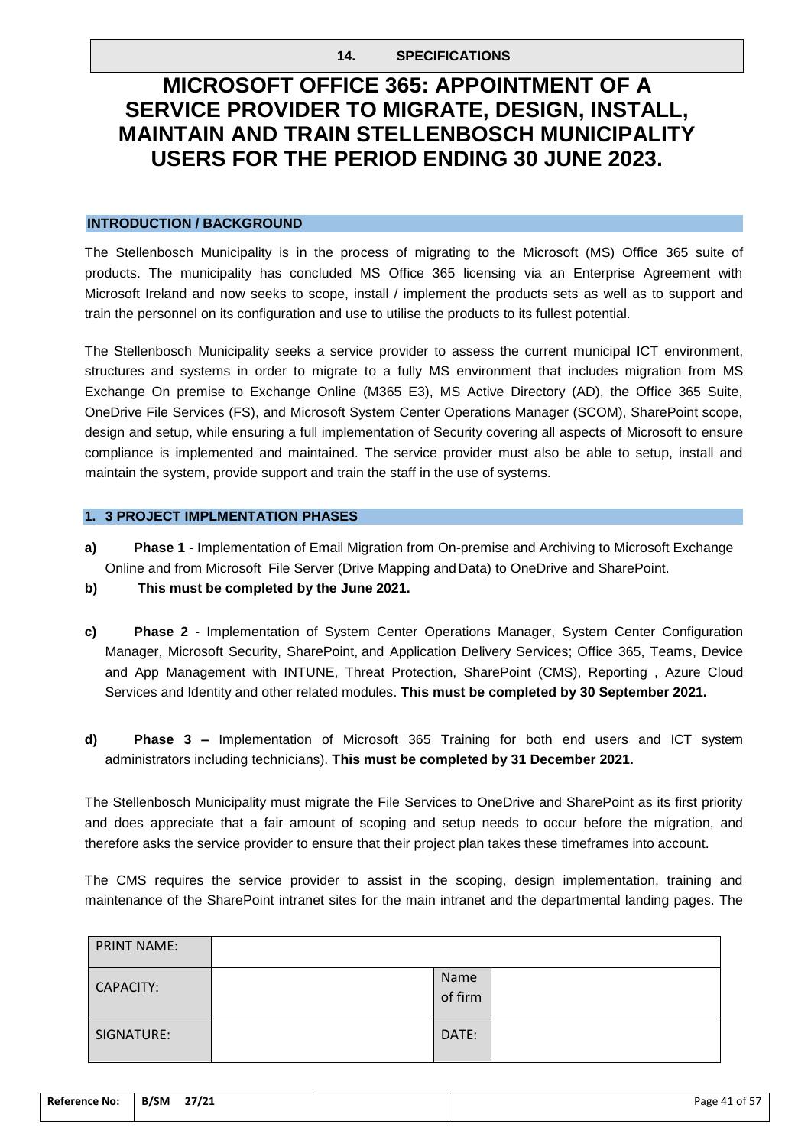## **14. SPECIFICATIONS**

# <span id="page-42-0"></span>**MICROSOFT OFFICE 365: APPOINTMENT OF A SERVICE PROVIDER TO MIGRATE, DESIGN, INSTALL, MAINTAIN AND TRAIN STELLENBOSCH MUNICIPALITY USERS FOR THE PERIOD ENDING 30 JUNE 2023.**

## **INTRODUCTION / BACKGROUND**

The Stellenbosch Municipality is in the process of migrating to the Microsoft (MS) Office 365 suite of products. The municipality has concluded MS Office 365 licensing via an Enterprise Agreement with Microsoft Ireland and now seeks to scope, install / implement the products sets as well as to support and train the personnel on its configuration and use to utilise the products to its fullest potential.

The Stellenbosch Municipality seeks a service provider to assess the current municipal ICT environment, structures and systems in order to migrate to a fully MS environment that includes migration from MS Exchange On premise to Exchange Online (M365 E3), MS Active Directory (AD), the Office 365 Suite, OneDrive File Services (FS), and Microsoft System Center Operations Manager (SCOM), SharePoint scope, design and setup, while ensuring a full implementation of Security covering all aspects of Microsoft to ensure compliance is implemented and maintained. The service provider must also be able to setup, install and maintain the system, provide support and train the staff in the use of systems.

### **1. 3 PROJECT IMPLMENTATION PHASES**

- **a) Phase 1** Implementation of Email Migration from On-premise and Archiving to Microsoft Exchange Online and from Microsoft File Server (Drive Mapping and Data) to OneDrive and SharePoint.
- **b) This must be completed by the June 2021.**
- **c) Phase 2** Implementation of System Center Operations Manager, System Center Configuration Manager, Microsoft Security, SharePoint, and Application Delivery Services; Office 365, Teams, Device and App Management with INTUNE, Threat Protection, SharePoint (CMS), Reporting , Azure Cloud Services and Identity and other related modules. **This must be completed by 30 September 2021.**
- **d) Phase 3 –** Implementation of Microsoft 365 Training for both end users and ICT system administrators including technicians). **This must be completed by 31 December 2021.**

The Stellenbosch Municipality must migrate the File Services to OneDrive and SharePoint as its first priority and does appreciate that a fair amount of scoping and setup needs to occur before the migration, and therefore asks the service provider to ensure that their project plan takes these timeframes into account.

The CMS requires the service provider to assist in the scoping, design implementation, training and maintenance of the SharePoint intranet sites for the main intranet and the departmental landing pages. The

| <b>PRINT NAME:</b> |                 |
|--------------------|-----------------|
| CAPACITY:          | Name<br>of firm |
| SIGNATURE:         | DATE:           |

| <b>Reference No:</b> | <b>B/SM</b><br>27/21 | $\sim$ $ -$<br>Page 41 of 57 |
|----------------------|----------------------|------------------------------|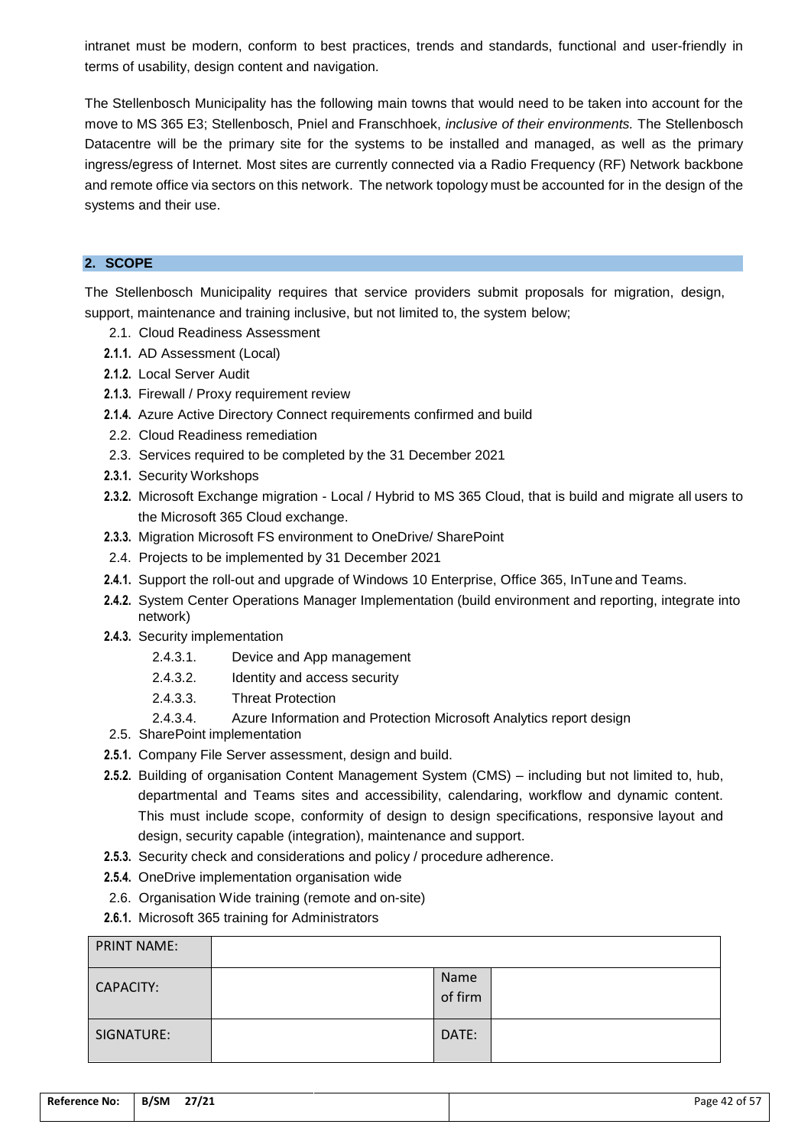intranet must be modern, conform to best practices, trends and standards, functional and user-friendly in terms of usability, design content and navigation.

The Stellenbosch Municipality has the following main towns that would need to be taken into account for the move to MS 365 E3; Stellenbosch, Pniel and Franschhoek, *inclusive of their environments.* The Stellenbosch Datacentre will be the primary site for the systems to be installed and managed, as well as the primary ingress/egress of Internet. Most sites are currently connected via a Radio Frequency (RF) Network backbone and remote office via sectors on this network. The network topology must be accounted for in the design of the systems and their use.

## **2. SCOPE**

The Stellenbosch Municipality requires that service providers submit proposals for migration, design, support, maintenance and training inclusive, but not limited to, the system below;

- 2.1. Cloud Readiness Assessment
- **2.1.1.** AD Assessment (Local)
- **2.1.2.** Local Server Audit
- **2.1.3.** Firewall / Proxy requirement review
- **2.1.4.** Azure Active Directory Connect requirements confirmed and build
- 2.2. Cloud Readiness remediation
- 2.3. Services required to be completed by the 31 December 2021
- **2.3.1.** Security Workshops
- **2.3.2.** Microsoft Exchange migration Local / Hybrid to MS 365 Cloud, that is build and migrate all users to the Microsoft 365 Cloud exchange.
- **2.3.3.** Migration Microsoft FS environment to OneDrive/ SharePoint
- 2.4. Projects to be implemented by 31 December 2021
- **2.4.1.** Support the roll-out and upgrade of Windows 10 Enterprise, Office 365, InTune and Teams.
- **2.4.2.** System Center Operations Manager Implementation (build environment and reporting, integrate into network)
- **2.4.3.** Security implementation
	- 2.4.3.1. Device and App management
	- 2.4.3.2. Identity and access security
	- 2.4.3.3. Threat Protection
	- 2.4.3.4. Azure Information and Protection Microsoft Analytics report design
- 2.5. SharePoint implementation
- **2.5.1.** Company File Server assessment, design and build.
- **2.5.2.** Building of organisation Content Management System (CMS) including but not limited to, hub, departmental and Teams sites and accessibility, calendaring, workflow and dynamic content. This must include scope, conformity of design to design specifications, responsive layout and design, security capable (integration), maintenance and support.
- **2.5.3.** Security check and considerations and policy / procedure adherence.
- **2.5.4.** OneDrive implementation organisation wide
- 2.6. Organisation Wide training (remote and on-site)
- **2.6.1.** Microsoft 365 training for Administrators

| <b>PRINT NAME:</b> |                 |  |
|--------------------|-----------------|--|
| CAPACITY:          | Name<br>of firm |  |
| SIGNATURE:         | DATE:           |  |

| <b>Reference No:</b> | 27/21<br><b>B/SM</b> | ---<br>Page 42 of 5 $\overline{6}$ |
|----------------------|----------------------|------------------------------------|
|                      |                      |                                    |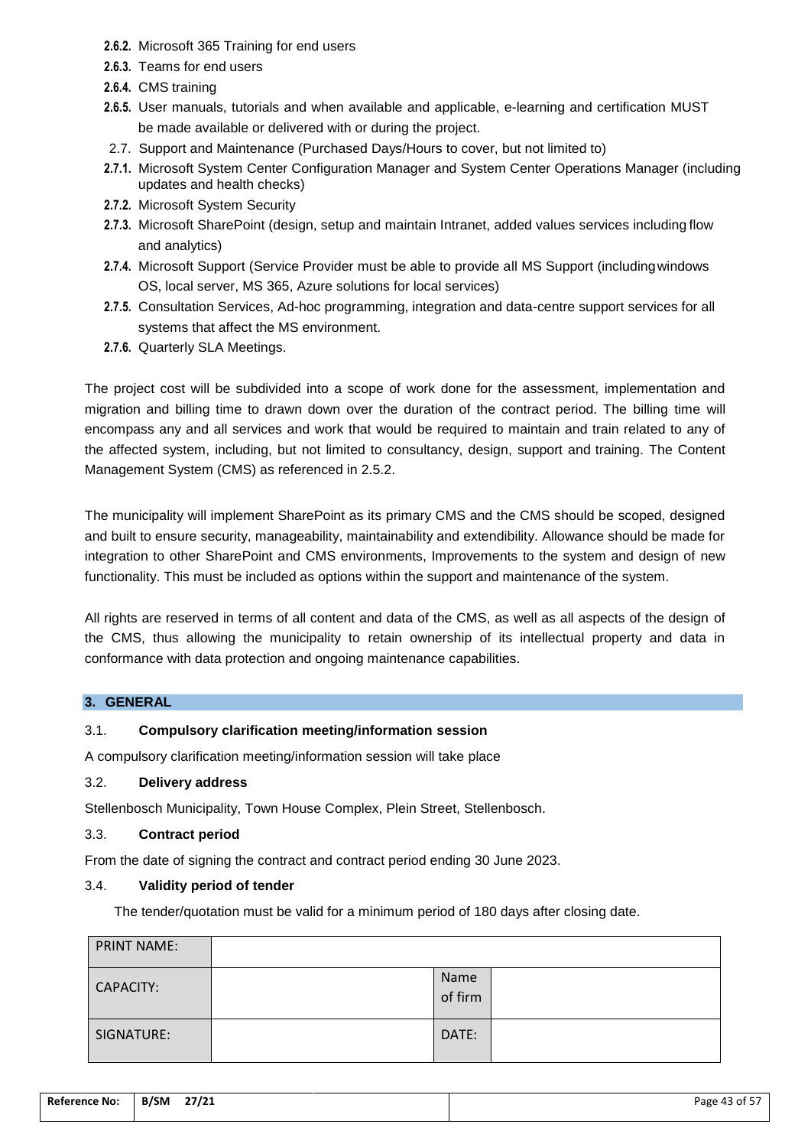- **2.6.2.** Microsoft 365 Training for end users
- **2.6.3.** Teams for end users
- **2.6.4.** CMS training
- **2.6.5.** User manuals, tutorials and when available and applicable, e-learning and certification MUST be made available or delivered with or during the project.
- 2.7. Support and Maintenance (Purchased Days/Hours to cover, but not limited to)
- **2.7.1.** Microsoft System Center Configuration Manager and System Center Operations Manager (including updates and health checks)
- **2.7.2.** Microsoft System Security
- **2.7.3.** Microsoft SharePoint (design, setup and maintain Intranet, added values services including flow and analytics)
- **2.7.4.** Microsoft Support (Service Provider must be able to provide all MS Support (includingwindows OS, local server, MS 365, Azure solutions for local services)
- **2.7.5.** Consultation Services, Ad-hoc programming, integration and data-centre support services for all systems that affect the MS environment.
- **2.7.6.** Quarterly SLA Meetings.

The project cost will be subdivided into a scope of work done for the assessment, implementation and migration and billing time to drawn down over the duration of the contract period. The billing time will encompass any and all services and work that would be required to maintain and train related to any of the affected system, including, but not limited to consultancy, design, support and training. The Content Management System (CMS) as referenced in 2.5.2.

The municipality will implement SharePoint as its primary CMS and the CMS should be scoped, designed and built to ensure security, manageability, maintainability and extendibility. Allowance should be made for integration to other SharePoint and CMS environments, Improvements to the system and design of new functionality. This must be included as options within the support and maintenance of the system.

All rights are reserved in terms of all content and data of the CMS, as well as all aspects of the design of the CMS, thus allowing the municipality to retain ownership of its intellectual property and data in conformance with data protection and ongoing maintenance capabilities.

## **3. GENERAL**

## 3.1. **Compulsory clarification meeting/information session**

A compulsory clarification meeting/information session will take place

## 3.2. **Delivery address**

Stellenbosch Municipality, Town House Complex, Plein Street, Stellenbosch.

## 3.3. **Contract period**

From the date of signing the contract and contract period ending 30 June 2023.

## 3.4. **Validity period of tender**

The tender/quotation must be valid for a minimum period of 180 days after closing date.

| <b>PRINT NAME:</b> |                 |  |
|--------------------|-----------------|--|
| CAPACITY:          | Name<br>of firm |  |
| SIGNATURE:         | DATE:           |  |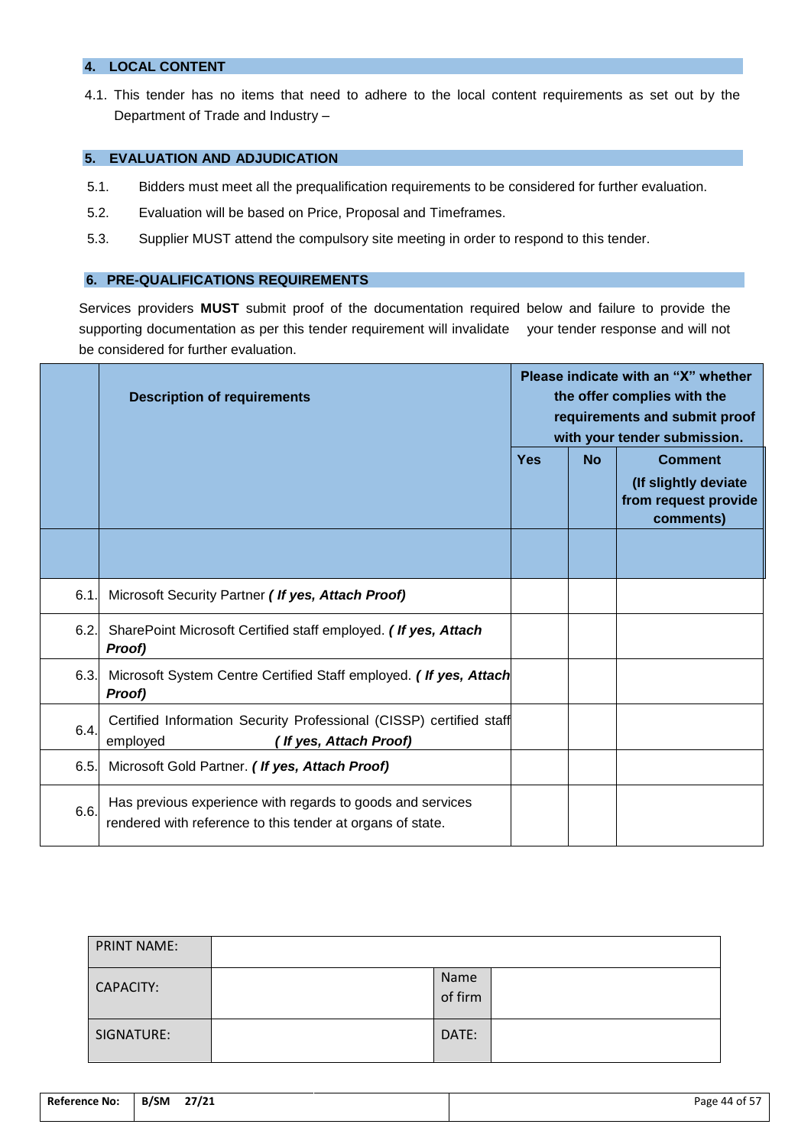## **4. LOCAL CONTENT**

4.1. This tender has no items that need to adhere to the local content requirements as set out by the Department of Trade and Industry –

## **5. EVALUATION AND ADJUDICATION**

- 5.1. Bidders must meet all the prequalification requirements to be considered for further evaluation.
- 5.2. Evaluation will be based on Price, Proposal and Timeframes.
- 5.3. Supplier MUST attend the compulsory site meeting in order to respond to this tender.

#### **6. PRE-QUALIFICATIONS REQUIREMENTS**

Services providers **MUST** submit proof of the documentation required below and failure to provide the supporting documentation as per this tender requirement will invalidate your tender response and will not be considered for further evaluation.

|      | <b>Description of requirements</b>                                                                                       | Please indicate with an "X" whether |           | the offer complies with the<br>requirements and submit proof<br>with your tender submission. |
|------|--------------------------------------------------------------------------------------------------------------------------|-------------------------------------|-----------|----------------------------------------------------------------------------------------------|
|      |                                                                                                                          | <b>Yes</b>                          | <b>No</b> | <b>Comment</b><br>(If slightly deviate<br>from request provide<br>comments)                  |
|      |                                                                                                                          |                                     |           |                                                                                              |
| 6.1. | Microsoft Security Partner (If yes, Attach Proof)                                                                        |                                     |           |                                                                                              |
| 6.2. | SharePoint Microsoft Certified staff employed. (If yes, Attach<br>Proof)                                                 |                                     |           |                                                                                              |
| 6.3. | Microsoft System Centre Certified Staff employed. (If yes, Attach<br>Proof)                                              |                                     |           |                                                                                              |
| 6.4. | Certified Information Security Professional (CISSP) certified staff<br>employed<br>If yes, Attach Proof)                 |                                     |           |                                                                                              |
| 6.5. | Microsoft Gold Partner. (If yes, Attach Proof)                                                                           |                                     |           |                                                                                              |
| 6.6. | Has previous experience with regards to goods and services<br>rendered with reference to this tender at organs of state. |                                     |           |                                                                                              |

| <b>PRINT NAME:</b> |                 |  |
|--------------------|-----------------|--|
| CAPACITY:          | Name<br>of firm |  |
| SIGNATURE:         | DATE:           |  |

| <b>Reference No:</b> | 27/21<br>B/SM | $\mathbf{r}$<br>ot 5<br>Page 44<br>. . |
|----------------------|---------------|----------------------------------------|
|                      |               |                                        |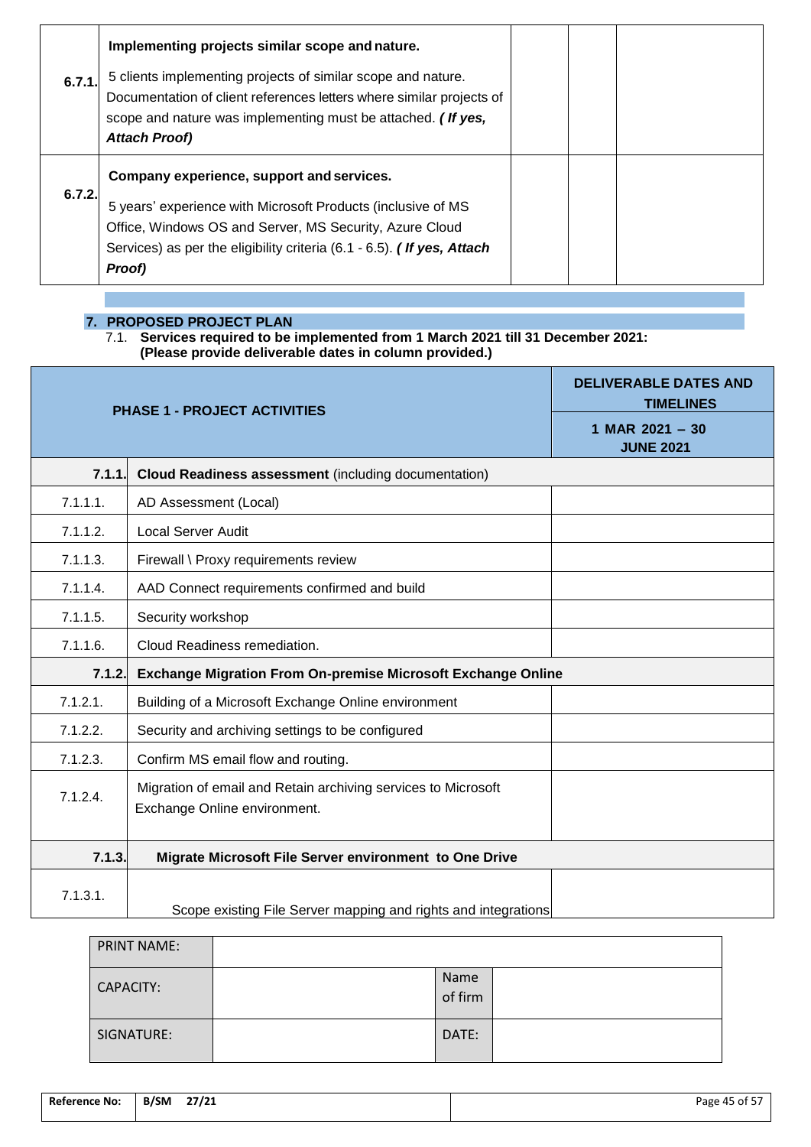|        | Implementing projects similar scope and nature.                                                                                                                                                                                                          |  |  |
|--------|----------------------------------------------------------------------------------------------------------------------------------------------------------------------------------------------------------------------------------------------------------|--|--|
| 6.7.1. | 5 clients implementing projects of similar scope and nature.<br>Documentation of client references letters where similar projects of<br>scope and nature was implementing must be attached. (If yes,<br><b>Attach Proof)</b>                             |  |  |
| 6.7.2. | Company experience, support and services.<br>5 years' experience with Microsoft Products (inclusive of MS<br>Office, Windows OS and Server, MS Security, Azure Cloud<br>Services) as per the eligibility criteria (6.1 - 6.5). (If yes, Attach<br>Proof) |  |  |

**7. PROPOSED PROJECT PLAN**

7.1. **Services required to be implemented from 1 March 2021 till 31 December 2021: (Please provide deliverable dates in column provided.)**

| <b>PHASE 1 - PROJECT ACTIVITIES</b> |                                                                                               | <b>DELIVERABLE DATES AND</b><br><b>TIMELINES</b> |
|-------------------------------------|-----------------------------------------------------------------------------------------------|--------------------------------------------------|
|                                     |                                                                                               | 1 MAR $2021 - 30$<br><b>JUNE 2021</b>            |
| 7.1.1.                              | <b>Cloud Readiness assessment (including documentation)</b>                                   |                                                  |
| 7.1.1.1.                            | AD Assessment (Local)                                                                         |                                                  |
| 7.1.1.2.                            | <b>Local Server Audit</b>                                                                     |                                                  |
| 7.1.1.3.                            | Firewall \ Proxy requirements review                                                          |                                                  |
| 7.1.1.4.                            | AAD Connect requirements confirmed and build                                                  |                                                  |
| 7.1.1.5.                            | Security workshop                                                                             |                                                  |
| 7.1.1.6.                            | Cloud Readiness remediation.                                                                  |                                                  |
| 7.1.2.                              | <b>Exchange Migration From On-premise Microsoft Exchange Online</b>                           |                                                  |
| 7.1.2.1.                            | Building of a Microsoft Exchange Online environment                                           |                                                  |
| 7.1.2.2.                            | Security and archiving settings to be configured                                              |                                                  |
| 7.1.2.3.                            | Confirm MS email flow and routing.                                                            |                                                  |
| 7.1.2.4.                            | Migration of email and Retain archiving services to Microsoft<br>Exchange Online environment. |                                                  |
| 7.1.3.                              | Migrate Microsoft File Server environment to One Drive                                        |                                                  |
| 7.1.3.1.                            | Scope existing File Server mapping and rights and integrations                                |                                                  |

| <b>PRINT NAME:</b> |                 |  |
|--------------------|-----------------|--|
| <b>CAPACITY:</b>   | Name<br>of firm |  |
| SIGNATURE:         | DATE:           |  |

| <b>Reference No:</b> | B/SM | 27/21 | Page 45 of 57 |
|----------------------|------|-------|---------------|
|                      |      |       |               |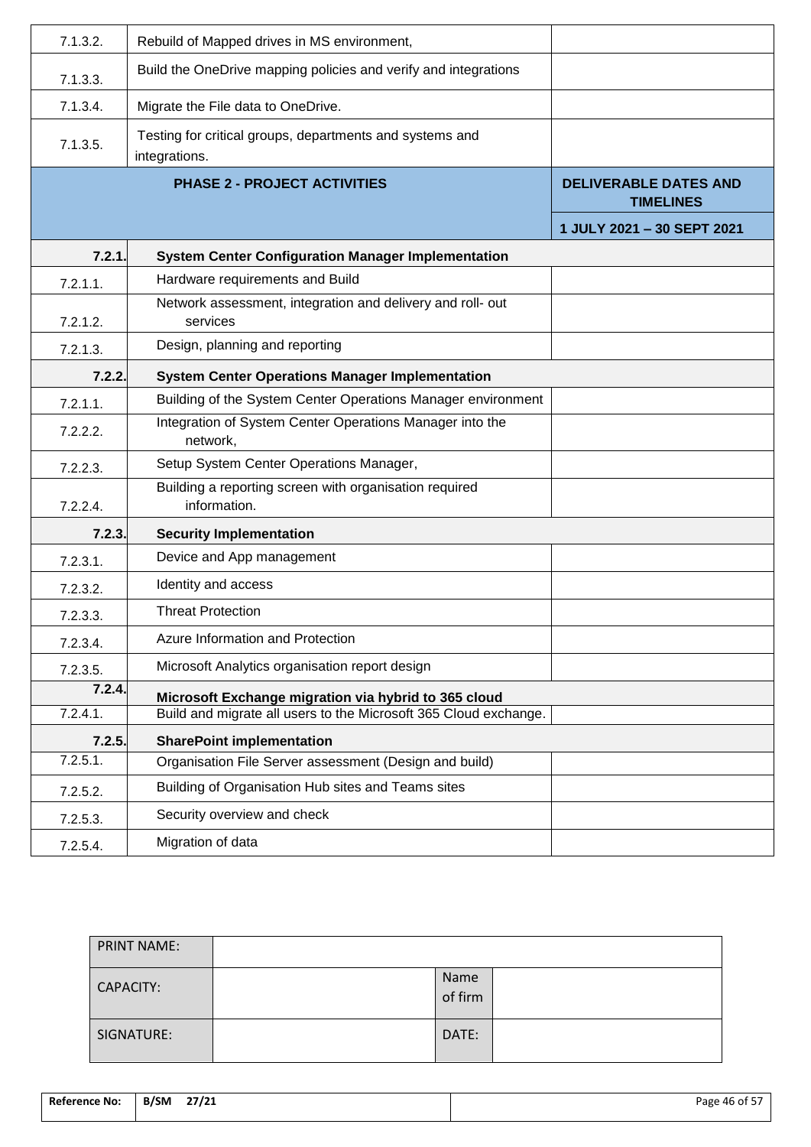| 7.1.3.2.    | Rebuild of Mapped drives in MS environment,                               |                                                  |
|-------------|---------------------------------------------------------------------------|--------------------------------------------------|
| 7.1.3.3.    | Build the OneDrive mapping policies and verify and integrations           |                                                  |
| 7.1.3.4.    | Migrate the File data to OneDrive.                                        |                                                  |
| 7.1.3.5.    | Testing for critical groups, departments and systems and<br>integrations. |                                                  |
|             | <b>PHASE 2 - PROJECT ACTIVITIES</b>                                       | <b>DELIVERABLE DATES AND</b><br><b>TIMELINES</b> |
|             |                                                                           | 1 JULY 2021 - 30 SEPT 2021                       |
| 7.2.1.      | <b>System Center Configuration Manager Implementation</b>                 |                                                  |
| $7.2.1.1$ . | Hardware requirements and Build                                           |                                                  |
| 7.2.1.2.    | Network assessment, integration and delivery and roll- out<br>services    |                                                  |
| 7.2.1.3.    | Design, planning and reporting                                            |                                                  |
| 7.2.2.      | <b>System Center Operations Manager Implementation</b>                    |                                                  |
| 7.2.1.1.    | Building of the System Center Operations Manager environment              |                                                  |
| 7.2.2.2.    | Integration of System Center Operations Manager into the<br>network,      |                                                  |
| 7.2.2.3.    | Setup System Center Operations Manager,                                   |                                                  |
| 7.2.2.4.    | Building a reporting screen with organisation required<br>information.    |                                                  |
| 7.2.3.      | <b>Security Implementation</b>                                            |                                                  |
| 7.2.3.1.    | Device and App management                                                 |                                                  |
| 7.2.3.2.    | Identity and access                                                       |                                                  |
| 7.2.3.3.    | <b>Threat Protection</b>                                                  |                                                  |
| 7.2.3.4.    | Azure Information and Protection                                          |                                                  |
| 7.2.3.5.    | Microsoft Analytics organisation report design                            |                                                  |
| 7.2.4.      | Microsoft Exchange migration via hybrid to 365 cloud                      |                                                  |
| 7.2.4.1.    | Build and migrate all users to the Microsoft 365 Cloud exchange.          |                                                  |
| 7.2.5.      | <b>SharePoint implementation</b>                                          |                                                  |
| 7.2.5.1.    | Organisation File Server assessment (Design and build)                    |                                                  |
| 7.2.5.2.    | Building of Organisation Hub sites and Teams sites                        |                                                  |
| 7.2.5.3.    | Security overview and check                                               |                                                  |
| 7.2.5.4.    | Migration of data                                                         |                                                  |

| <b>PRINT NAME:</b> |                 |  |
|--------------------|-----------------|--|
| CAPACITY:          | Name<br>of firm |  |
| SIGNATURE:         | DATE:           |  |

| <b>Reference No:</b><br>. | B/SM | 27/21 | .<br>Page 46 of $57$ |
|---------------------------|------|-------|----------------------|
|                           |      |       |                      |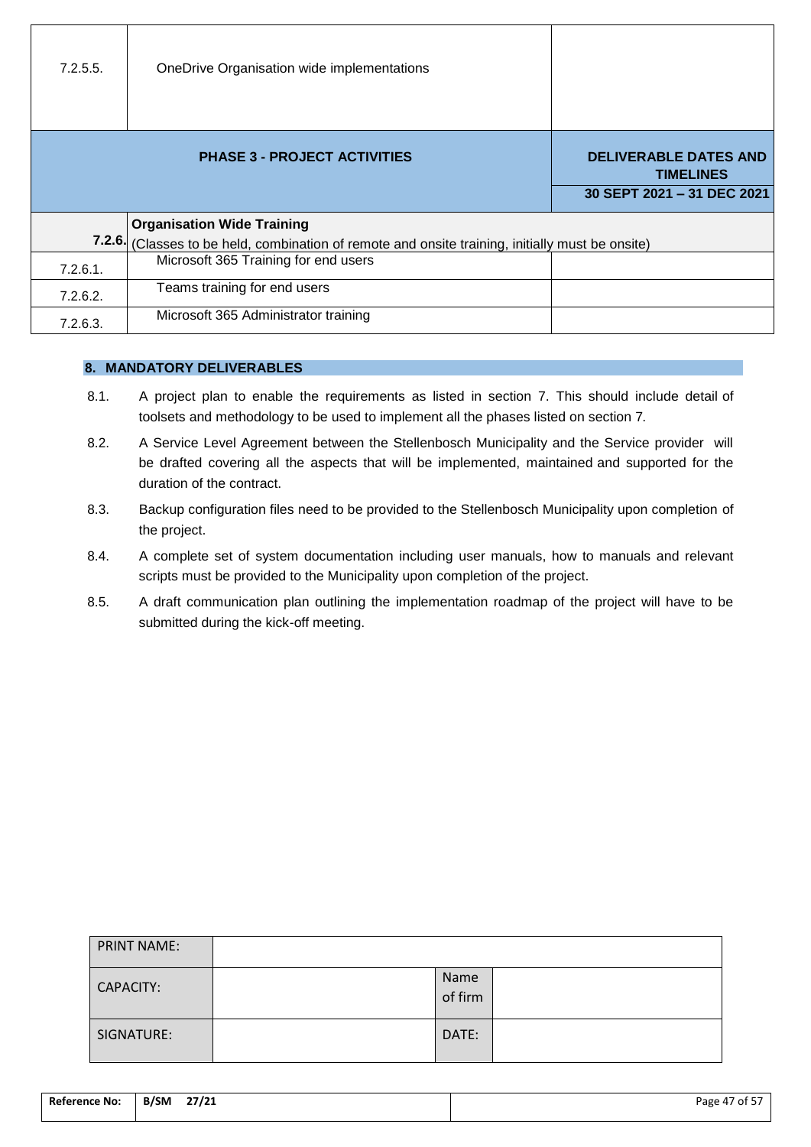| 7.2.5.5. | OneDrive Organisation wide implementations                                                                                     |                                                                                |
|----------|--------------------------------------------------------------------------------------------------------------------------------|--------------------------------------------------------------------------------|
|          | <b>PHASE 3 - PROJECT ACTIVITIES</b>                                                                                            | <b>DELIVERABLE DATES AND</b><br><b>TIMELINES</b><br>30 SEPT 2021 - 31 DEC 2021 |
| 7.2.6.   | <b>Organisation Wide Training</b><br>(Classes to be held, combination of remote and onsite training, initially must be onsite) |                                                                                |
| 7.2.6.1. | Microsoft 365 Training for end users                                                                                           |                                                                                |
| 7.2.6.2. | Teams training for end users                                                                                                   |                                                                                |
| 7.2.6.3. | Microsoft 365 Administrator training                                                                                           |                                                                                |

## **8. MANDATORY DELIVERABLES**

- 8.1. A project plan to enable the requirements as listed in section 7. This should include detail of toolsets and methodology to be used to implement all the phases listed on section 7.
- 8.2. A Service Level Agreement between the Stellenbosch Municipality and the Service provider will be drafted covering all the aspects that will be implemented, maintained and supported for the duration of the contract.
- 8.3. Backup configuration files need to be provided to the Stellenbosch Municipality upon completion of the project.
- 8.4. A complete set of system documentation including user manuals, how to manuals and relevant scripts must be provided to the Municipality upon completion of the project.
- 8.5. A draft communication plan outlining the implementation roadmap of the project will have to be submitted during the kick-off meeting.

| <b>PRINT NAME:</b> |                 |  |
|--------------------|-----------------|--|
| <b>CAPACITY:</b>   | Name<br>of firm |  |
| SIGNATURE:         | DATE:           |  |

| Reference No:<br>. | 27/21<br><b>B/SM</b><br>$\overline{\phantom{a}}$<br>$ -$ | ้ of 57<br>$\overline{\phantom{a}}$<br>Page 47 |
|--------------------|----------------------------------------------------------|------------------------------------------------|
|                    |                                                          |                                                |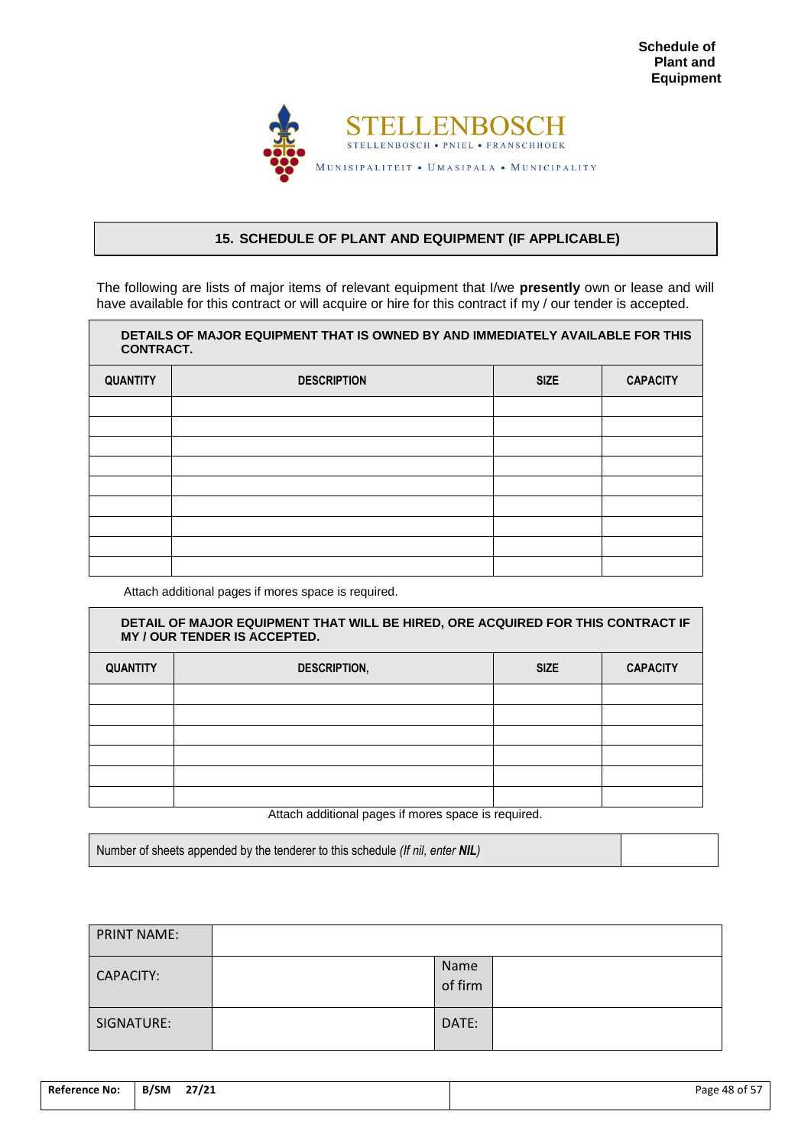

## <span id="page-49-0"></span>**15. SCHEDULE OF PLANT AND EQUIPMENT (IF APPLICABLE)**

The following are lists of major items of relevant equipment that I/we **presently** own or lease and will have available for this contract or will acquire or hire for this contract if my / our tender is accepted.

| DETAILS OF MAJOR EQUIPMENT THAT IS OWNED BY AND IMMEDIATELY AVAILABLE FOR THIS<br><b>CONTRACT.</b> |                    |             |                 |
|----------------------------------------------------------------------------------------------------|--------------------|-------------|-----------------|
| <b>QUANTITY</b>                                                                                    | <b>DESCRIPTION</b> | <b>SIZE</b> | <b>CAPACITY</b> |
|                                                                                                    |                    |             |                 |
|                                                                                                    |                    |             |                 |
|                                                                                                    |                    |             |                 |
|                                                                                                    |                    |             |                 |
|                                                                                                    |                    |             |                 |
|                                                                                                    |                    |             |                 |
|                                                                                                    |                    |             |                 |
|                                                                                                    |                    |             |                 |
|                                                                                                    |                    |             |                 |

Attach additional pages if mores space is required.

| DETAIL OF MAJOR EQUIPMENT THAT WILL BE HIRED, ORE ACQUIRED FOR THIS CONTRACT IF<br>MY / OUR TENDER IS ACCEPTED. |                     |             |                 |
|-----------------------------------------------------------------------------------------------------------------|---------------------|-------------|-----------------|
| <b>QUANTITY</b>                                                                                                 | <b>DESCRIPTION,</b> | <b>SIZE</b> | <b>CAPACITY</b> |
|                                                                                                                 |                     |             |                 |
|                                                                                                                 |                     |             |                 |
|                                                                                                                 |                     |             |                 |
|                                                                                                                 |                     |             |                 |
|                                                                                                                 |                     |             |                 |
|                                                                                                                 | .                   |             |                 |

Attach additional pages if mores space is required.

Number of sheets appended by the tenderer to this schedule *(If nil, enter NIL)*

| <b>PRINT NAME:</b> |                 |  |
|--------------------|-----------------|--|
| CAPACITY:          | Name<br>of firm |  |
| SIGNATURE:         | DATE:           |  |

| <b>Reference No:</b> | 27/21<br>B/SM<br>$\overline{\phantom{a}}$ | Page 48 of 57<br>. . |
|----------------------|-------------------------------------------|----------------------|
|                      |                                           |                      |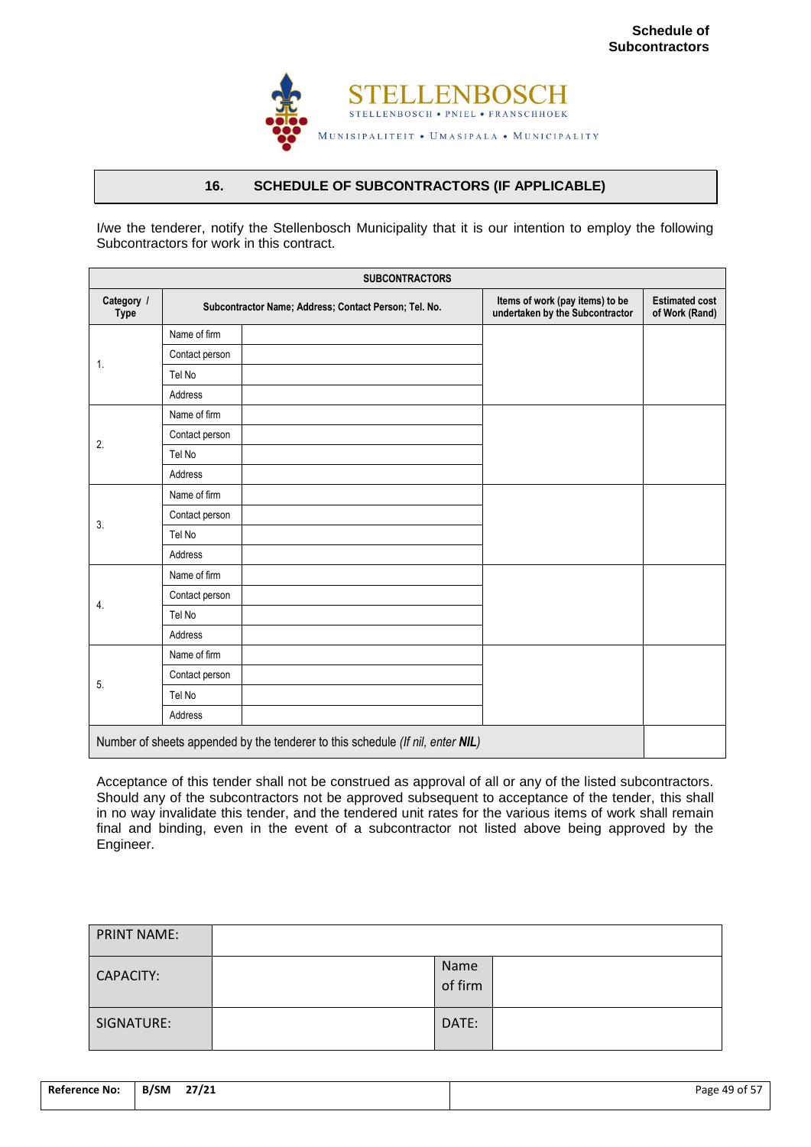

## **16. SCHEDULE OF SUBCONTRACTORS (IF APPLICABLE)**

<span id="page-50-0"></span>I/we the tenderer, notify the Stellenbosch Municipality that it is our intention to employ the following Subcontractors for work in this contract.

|                           | <b>SUBCONTRACTORS</b> |                                                                                |                                                                    |                                         |  |  |  |
|---------------------------|-----------------------|--------------------------------------------------------------------------------|--------------------------------------------------------------------|-----------------------------------------|--|--|--|
| Category /<br><b>Type</b> |                       | Subcontractor Name; Address; Contact Person; Tel. No.                          | Items of work (pay items) to be<br>undertaken by the Subcontractor | <b>Estimated cost</b><br>of Work (Rand) |  |  |  |
|                           | Name of firm          |                                                                                |                                                                    |                                         |  |  |  |
|                           | Contact person        |                                                                                |                                                                    |                                         |  |  |  |
| 1.                        | Tel No                |                                                                                |                                                                    |                                         |  |  |  |
|                           | Address               |                                                                                |                                                                    |                                         |  |  |  |
|                           | Name of firm          |                                                                                |                                                                    |                                         |  |  |  |
| 2.                        | Contact person        |                                                                                |                                                                    |                                         |  |  |  |
|                           | Tel No                |                                                                                |                                                                    |                                         |  |  |  |
|                           | Address               |                                                                                |                                                                    |                                         |  |  |  |
|                           | Name of firm          |                                                                                |                                                                    |                                         |  |  |  |
| 3.                        | Contact person        |                                                                                |                                                                    |                                         |  |  |  |
|                           | Tel No                |                                                                                |                                                                    |                                         |  |  |  |
|                           | Address               |                                                                                |                                                                    |                                         |  |  |  |
|                           | Name of firm          |                                                                                |                                                                    |                                         |  |  |  |
| 4.                        | Contact person        |                                                                                |                                                                    |                                         |  |  |  |
|                           | Tel No                |                                                                                |                                                                    |                                         |  |  |  |
|                           | Address               |                                                                                |                                                                    |                                         |  |  |  |
|                           | Name of firm          |                                                                                |                                                                    |                                         |  |  |  |
| 5.                        | Contact person        |                                                                                |                                                                    |                                         |  |  |  |
|                           | Tel No                |                                                                                |                                                                    |                                         |  |  |  |
|                           | Address               |                                                                                |                                                                    |                                         |  |  |  |
|                           |                       | Number of sheets appended by the tenderer to this schedule (If nil, enter NIL) |                                                                    |                                         |  |  |  |

Acceptance of this tender shall not be construed as approval of all or any of the listed subcontractors. Should any of the subcontractors not be approved subsequent to acceptance of the tender, this shall in no way invalidate this tender, and the tendered unit rates for the various items of work shall remain final and binding, even in the event of a subcontractor not listed above being approved by the Engineer.

| <b>PRINT NAME:</b> |                 |  |
|--------------------|-----------------|--|
| CAPACITY:          | Name<br>of firm |  |
| SIGNATURE:         | DATE:           |  |

| <b>Reference No:</b> | B/SM<br>27/21 | Page 49 of 57 |
|----------------------|---------------|---------------|
|                      |               |               |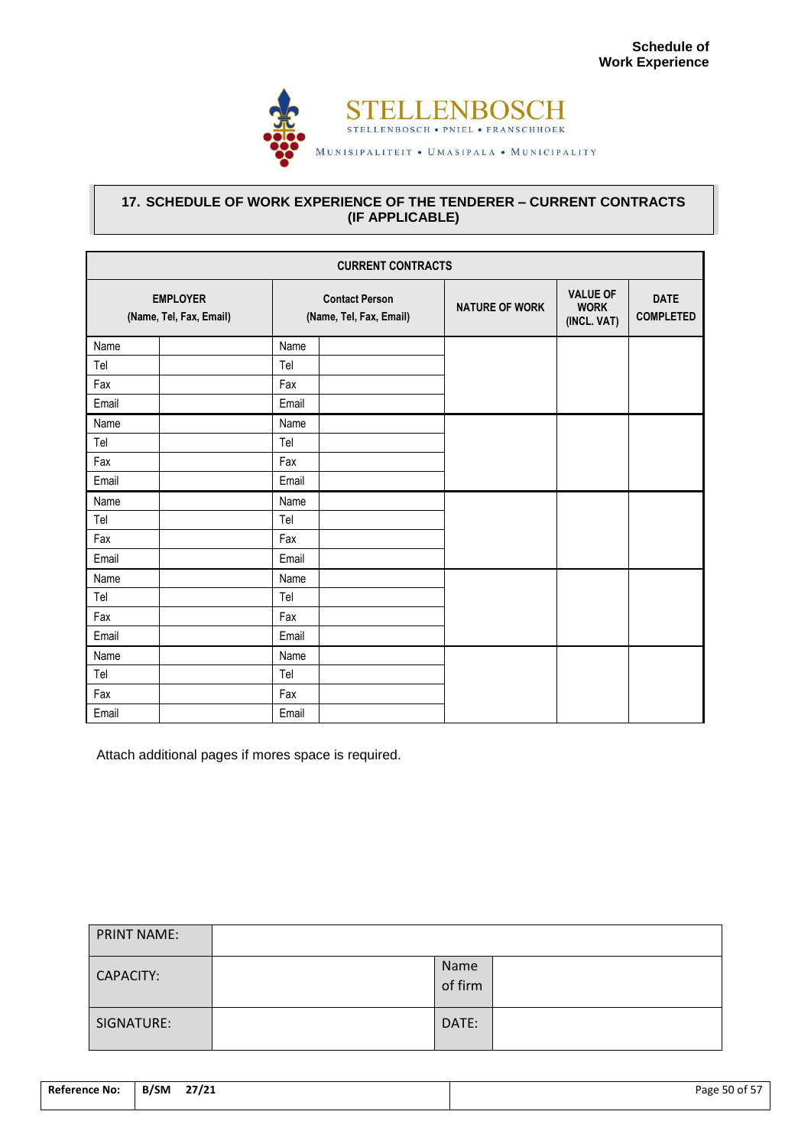

## <span id="page-51-0"></span>**17. SCHEDULE OF WORK EXPERIENCE OF THE TENDERER – CURRENT CONTRACTS (IF APPLICABLE)**

| <b>CURRENT CONTRACTS</b>                   |                                                  |  |                       |                                               |                                 |  |  |
|--------------------------------------------|--------------------------------------------------|--|-----------------------|-----------------------------------------------|---------------------------------|--|--|
| <b>EMPLOYER</b><br>(Name, Tel, Fax, Email) | <b>Contact Person</b><br>(Name, Tel, Fax, Email) |  | <b>NATURE OF WORK</b> | <b>VALUE OF</b><br><b>WORK</b><br>(INCL. VAT) | <b>DATE</b><br><b>COMPLETED</b> |  |  |
| Name                                       | Name                                             |  |                       |                                               |                                 |  |  |
| Tel                                        | Tel                                              |  |                       |                                               |                                 |  |  |
| Fax                                        | Fax                                              |  |                       |                                               |                                 |  |  |
| Email                                      | Email                                            |  |                       |                                               |                                 |  |  |
| Name                                       | Name                                             |  |                       |                                               |                                 |  |  |
| Tel                                        | Tel                                              |  |                       |                                               |                                 |  |  |
| Fax                                        | Fax                                              |  |                       |                                               |                                 |  |  |
| Email                                      | Email                                            |  |                       |                                               |                                 |  |  |
| Name                                       | Name                                             |  |                       |                                               |                                 |  |  |
| Tel                                        | Tel                                              |  |                       |                                               |                                 |  |  |
| Fax                                        | Fax                                              |  |                       |                                               |                                 |  |  |
| Email                                      | Email                                            |  |                       |                                               |                                 |  |  |
| Name                                       | Name                                             |  |                       |                                               |                                 |  |  |
| Tel                                        | Tel                                              |  |                       |                                               |                                 |  |  |
| Fax                                        | Fax                                              |  |                       |                                               |                                 |  |  |
| Email                                      | Email                                            |  |                       |                                               |                                 |  |  |
| Name                                       | Name                                             |  |                       |                                               |                                 |  |  |
| Tel                                        | Tel                                              |  |                       |                                               |                                 |  |  |
| Fax                                        | Fax                                              |  |                       |                                               |                                 |  |  |
| Email                                      | Email                                            |  |                       |                                               |                                 |  |  |

Attach additional pages if mores space is required.

| <b>PRINT NAME:</b> |                 |  |
|--------------------|-----------------|--|
| CAPACITY:          | Name<br>of firm |  |
| SIGNATURE:         | DATE:           |  |

| <b>Reference No:</b> | B/SM | 27/21 | Page 50 of 57 |
|----------------------|------|-------|---------------|
|                      |      |       |               |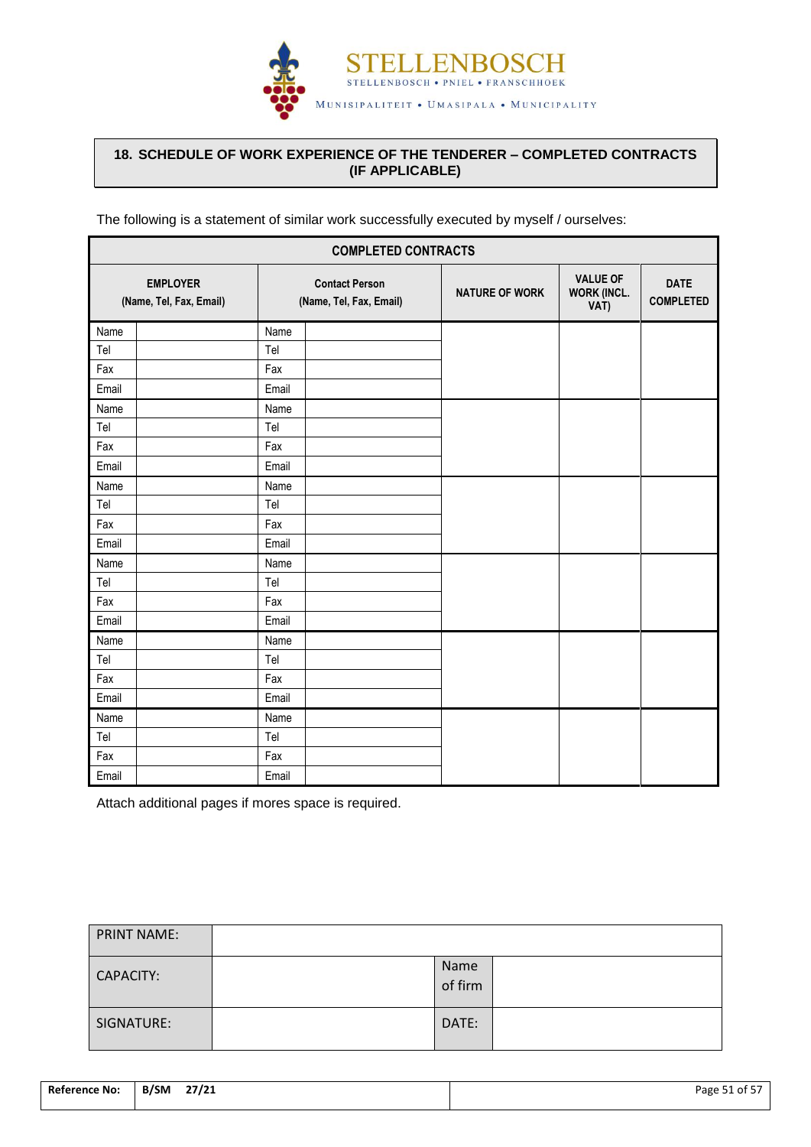

## <span id="page-52-0"></span>**18. SCHEDULE OF WORK EXPERIENCE OF THE TENDERER – COMPLETED CONTRACTS (IF APPLICABLE)**

The following is a statement of similar work successfully executed by myself / ourselves:

| <b>COMPLETED CONTRACTS</b>                 |                                                  |  |                       |                                               |                                 |  |
|--------------------------------------------|--------------------------------------------------|--|-----------------------|-----------------------------------------------|---------------------------------|--|
| <b>EMPLOYER</b><br>(Name, Tel, Fax, Email) | <b>Contact Person</b><br>(Name, Tel, Fax, Email) |  | <b>NATURE OF WORK</b> | <b>VALUE OF</b><br><b>WORK (INCL.</b><br>VAT) | <b>DATE</b><br><b>COMPLETED</b> |  |
| Name                                       | Name                                             |  |                       |                                               |                                 |  |
| Tel                                        | Tel                                              |  |                       |                                               |                                 |  |
| Fax                                        | Fax                                              |  |                       |                                               |                                 |  |
| Email                                      | Email                                            |  |                       |                                               |                                 |  |
| Name                                       | Name                                             |  |                       |                                               |                                 |  |
| Tel                                        | Tel                                              |  |                       |                                               |                                 |  |
| Fax                                        | Fax                                              |  |                       |                                               |                                 |  |
| Email                                      | Email                                            |  |                       |                                               |                                 |  |
| Name                                       | Name                                             |  |                       |                                               |                                 |  |
| Tel                                        | Tel                                              |  |                       |                                               |                                 |  |
| Fax                                        | Fax                                              |  |                       |                                               |                                 |  |
| Email                                      | Email                                            |  |                       |                                               |                                 |  |
| Name                                       | Name                                             |  |                       |                                               |                                 |  |
| Tel                                        | Tel                                              |  |                       |                                               |                                 |  |
| Fax                                        | Fax                                              |  |                       |                                               |                                 |  |
| Email                                      | Email                                            |  |                       |                                               |                                 |  |
| Name                                       | Name                                             |  |                       |                                               |                                 |  |
| Tel                                        | Tel                                              |  |                       |                                               |                                 |  |
| Fax                                        | Fax                                              |  |                       |                                               |                                 |  |
| Email                                      | Email                                            |  |                       |                                               |                                 |  |
| Name                                       | Name                                             |  |                       |                                               |                                 |  |
| Tel                                        | Tel                                              |  |                       |                                               |                                 |  |
| Fax                                        | Fax                                              |  |                       |                                               |                                 |  |
| Email                                      | Email                                            |  |                       |                                               |                                 |  |

Attach additional pages if mores space is required.

| <b>PRINT NAME:</b> |                 |  |
|--------------------|-----------------|--|
| CAPACITY:          | Name<br>of firm |  |
| SIGNATURE:         | DATE:           |  |

| Reference No: | B/SM<br>27/21 | Page 51 of 57 |
|---------------|---------------|---------------|
|               |               |               |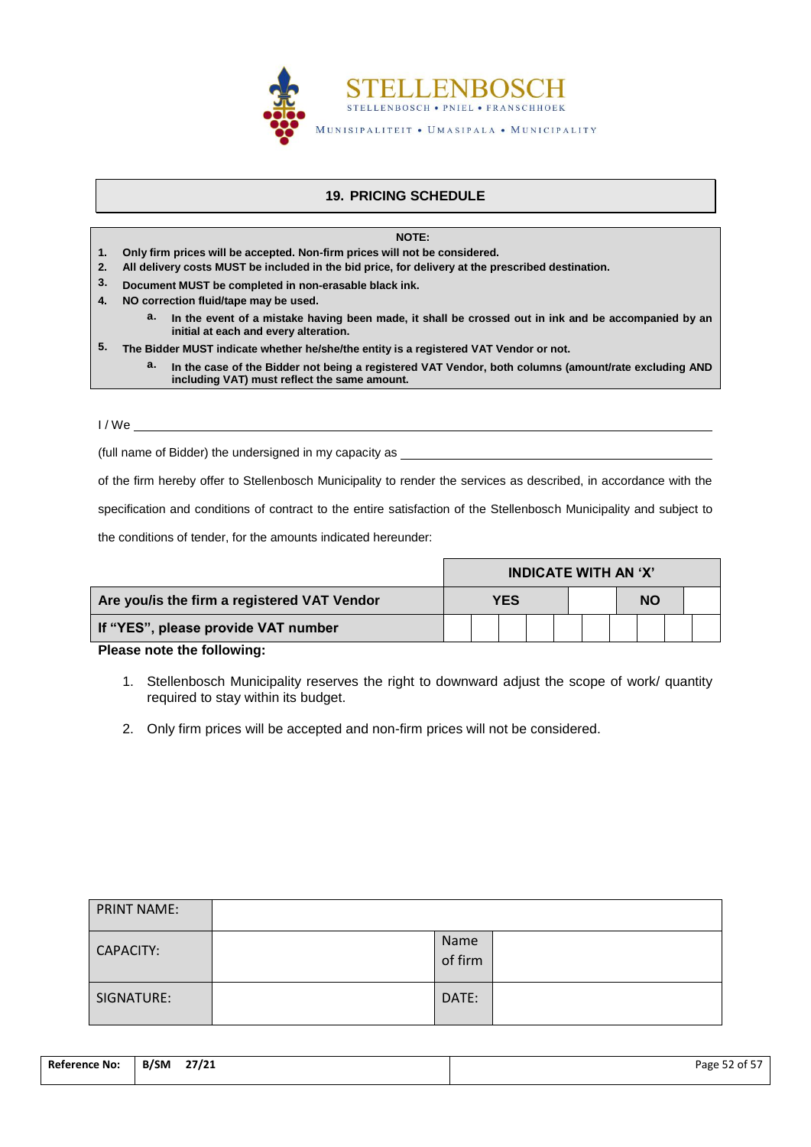

## **19. PRICING SCHEDULE**

**NOTE:**

- <span id="page-53-0"></span>**1. Only firm prices will be accepted. Non-firm prices will not be considered.**
- **2. All delivery costs MUST be included in the bid price, for delivery at the prescribed destination.**
- **3. Document MUST be completed in non-erasable black ink.**
- **4. NO correction fluid/tape may be used.**
	- **a. In the event of a mistake having been made, it shall be crossed out in ink and be accompanied by an initial at each and every alteration.**
- **5. The Bidder MUST indicate whether he/she/the entity is a registered VAT Vendor or not.** 
	- **a. In the case of the Bidder not being a registered VAT Vendor, both columns (amount/rate excluding AND including VAT) must reflect the same amount.**

I / We

(full name of Bidder) the undersigned in my capacity as

of the firm hereby offer to Stellenbosch Municipality to render the services as described, in accordance with the

specification and conditions of contract to the entire satisfaction of the Stellenbosch Municipality and subject to

the conditions of tender, for the amounts indicated hereunder:

|                                             | <b>INDICATE WITH AN 'X'</b> |  |  |  |           |  |  |  |  |  |
|---------------------------------------------|-----------------------------|--|--|--|-----------|--|--|--|--|--|
| Are you/is the firm a registered VAT Vendor | <b>YES</b>                  |  |  |  | <b>NO</b> |  |  |  |  |  |
| If "YES", please provide VAT number         |                             |  |  |  |           |  |  |  |  |  |

**Please note the following:**

- 1. Stellenbosch Municipality reserves the right to downward adjust the scope of work/ quantity required to stay within its budget.
- 2. Only firm prices will be accepted and non-firm prices will not be considered.

| <b>PRINT NAME:</b> |                 |  |
|--------------------|-----------------|--|
| CAPACITY:          | Name<br>of firm |  |
| SIGNATURE:         | DATE:           |  |

| <b>Reference No:</b> | B/SM<br>27/21 | Page 52 of 57 |
|----------------------|---------------|---------------|
|                      |               |               |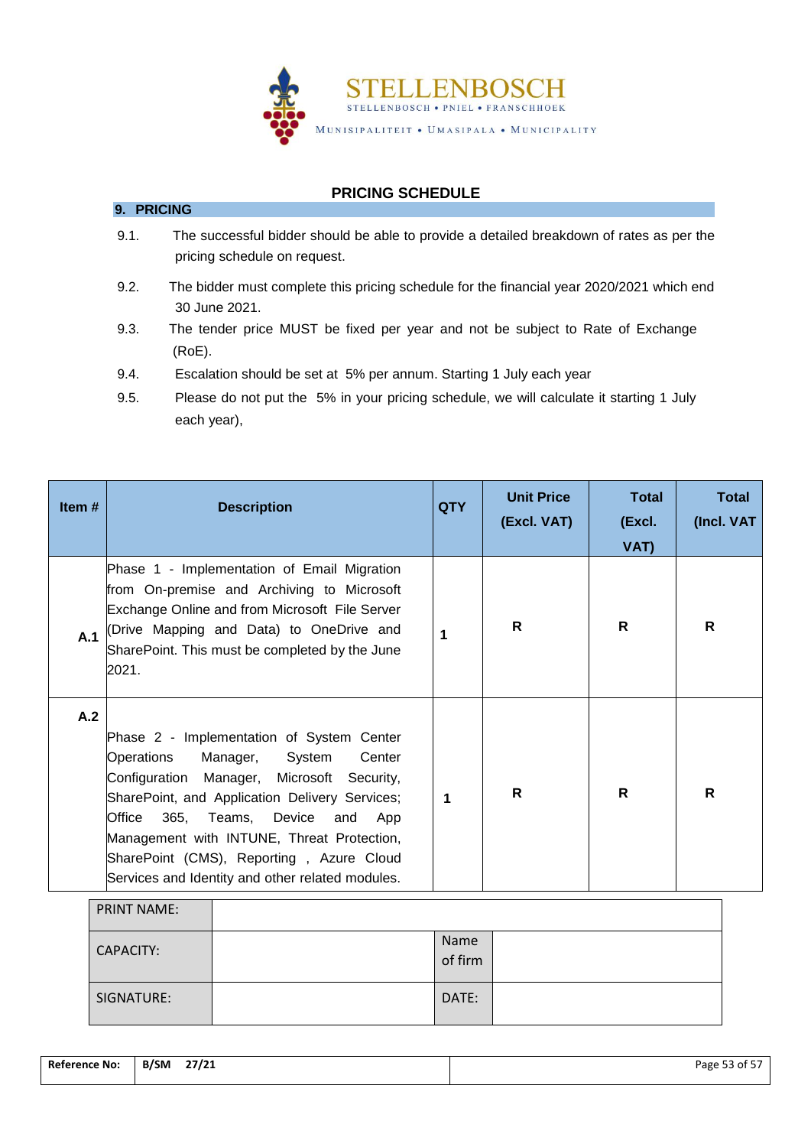

## **PRICING SCHEDULE**

- 9.1. The successful bidder should be able to provide a detailed breakdown of rates as per the pricing schedule on request.
- 9.2. The bidder must complete this pricing schedule for the financial year 2020/2021 which end 30 June 2021.
- 9.3. The tender price MUST be fixed per year and not be subject to Rate of Exchange (RoE).
- 9.4. Escalation should be set at 5% per annum. Starting 1 July each year

**9. PRICING**

9.5. Please do not put the 5% in your pricing schedule, we will calculate it starting 1 July each year),

| Item $#$ | <b>Description</b>                                                                                                                                                                                                                                                                                                                                                               | <b>QTY</b>           | <b>Unit Price</b><br>(Excl. VAT) | <b>Total</b><br>(Excl.<br>VAT) | <b>Total</b><br>(Incl. VAT |
|----------|----------------------------------------------------------------------------------------------------------------------------------------------------------------------------------------------------------------------------------------------------------------------------------------------------------------------------------------------------------------------------------|----------------------|----------------------------------|--------------------------------|----------------------------|
| A.1      | Phase 1 - Implementation of Email Migration<br>from On-premise and Archiving to Microsoft<br>Exchange Online and from Microsoft File Server<br>(Drive Mapping and Data) to OneDrive and<br>SharePoint. This must be completed by the June<br>2021.                                                                                                                               | 1                    | R.                               | R                              | R.                         |
| A.2      | Phase 2 - Implementation of System Center<br>Operations<br>Manager,<br>System<br>Center<br>Configuration Manager, Microsoft Security,<br>SharePoint, and Application Delivery Services;<br>Office<br>365, Teams, Device and<br>App<br>Management with INTUNE, Threat Protection,<br>SharePoint (CMS), Reporting, Azure Cloud<br>Services and Identity and other related modules. | $\blacktriangleleft$ | R                                | R                              | R                          |
|          | <b>PRINT NAME:</b>                                                                                                                                                                                                                                                                                                                                                               |                      |                                  |                                |                            |
|          | CADADCITU.                                                                                                                                                                                                                                                                                                                                                                       | Name                 |                                  |                                |                            |

| CAPACITY:  | 19411L<br>of firm |  |
|------------|-------------------|--|
| SIGNATURE: | DATE:             |  |

| <b>Reference No:</b> | 27/21<br>B/SM | Page 53 of 57 |
|----------------------|---------------|---------------|
|                      |               |               |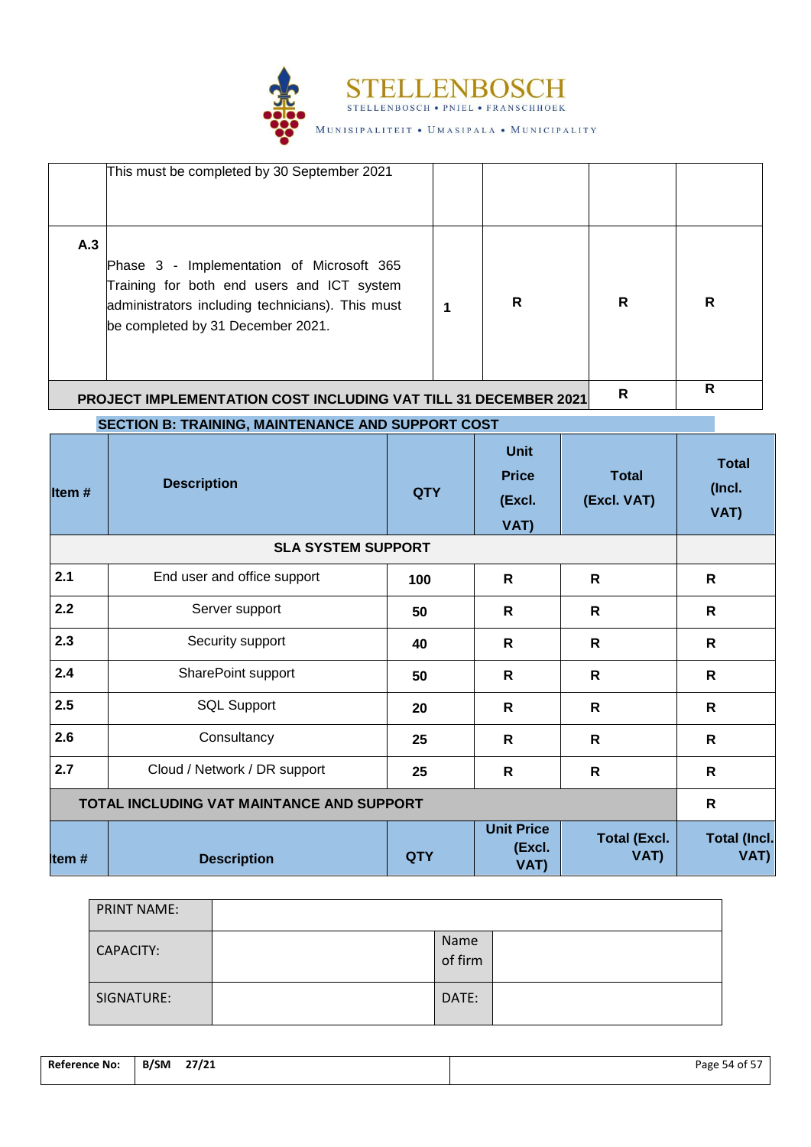

|       | This must be completed by 30 September 2021                                                                                                                                      |            |                                               |                             |                                |
|-------|----------------------------------------------------------------------------------------------------------------------------------------------------------------------------------|------------|-----------------------------------------------|-----------------------------|--------------------------------|
| A.3   | Phase 3 - Implementation of Microsoft 365<br>Training for both end users and ICT system<br>administrators including technicians). This must<br>be completed by 31 December 2021. | 1          | R                                             | R                           | R                              |
|       | PROJECT IMPLEMENTATION COST INCLUDING VAT TILL 31 DECEMBER 2021                                                                                                                  |            |                                               | $\mathsf{R}$                | $\mathsf{R}$                   |
|       | SECTION B: TRAINING, MAINTENANCE AND SUPPORT COST                                                                                                                                |            |                                               |                             |                                |
| Item# | <b>Description</b>                                                                                                                                                               | <b>QTY</b> | <b>Unit</b><br><b>Price</b><br>(Excl.<br>VAT) | <b>Total</b><br>(Excl. VAT) | <b>Total</b><br>(Incl.<br>VAT) |
|       | <b>SLA SYSTEM SUPPORT</b>                                                                                                                                                        |            |                                               |                             |                                |
| 2.1   | End user and office support                                                                                                                                                      | 100        | $\mathsf{R}$                                  | $\mathsf{R}$                | R                              |
| 2.2   | Server support                                                                                                                                                                   | 50         | $\mathsf{R}$                                  | $\mathsf{R}$                | $\mathsf{R}$                   |
| 2.3   | Security support                                                                                                                                                                 | 40         | R                                             | $\mathsf{R}$                | R                              |
| 2.4   | SharePoint support                                                                                                                                                               | 50         | R                                             | $\mathsf{R}$                | R                              |
| 2.5   | <b>SQL Support</b>                                                                                                                                                               | 20         | R                                             | $\mathsf{R}$                | R                              |
| 2.6   | Consultancy                                                                                                                                                                      | 25         | $\mathsf{R}$                                  | $\mathsf{R}$                | R                              |
| 2.7   | Cloud / Network / DR support                                                                                                                                                     | 25         | ${\sf R}$                                     | $\mathsf{R}$                | $\mathsf R$                    |
|       | TOTAL INCLUDING VAT MAINTANCE AND SUPPORT                                                                                                                                        |            |                                               |                             | $\mathsf{R}$                   |
| Item# | <b>Description</b>                                                                                                                                                               | <b>QTY</b> | <b>Unit Price</b><br>(Excl.<br>VAT)           | <b>Total (Excl.</b><br>VAT) | <b>Total (Incl.</b><br>VAT)    |

| <b>PRINT NAME:</b> |                 |  |
|--------------------|-----------------|--|
| <b>CAPACITY:</b>   | Name<br>of firm |  |
| SIGNATURE:         | DATE:           |  |

| <b>Reference No:</b> | the contract of the contract of the<br>B/SM<br>27/21 | .<br>Page<br>ر 5 dt 5 ל |
|----------------------|------------------------------------------------------|-------------------------|
|                      |                                                      |                         |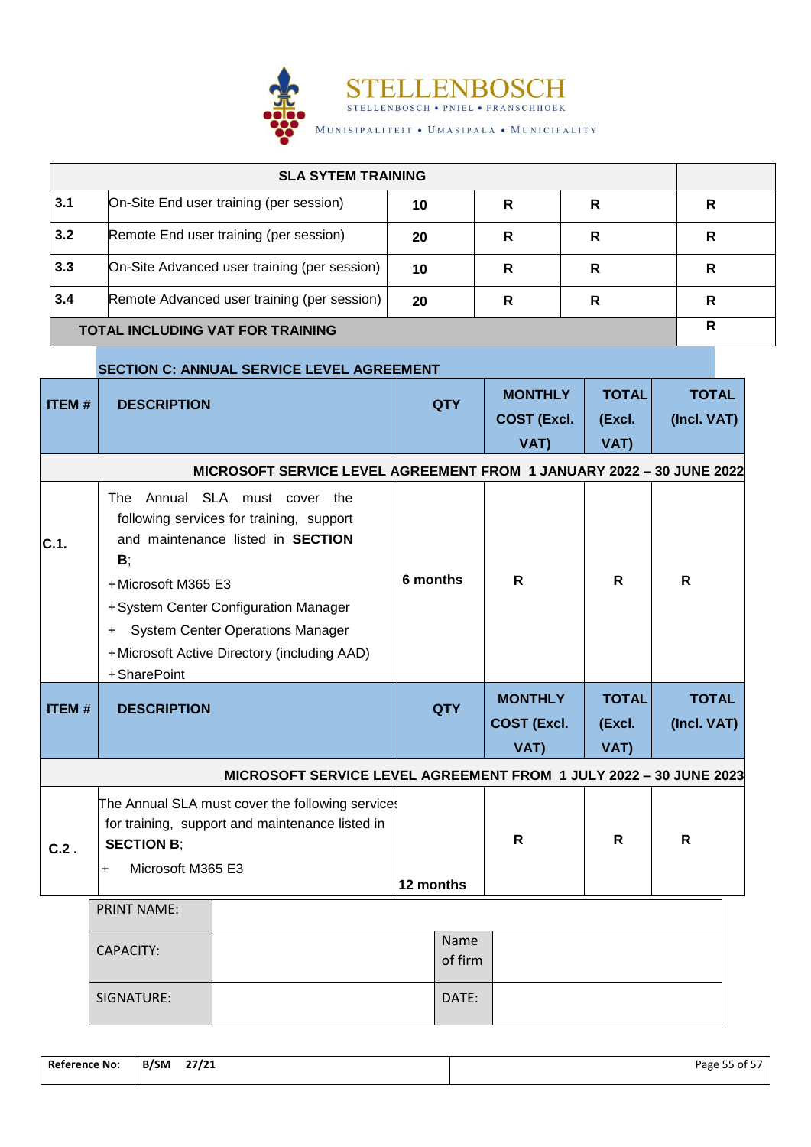

| <b>SLA SYTEM TRAINING</b>               |                                              |    |   |   |   |
|-----------------------------------------|----------------------------------------------|----|---|---|---|
| 3.1                                     | On-Site End user training (per session)      | 10 | R | R | R |
| 3.2                                     | Remote End user training (per session)       | 20 | R | R | R |
| 3.3                                     | On-Site Advanced user training (per session) | 10 | R | R | R |
| 3.4                                     | Remote Advanced user training (per session)  | 20 | R | R | R |
| <b>TOTAL INCLUDING VAT FOR TRAINING</b> |                                              |    |   |   | R |

## **SECTION C: ANNUAL SERVICE LEVEL AGREEMENT**

| <b>ITEM#</b>                                                         | <b>DESCRIPTION</b>                                  |                                                                                                                                                                                                                                          |           | <b>QTY</b>      | <b>MONTHLY</b><br><b>COST (Excl.</b><br>VAT) | <b>TOTAL</b><br>(Excl.<br>VAT) | <b>TOTAL</b><br>(Incl. VAT) |
|----------------------------------------------------------------------|-----------------------------------------------------|------------------------------------------------------------------------------------------------------------------------------------------------------------------------------------------------------------------------------------------|-----------|-----------------|----------------------------------------------|--------------------------------|-----------------------------|
| MICROSOFT SERVICE LEVEL AGREEMENT FROM 1 JANUARY 2022 - 30 JUNE 2022 |                                                     |                                                                                                                                                                                                                                          |           |                 |                                              |                                |                             |
| C.1.                                                                 | The<br>$B$ ;<br>+Microsoft M365 E3<br>+SharePoint   | Annual SLA must cover the<br>following services for training, support<br>and maintenance listed in SECTION<br>+ System Center Configuration Manager<br>+ System Center Operations Manager<br>+Microsoft Active Directory (including AAD) | 6 months  |                 | R                                            | $\mathsf{R}$                   | $\mathsf{R}$                |
| <b>ITEM#</b>                                                         | <b>DESCRIPTION</b>                                  |                                                                                                                                                                                                                                          |           | <b>QTY</b>      | <b>MONTHLY</b><br><b>COST (Excl.</b><br>VAT) | <b>TOTAL</b><br>(Excl.<br>VAT) | <b>TOTAL</b><br>(Incl. VAT) |
|                                                                      |                                                     | MICROSOFT SERVICE LEVEL AGREEMENT FROM 1 JULY 2022 - 30 JUNE 2023                                                                                                                                                                        |           |                 |                                              |                                |                             |
| $C.2$ .                                                              | <b>SECTION B:</b><br>Microsoft M365 E3<br>$\ddot{}$ | The Annual SLA must cover the following services<br>for training, support and maintenance listed in                                                                                                                                      | 12 months |                 | R                                            | R                              | R                           |
|                                                                      | <b>PRINT NAME:</b>                                  |                                                                                                                                                                                                                                          |           |                 |                                              |                                |                             |
|                                                                      | <b>CAPACITY:</b>                                    |                                                                                                                                                                                                                                          |           | Name<br>of firm |                                              |                                |                             |
|                                                                      | SIGNATURE:                                          |                                                                                                                                                                                                                                          |           | DATE:           |                                              |                                |                             |

| <b>Reference No:</b> | B/SM<br>27/21 | Page 55 of 57 |
|----------------------|---------------|---------------|
|                      |               |               |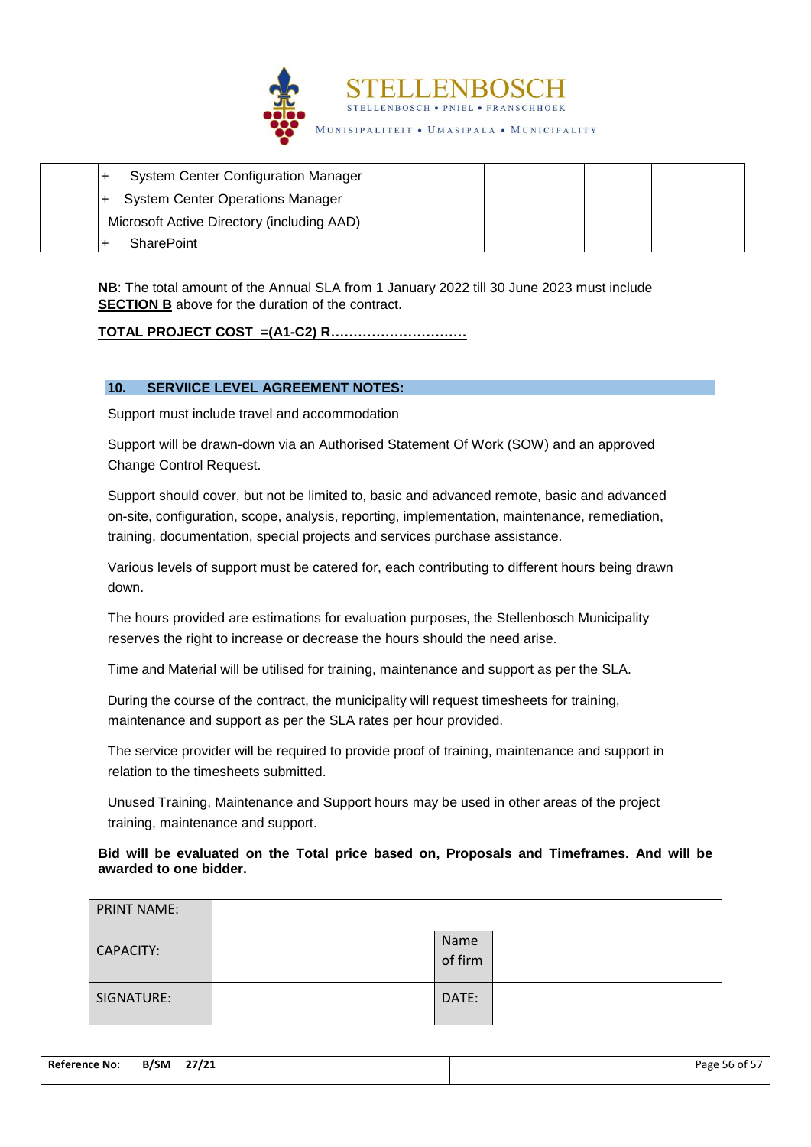

| <b>System Center Configuration Manager</b> |  |  |
|--------------------------------------------|--|--|
| <b>System Center Operations Manager</b>    |  |  |
| Microsoft Active Directory (including AAD) |  |  |
| <b>SharePoint</b>                          |  |  |

**NB**: The total amount of the Annual SLA from 1 January 2022 till 30 June 2023 must include **SECTION B** above for the duration of the contract.

## **TOTAL PROJECT COST =(A1-C2) R…………………………**

## **10. SERVIICE LEVEL AGREEMENT NOTES:**

Support must include travel and accommodation

Support will be drawn-down via an Authorised Statement Of Work (SOW) and an approved Change Control Request.

Support should cover, but not be limited to, basic and advanced remote, basic and advanced on-site, configuration, scope, analysis, reporting, implementation, maintenance, remediation, training, documentation, special projects and services purchase assistance.

Various levels of support must be catered for, each contributing to different hours being drawn down.

The hours provided are estimations for evaluation purposes, the Stellenbosch Municipality reserves the right to increase or decrease the hours should the need arise.

Time and Material will be utilised for training, maintenance and support as per the SLA.

During the course of the contract, the municipality will request timesheets for training, maintenance and support as per the SLA rates per hour provided.

The service provider will be required to provide proof of training, maintenance and support in relation to the timesheets submitted.

Unused Training, Maintenance and Support hours may be used in other areas of the project training, maintenance and support.

## **Bid will be evaluated on the Total price based on, Proposals and Timeframes. And will be awarded to one bidder.**

| <b>PRINT NAME:</b> |                 |  |
|--------------------|-----------------|--|
| CAPACITY:          | Name<br>of firm |  |
| SIGNATURE:         | DATE:           |  |

| <b>Reference No:</b> | 27/21<br>B/SM | Page 56 of 57 |
|----------------------|---------------|---------------|
|                      |               |               |